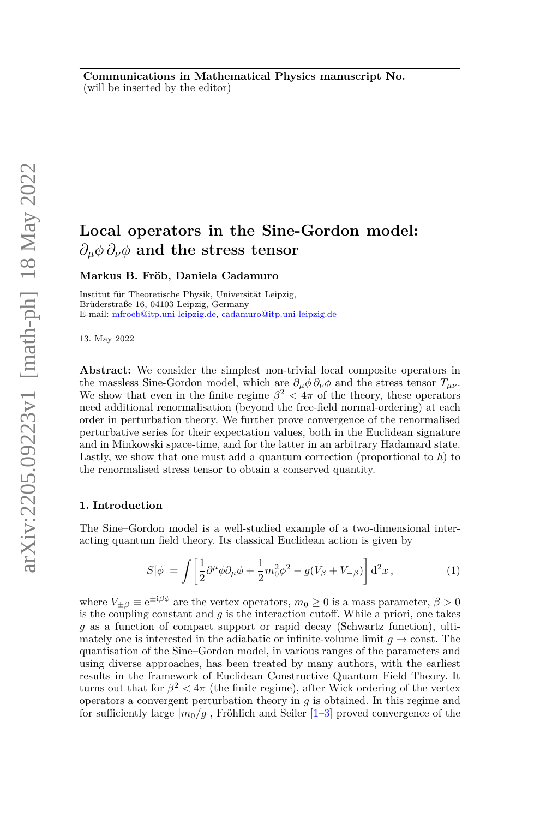# **Local operators in the Sine-Gordon model:** *∂µφ ∂νφ* **and the stress tensor**

#### **Markus B. Fröb, Daniela Cadamuro**

Institut für Theoretische Physik, Universität Leipzig, Brüderstraße 16, 04103 Leipzig, Germany E-mail: [mfroeb@itp.uni-leipzig.de,](mailto:mfroeb@itp.uni-leipzig.de) [cadamuro@itp.uni-leipzig.de](mailto:cadamuro@itp.uni-leipzig.de)

13. May 2022

**Abstract:** We consider the simplest non-trivial local composite operators in the massless Sine-Gordon model, which are  $\partial_{\mu}\phi \partial_{\nu}\phi$  and the stress tensor  $T_{\mu\nu}$ . We show that even in the finite regime  $\beta^2$  <  $4\pi$  of the theory, these operators need additional renormalisation (beyond the free-field normal-ordering) at each order in perturbation theory. We further prove convergence of the renormalised perturbative series for their expectation values, both in the Euclidean signature and in Minkowski space-time, and for the latter in an arbitrary Hadamard state. Lastly, we show that one must add a quantum correction (proportional to  $\hbar$ ) to the renormalised stress tensor to obtain a conserved quantity.

#### **1. Introduction**

The Sine–Gordon model is a well-studied example of a two-dimensional interacting quantum field theory. Its classical Euclidean action is given by

$$
S[\phi] = \int \left[ \frac{1}{2} \partial^{\mu} \phi \partial_{\mu} \phi + \frac{1}{2} m_0^2 \phi^2 - g(V_{\beta} + V_{-\beta}) \right] d^2 x , \qquad (1)
$$

where  $V_{\pm\beta} \equiv e^{\pm i\beta\phi}$  are the vertex operators,  $m_0 \ge 0$  is a mass parameter,  $\beta > 0$ is the coupling constant and *g* is the interaction cutoff. While a priori, one takes *g* as a function of compact support or rapid decay (Schwartz function), ultimately one is interested in the adiabatic or infinite-volume limit  $q \to \text{const.}$  The quantisation of the Sine–Gordon model, in various ranges of the parameters and using diverse approaches, has been treated by many authors, with the earliest results in the framework of Euclidean Constructive Quantum Field Theory. It turns out that for  $\beta^2 < 4\pi$  (the finite regime), after Wick ordering of the vertex operators a convergent perturbation theory in *g* is obtained. In this regime and for sufficiently large  $|m_0/q|$ , Fröhlich and Seiler  $[1-3]$  $[1-3]$  proved convergence of the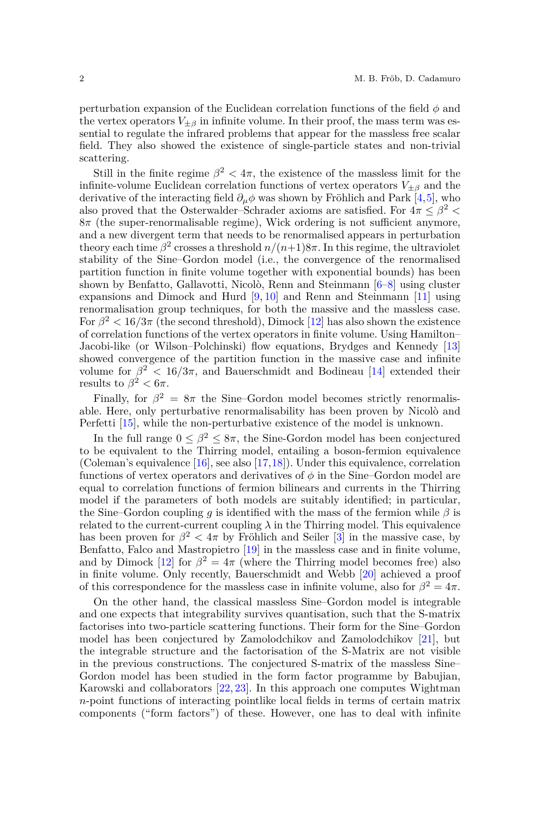perturbation expansion of the Euclidean correlation functions of the field *φ* and the vertex operators  $V_{\pm\beta}$  in infinite volume. In their proof, the mass term was essential to regulate the infrared problems that appear for the massless free scalar field. They also showed the existence of single-particle states and non-trivial scattering.

Still in the finite regime  $\beta^2 < 4\pi$ , the existence of the massless limit for the infinite-volume Euclidean correlation functions of vertex operators  $V_{\pm\beta}$  and the derivative of the interacting field  $\partial_{\mu}\phi$  was shown by Fröhlich and Park [\[4,](#page-54-2)[5\]](#page-54-3), who also proved that the Osterwalder–Schrader axioms are satisfied. For  $4\pi \leq \beta^2$ 8*π* (the super-renormalisable regime), Wick ordering is not sufficient anymore, and a new divergent term that needs to be renormalised appears in perturbation theory each time  $\beta^2$  crosses a threshold  $n/(n+1)8\pi$ . In this regime, the ultraviolet stability of the Sine–Gordon model (i.e., the convergence of the renormalised partition function in finite volume together with exponential bounds) has been shown by Benfatto, Gallavotti, Nicolò, Renn and Steinmann [\[6–](#page-54-4)[8\]](#page-54-5) using cluster expansions and Dimock and Hurd [\[9,](#page-54-6) [10\]](#page-55-0) and Renn and Steinmann [\[11\]](#page-55-1) using renormalisation group techniques, for both the massive and the massless case. For  $\beta^2 < 16/3\pi$  (the second threshold), Dimock [\[12\]](#page-55-2) has also shown the existence of correlation functions of the vertex operators in finite volume. Using Hamilton– Jacobi-like (or Wilson–Polchinski) flow equations, Brydges and Kennedy [\[13\]](#page-55-3) showed convergence of the partition function in the massive case and infinite volume for  $\beta^2$  < 16/3π, and Bauerschmidt and Bodineau [\[14\]](#page-55-4) extended their results to  $\beta^2 < 6\pi$ .

Finally, for  $\beta^2 = 8\pi$  the Sine–Gordon model becomes strictly renormalisable. Here, only perturbative renormalisability has been proven by Nicolò and Perfetti [\[15\]](#page-55-5), while the non-perturbative existence of the model is unknown.

In the full range  $0 \leq \beta^2 \leq 8\pi$ , the Sine-Gordon model has been conjectured to be equivalent to the Thirring model, entailing a boson-fermion equivalence (Coleman's equivalence [\[16\]](#page-55-6), see also [\[17,](#page-55-7)[18\]](#page-55-8)). Under this equivalence, correlation functions of vertex operators and derivatives of  $\phi$  in the Sine–Gordon model are equal to correlation functions of fermion bilinears and currents in the Thirring model if the parameters of both models are suitably identified; in particular, the Sine–Gordon coupling *g* is identified with the mass of the fermion while  $\beta$  is related to the current-current coupling  $\lambda$  in the Thirring model. This equivalence has been proven for  $\beta^2 < 4\pi$  by Fröhlich and Seiler [\[3\]](#page-54-1) in the massive case, by Benfatto, Falco and Mastropietro [\[19\]](#page-55-9) in the massless case and in finite volume, and by Dimock [\[12\]](#page-55-2) for  $\beta^2 = 4\pi$  (where the Thirring model becomes free) also in finite volume. Only recently, Bauerschmidt and Webb [\[20\]](#page-55-10) achieved a proof of this correspondence for the massless case in infinite volume, also for  $\beta^2 = 4\pi$ .

On the other hand, the classical massless Sine–Gordon model is integrable and one expects that integrability survives quantisation, such that the S-matrix factorises into two-particle scattering functions. Their form for the Sine–Gordon model has been conjectured by Zamolodchikov and Zamolodchikov [\[21\]](#page-55-11), but the integrable structure and the factorisation of the S-Matrix are not visible in the previous constructions. The conjectured S-matrix of the massless Sine– Gordon model has been studied in the form factor programme by Babujian, Karowski and collaborators [\[22,](#page-55-12) [23\]](#page-55-13). In this approach one computes Wightman *n*-point functions of interacting pointlike local fields in terms of certain matrix components ("form factors") of these. However, one has to deal with infinite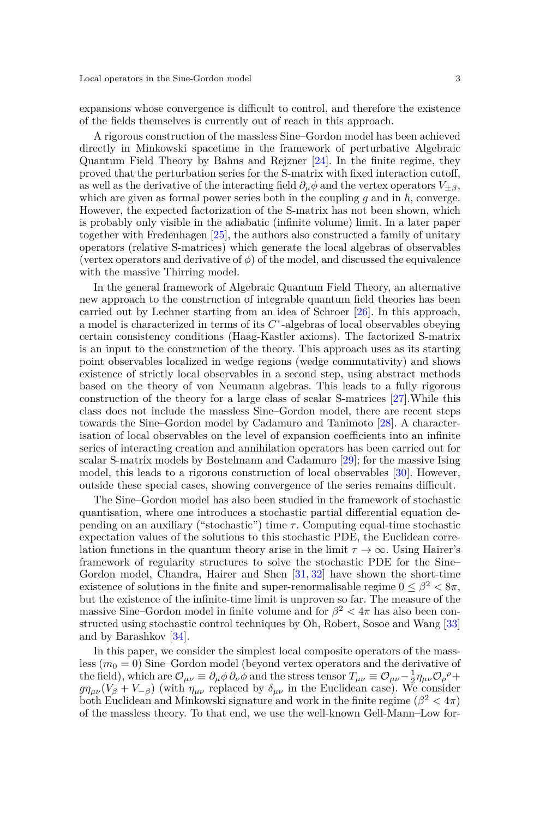expansions whose convergence is difficult to control, and therefore the existence of the fields themselves is currently out of reach in this approach.

A rigorous construction of the massless Sine–Gordon model has been achieved directly in Minkowski spacetime in the framework of perturbative Algebraic Quantum Field Theory by Bahns and Rejzner [\[24\]](#page-55-14). In the finite regime, they proved that the perturbation series for the S-matrix with fixed interaction cutoff, as well as the derivative of the interacting field  $\partial_{\mu}\phi$  and the vertex operators  $V_{\pm\beta}$ , which are given as formal power series both in the coupling  $q$  and in  $\hbar$ , converge. However, the expected factorization of the S-matrix has not been shown, which is probably only visible in the adiabatic (infinite volume) limit. In a later paper together with Fredenhagen [\[25\]](#page-55-15), the authors also constructed a family of unitary operators (relative S-matrices) which generate the local algebras of observables (vertex operators and derivative of  $\phi$ ) of the model, and discussed the equivalence with the massive Thirring model.

In the general framework of Algebraic Quantum Field Theory, an alternative new approach to the construction of integrable quantum field theories has been carried out by Lechner starting from an idea of Schroer [\[26\]](#page-55-16). In this approach, a model is characterized in terms of its *C* ∗ -algebras of local observables obeying certain consistency conditions (Haag-Kastler axioms). The factorized S-matrix is an input to the construction of the theory. This approach uses as its starting point observables localized in wedge regions (wedge commutativity) and shows existence of strictly local observables in a second step, using abstract methods based on the theory of von Neumann algebras. This leads to a fully rigorous construction of the theory for a large class of scalar S-matrices [\[27\]](#page-55-17).While this class does not include the massless Sine–Gordon model, there are recent steps towards the Sine–Gordon model by Cadamuro and Tanimoto [\[28\]](#page-55-18). A characterisation of local observables on the level of expansion coefficients into an infinite series of interacting creation and annihilation operators has been carried out for scalar S-matrix models by Bostelmann and Cadamuro [\[29\]](#page-55-19); for the massive Ising model, this leads to a rigorous construction of local observables [\[30\]](#page-55-20). However, outside these special cases, showing convergence of the series remains difficult.

The Sine–Gordon model has also been studied in the framework of stochastic quantisation, where one introduces a stochastic partial differential equation depending on an auxiliary ("stochastic") time  $\tau$ . Computing equal-time stochastic expectation values of the solutions to this stochastic PDE, the Euclidean correlation functions in the quantum theory arise in the limit  $\tau \to \infty$ . Using Hairer's framework of regularity structures to solve the stochastic PDE for the Sine– Gordon model, Chandra, Hairer and Shen [\[31,](#page-55-21) [32\]](#page-55-22) have shown the short-time existence of solutions in the finite and super-renormalisable regime  $0 \leq \beta^2 < 8\pi$ , but the existence of the infinite-time limit is unproven so far. The measure of the massive Sine–Gordon model in finite volume and for  $\beta^2 < 4\pi$  has also been constructed using stochastic control techniques by Oh, Robert, Sosoe and Wang [\[33\]](#page-55-23) and by Barashkov [\[34\]](#page-55-24).

In this paper, we consider the simplest local composite operators of the massless (*m*<sup>0</sup> = 0) Sine–Gordon model (beyond vertex operators and the derivative of the field), which are  $\mathcal{O}_{\mu\nu} \equiv \partial_{\mu}\phi \partial_{\nu}\phi$  and the stress tensor  $T_{\mu\nu} \equiv \mathcal{O}_{\mu\nu} - \frac{1}{2}\eta_{\mu\nu}\mathcal{O}_{\rho}^{\rho} +$  $g\eta_{\mu\nu}(V_{\beta} + V_{-\beta})$  (with  $\eta_{\mu\nu}$  replaced by  $\delta_{\mu\nu}$  in the Euclidean case). We consider both Euclidean and Minkowski signature and work in the finite regime  $(\beta^2 < 4\pi)$ of the massless theory. To that end, we use the well-known Gell-Mann–Low for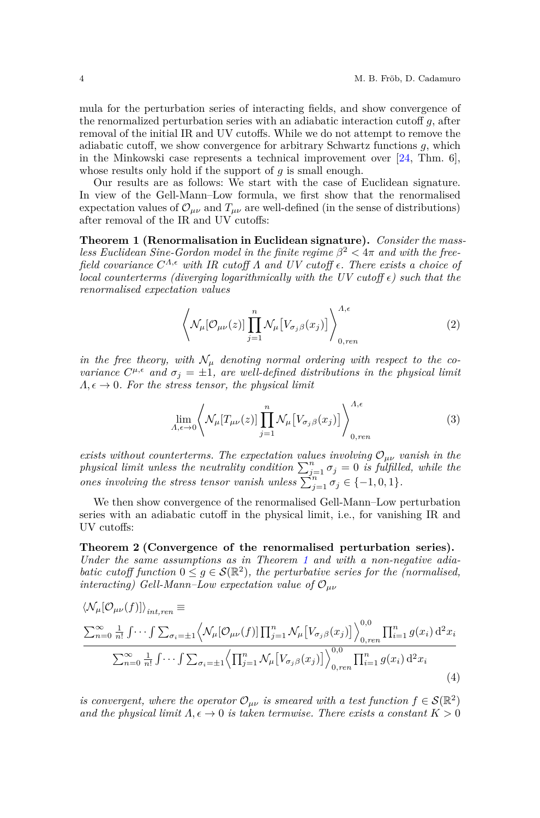mula for the perturbation series of interacting fields, and show convergence of the renormalized perturbation series with an adiabatic interaction cutoff *g*, after removal of the initial IR and UV cutoffs. While we do not attempt to remove the adiabatic cutoff, we show convergence for arbitrary Schwartz functions *g*, which in the Minkowski case represents a technical improvement over  $[24, Thm. 6]$  $[24, Thm. 6]$ , whose results only hold if the support of *q* is small enough.

Our results are as follows: We start with the case of Euclidean signature. In view of the Gell-Mann–Low formula, we first show that the renormalised expectation values of  $\mathcal{O}_{\mu\nu}$  and  $T_{\mu\nu}$  are well-defined (in the sense of distributions) after removal of the IR and UV cutoffs:

**Theorem 1 (Renormalisation in Euclidean signature).** *Consider the massless Euclidean Sine-Gordon model in the finite regime*  $\beta^2 < 4\pi$  *and with the freefield covariance*  $C^{\Lambda,\epsilon}$  *with IR cutoff*  $\Lambda$  *and UV cutoff*  $\epsilon$ *. There exists a choice of local counterterms (diverging logarithmically with the UV cutoff*  $\epsilon$ *) such that the renormalised expectation values*

<span id="page-3-0"></span>
$$
\left\langle \mathcal{N}_{\mu}[\mathcal{O}_{\mu\nu}(z)] \prod_{j=1}^{n} \mathcal{N}_{\mu} \left[ V_{\sigma_j \beta}(x_j) \right] \right\rangle_{0,ren}^{\Lambda, \epsilon} \tag{2}
$$

*in the free theory, with*  $\mathcal{N}_{\mu}$  *denoting normal ordering with respect to the covariance*  $C^{\mu,\epsilon}$  *and*  $\sigma_j = \pm 1$ *, are well-defined distributions in the physical limit*  $\Lambda, \epsilon \to 0$ *. For the stress tensor, the physical limit* 

$$
\lim_{\Lambda,\epsilon \to 0} \left\langle \mathcal{N}_{\mu} [T_{\mu\nu}(z)] \prod_{j=1}^{n} \mathcal{N}_{\mu} [V_{\sigma_j \beta}(x_j)] \right\rangle_{0,ren}^{\Lambda,\epsilon} \tag{3}
$$

*exists without counterterms. The expectation values involving*  $\mathcal{O}_{\mu\nu}$  *vanish in the physical limit unless the neutrality condition*  $\sum_{j=1}^{n} \sigma_j = 0$  *is fulfilled, while the ones involving the stress tensor vanish unless*  $\sum_{j=1}^{n} \sigma_j \in \{-1,0,1\}$ *.* 

<span id="page-3-1"></span>We then show convergence of the renormalised Gell-Mann–Low perturbation series with an adiabatic cutoff in the physical limit, i.e., for vanishing IR and UV cutoffs:

## **Theorem 2 (Convergence of the renormalised perturbation series).** *Under the same assumptions as in Theorem [1](#page-3-0) and with a non-negative adiabatic cutoff function*  $0 \leq g \in \mathcal{S}(\mathbb{R}^2)$ , the perturbative series for the (normalised, *interacting) Gell-Mann–Low expectation value of* O*µν*

<span id="page-3-2"></span>
$$
\langle \mathcal{N}_{\mu}[\mathcal{O}_{\mu\nu}(f)] \rangle_{int,ren} \equiv \frac{\sum_{n=0}^{\infty} \frac{1}{n!} \int \cdots \int \sum_{\sigma_i=\pm 1} \langle \mathcal{N}_{\mu}[\mathcal{O}_{\mu\nu}(f)] \prod_{j=1}^{n} \mathcal{N}_{\mu} [V_{\sigma_j\beta}(x_j)] \rangle_{0,ren}^{0,0} \prod_{i=1}^{n} g(x_i) d^2 x_i}{\sum_{n=0}^{\infty} \frac{1}{n!} \int \cdots \int \sum_{\sigma_i=\pm 1} \langle \prod_{j=1}^{n} \mathcal{N}_{\mu} [V_{\sigma_j\beta}(x_j)] \rangle_{0,ren}^{0,0} \prod_{i=1}^{n} g(x_i) d^2 x_i}
$$
\n(4)

*is convergent, where the operator*  $\mathcal{O}_{\mu\nu}$  *is smeared with a test function*  $f \in \mathcal{S}(\mathbb{R}^2)$ *and the physical limit*  $\Lambda, \epsilon \to 0$  *is taken termwise. There exists a constant*  $K > 0$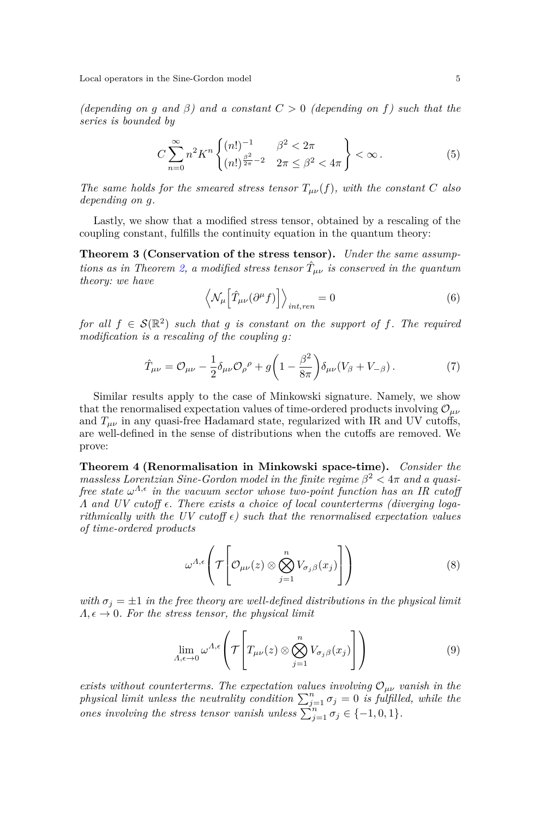*(depending on g and β) and a constant C >* 0 *(depending on f) such that the series is bounded by*

<span id="page-4-1"></span>
$$
C\sum_{n=0}^{\infty} n^2 K^n \begin{Bmatrix} (n!)^{-1} & \beta^2 < 2\pi \\ (n!)^{\frac{\beta^2}{2\pi} - 2} & 2\pi \le \beta^2 < 4\pi \end{Bmatrix} < \infty.
$$
 (5)

*The same holds for the smeared stress tensor*  $T_{\mu\nu}(f)$ *, with the constant C also depending on g.*

Lastly, we show that a modified stress tensor, obtained by a rescaling of the coupling constant, fulfills the continuity equation in the quantum theory:

**Theorem 3 (Conservation of the stress tensor).** *Under the same assump-tions as in Theorem [2,](#page-3-1) a modified stress tensor*  $\hat{T}_{\mu\nu}$  *is conserved in the quantum theory: we have*

<span id="page-4-3"></span><span id="page-4-2"></span>
$$
\left\langle \mathcal{N}_{\mu} \left[ \hat{T}_{\mu\nu} (\partial^{\mu} f) \right] \right\rangle_{int, ren} = 0 \tag{6}
$$

*for all*  $f \in S(\mathbb{R}^2)$  *such that g is constant on the support of f. The required modification is a rescaling of the coupling g:*

$$
\hat{T}_{\mu\nu} = \mathcal{O}_{\mu\nu} - \frac{1}{2} \delta_{\mu\nu} \mathcal{O}_{\rho}{}^{\rho} + g \left( 1 - \frac{\beta^2}{8\pi} \right) \delta_{\mu\nu} (V_{\beta} + V_{-\beta}). \tag{7}
$$

Similar results apply to the case of Minkowski signature. Namely, we show that the renormalised expectation values of time-ordered products involving  $\mathcal{O}_{\mu\nu}$ and  $T_{\mu\nu}$  in any quasi-free Hadamard state, regularized with IR and UV cutoffs, are well-defined in the sense of distributions when the cutoffs are removed. We prove:

<span id="page-4-0"></span>**Theorem 4 (Renormalisation in Minkowski space-time).** *Consider the massless Lorentzian Sine-Gordon model in the finite regime*  $\beta^2 < 4\pi$  *and a quasifree state*  $\omega^{\Lambda,\epsilon}$  *in the vacuum sector whose two-point function has an IR cutoff Λ and UV cutoff . There exists a choice of local counterterms (diverging logarithmically with the UV cutoff*  $\epsilon$ *) such that the renormalised expectation values of time-ordered products*

$$
\omega^{\Lambda,\epsilon}\left(\mathcal{T}\left[\mathcal{O}_{\mu\nu}(z)\otimes\bigotimes_{j=1}^{n}V_{\sigma_{j}\beta}(x_{j})\right]\right) \tag{8}
$$

*with*  $\sigma_j = \pm 1$  *in the free theory are well-defined distributions in the physical limit*  $\Lambda, \epsilon \to 0$ *. For the stress tensor, the physical limit* 

$$
\lim_{\Lambda,\epsilon\to 0} \omega^{\Lambda,\epsilon} \left( \mathcal{T} \left[ T_{\mu\nu}(z) \otimes \bigotimes_{j=1}^{n} V_{\sigma_j\beta}(x_j) \right] \right) \tag{9}
$$

*exists without counterterms. The expectation values involving*  $\mathcal{O}_{\mu\nu}$  *vanish in the physical limit unless the neutrality condition*  $\sum_{j=1}^{n} \sigma_j = 0$  *is fulfilled, while the ones involving the stress tensor vanish unless*  $\sum_{j=1}^{n} \sigma_j \in \{-1,0,1\}$ *.*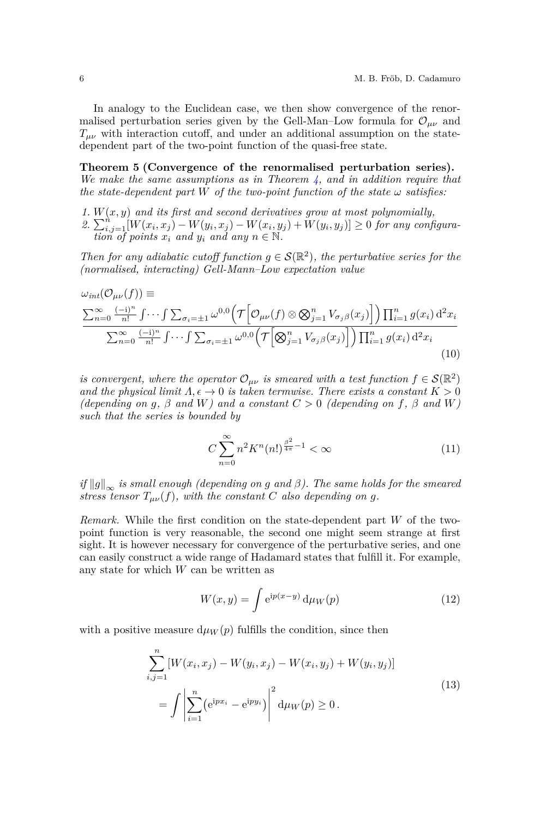In analogy to the Euclidean case, we then show convergence of the renormalised perturbation series given by the Gell-Man–Low formula for  $\mathcal{O}_{\mu\nu}$  and  $T_{\mu\nu}$  with interaction cutoff, and under an additional assumption on the statedependent part of the two-point function of the quasi-free state.

<span id="page-5-0"></span>**Theorem 5 (Convergence of the renormalised perturbation series).** *We make the same assumptions as in Theorem [4,](#page-4-0) and in addition require that the state-dependent part*  $W$  *of the two-point function of the state*  $\omega$  *satisfies:* 

*1. W*(*x, y*) *and its first and second derivatives grow at most polynomially,*

2.  $\sum_{i,j=1}^{n} [W(x_i, x_j) - W(y_i, x_j) - W(x_i, y_j) + W(y_i, y_j)] \ge 0$  for any configura*tion of points*  $x_i$  *and*  $y_i$  *and any*  $n \in \mathbb{N}$ .

*Then for any adiabatic cutoff function*  $g \in \mathcal{S}(\mathbb{R}^2)$ , the perturbative series for the *(normalised, interacting) Gell-Mann–Low expectation value*

<span id="page-5-1"></span>
$$
\omega_{int}(\mathcal{O}_{\mu\nu}(f)) \equiv \frac{\sum_{n=0}^{\infty} \frac{(-i)^n}{n!} \int \cdots \int \sum_{\sigma_i=\pm 1} \omega^{0,0} \left( \mathcal{T} \left[ \mathcal{O}_{\mu\nu}(f) \otimes \mathcal{B}_{j=1}^n V_{\sigma_j \beta}(x_j) \right] \right) \prod_{i=1}^n g(x_i) d^2 x_i}{\sum_{n=0}^{\infty} \frac{(-i)^n}{n!} \int \cdots \int \sum_{\sigma_i=\pm 1} \omega^{0,0} \left( \mathcal{T} \left[ \mathcal{B}_{j=1}^n V_{\sigma_j \beta}(x_j) \right] \right) \prod_{i=1}^n g(x_i) d^2 x_i}
$$
\n(10)

*is convergent, where the operator*  $\mathcal{O}_{\mu\nu}$  *is smeared with a test function*  $f \in \mathcal{S}(\mathbb{R}^2)$ *and the physical limit*  $\Lambda, \epsilon \to 0$  *is taken termwise. There exists a constant*  $K > 0$  $(depending on g, \beta and W)$  and  $a constant C > 0$  (depending on  $f, \beta$  and  $W$ ) *such that the series is bounded by*

$$
C\sum_{n=0}^{\infty} n^2 K^n(n!)^{\frac{\beta^2}{4\pi} - 1} < \infty \tag{11}
$$

 $if \|g\|_{\infty}$  *is small enough (depending on g and*  $\beta$ *). The same holds for the smeared stress tensor*  $T_{\mu\nu}(f)$ *, with the constant C also depending on g.* 

*Remark.* While the first condition on the state-dependent part *W* of the twopoint function is very reasonable, the second one might seem strange at first sight. It is however necessary for convergence of the perturbative series, and one can easily construct a wide range of Hadamard states that fulfill it. For example, any state for which *W* can be written as

$$
W(x,y) = \int e^{ip(x-y)} d\mu_W(p)
$$
\n(12)

with a positive measure  $d\mu_W(p)$  fulfills the condition, since then

$$
\sum_{i,j=1}^{n} [W(x_i, x_j) - W(y_i, x_j) - W(x_i, y_j) + W(y_i, y_j)]
$$
  
= 
$$
\int \left| \sum_{i=1}^{n} (e^{ipx_i} - e^{ipy_i}) \right|^2 d\mu_W(p) \ge 0.
$$
 (13)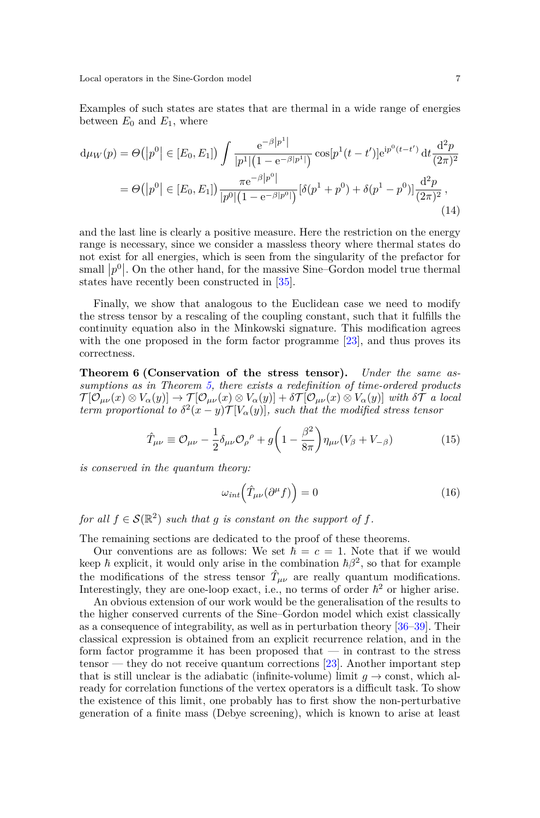Examples of such states are states that are thermal in a wide range of energies between  $E_0$  and  $E_1$ , where

$$
d\mu_W(p) = \Theta(|p^0| \in [E_0, E_1]) \int \frac{e^{-\beta|p^1|}}{|p^1|(1 - e^{-\beta|p^1|})} \cos[p^1(t - t')] e^{ip^0(t - t')} dt \frac{d^2p}{(2\pi)^2}
$$
  
= 
$$
\Theta(|p^0| \in [E_0, E_1]) \frac{\pi e^{-\beta|p^0|}}{|p^0|(1 - e^{-\beta|p^0|})} [\delta(p^1 + p^0) + \delta(p^1 - p^0)] \frac{d^2p}{(2\pi)^2},
$$
(14)

and the last line is clearly a positive measure. Here the restriction on the energy range is necessary, since we consider a massless theory where thermal states do not exist for all energies, which is seen from the singularity of the prefactor for small  $|p^0|$ . On the other hand, for the massive Sine–Gordon model true thermal sman  $|p|$ . On the other hand, for the massive states have recently been constructed in [\[35\]](#page-55-25).

Finally, we show that analogous to the Euclidean case we need to modify the stress tensor by a rescaling of the coupling constant, such that it fulfills the continuity equation also in the Minkowski signature. This modification agrees with the one proposed in the form factor programme [\[23\]](#page-55-13), and thus proves its correctness.

<span id="page-6-0"></span>**Theorem 6 (Conservation of the stress tensor).** *Under the same assumptions as in Theorem [5,](#page-5-0) there exists a redefinition of time-ordered products*  $\mathcal{T}[\mathcal{O}_{\mu\nu}(x) \otimes V_{\alpha}(y)] \rightarrow \mathcal{T}[\mathcal{O}_{\mu\nu}(x) \otimes V_{\alpha}(y)] + \delta \mathcal{T}[\mathcal{O}_{\mu\nu}(x) \otimes V_{\alpha}(y)]$  with  $\delta \mathcal{T}$  a local *term proportional to*  $\delta^2(x-y)$  $\mathcal{T}[V_\alpha(y)]$ *, such that the modified stress tensor* 

<span id="page-6-1"></span>
$$
\hat{T}_{\mu\nu} \equiv \mathcal{O}_{\mu\nu} - \frac{1}{2} \delta_{\mu\nu} \mathcal{O}_{\rho}{}^{\rho} + g \left( 1 - \frac{\beta^2}{8\pi} \right) \eta_{\mu\nu} (V_{\beta} + V_{-\beta}) \tag{15}
$$

*is conserved in the quantum theory:*

$$
\omega_{int} \left( \hat{T}_{\mu\nu} (\partial^{\mu} f) \right) = 0 \tag{16}
$$

*for all*  $f \in \mathcal{S}(\mathbb{R}^2)$  *such that g is constant on the support of f.* 

The remaining sections are dedicated to the proof of these theorems.

Our conventions are as follows: We set  $\hbar = c = 1$ . Note that if we would keep  $\hbar$  explicit, it would only arise in the combination  $\hbar \beta^2$ , so that for example the modifications of the stress tensor  $\hat{T}_{\mu\nu}$  are really quantum modifications. Interestingly, they are one-loop exact, i.e., no terms of order  $\hbar^2$  or higher arise.

An obvious extension of our work would be the generalisation of the results to the higher conserved currents of the Sine–Gordon model which exist classically as a consequence of integrability, as well as in perturbation theory [\[36–](#page-55-26)[39\]](#page-56-0). Their classical expression is obtained from an explicit recurrence relation, and in the form factor programme it has been proposed that  $-$  in contrast to the stress tensor — they do not receive quantum corrections [\[23\]](#page-55-13). Another important step that is still unclear is the adiabatic (infinite-volume) limit  $g \to \text{const}$ , which already for correlation functions of the vertex operators is a difficult task. To show the existence of this limit, one probably has to first show the non-perturbative generation of a finite mass (Debye screening), which is known to arise at least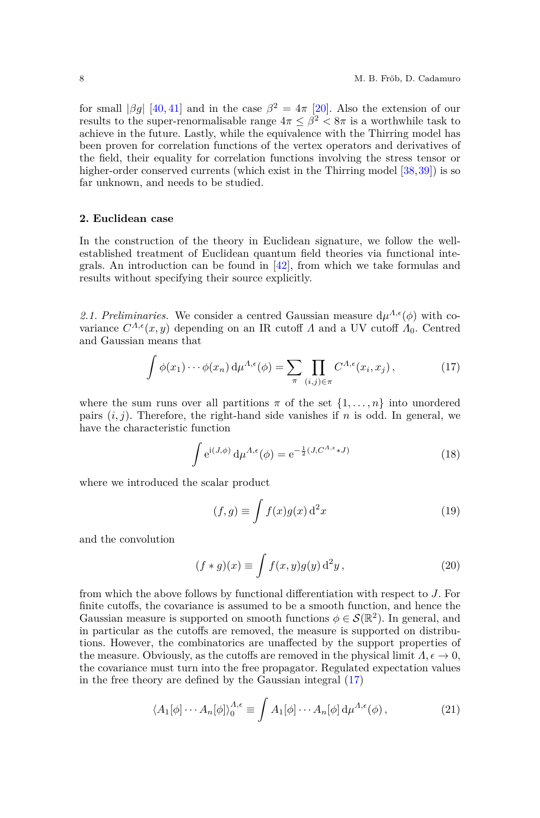for small  $|\beta g|$  [\[40,](#page-56-1) [41\]](#page-56-2) and in the case  $\beta^2 = 4\pi$  [\[20\]](#page-55-10). Also the extension of our results to the super-renormalisable range  $4\pi \leq \beta^2 < 8\pi$  is a worthwhile task to achieve in the future. Lastly, while the equivalence with the Thirring model has been proven for correlation functions of the vertex operators and derivatives of the field, their equality for correlation functions involving the stress tensor or higher-order conserved currents (which exist in the Thirring model [\[38,](#page-55-27)[39\]](#page-56-0)) is so far unknown, and needs to be studied.

### **2. Euclidean case**

In the construction of the theory in Euclidean signature, we follow the wellestablished treatment of Euclidean quantum field theories via functional integrals. An introduction can be found in [\[42\]](#page-56-3), from which we take formulas and results without specifying their source explicitly.

2.1. Preliminaries. We consider a centred Gaussian measure  $d\mu^{\Lambda,\epsilon}(\phi)$  with covariance  $C^{A,\epsilon}(x, y)$  depending on an IR cutoff *Λ* and a UV cutoff  $A_0$ . Centred and Gaussian means that

<span id="page-7-0"></span>
$$
\int \phi(x_1) \cdots \phi(x_n) d\mu^{\Lambda, \epsilon}(\phi) = \sum_{\pi} \prod_{(i,j) \in \pi} C^{\Lambda, \epsilon}(x_i, x_j), \tag{17}
$$

where the sum runs over all partitions  $\pi$  of the set  $\{1, \ldots, n\}$  into unordered pairs  $(i, j)$ . Therefore, the right-hand side vanishes if *n* is odd. In general, we have the characteristic function

<span id="page-7-1"></span>
$$
\int e^{i(J,\phi)} d\mu^{\Lambda,\epsilon}(\phi) = e^{-\frac{1}{2}(J,C^{\Lambda,\epsilon}*J)} \tag{18}
$$

where we introduced the scalar product

<span id="page-7-2"></span>
$$
(f,g) \equiv \int f(x)g(x) \, \mathrm{d}^2 x \tag{19}
$$

and the convolution

<span id="page-7-3"></span>
$$
(f * g)(x) \equiv \int f(x, y)g(y) d^2y,
$$
\n(20)

from which the above follows by functional differentiation with respect to *J*. For finite cutoffs, the covariance is assumed to be a smooth function, and hence the Gaussian measure is supported on smooth functions  $\phi \in \mathcal{S}(\mathbb{R}^2)$ . In general, and in particular as the cutoffs are removed, the measure is supported on distributions. However, the combinatorics are unaffected by the support properties of the measure. Obviously, as the cutoffs are removed in the physical limit  $\Lambda, \epsilon \to 0$ , the covariance must turn into the free propagator. Regulated expectation values in the free theory are defined by the Gaussian integral [\(17\)](#page-7-0)

$$
\langle A_1[\phi] \cdots A_n[\phi] \rangle_0^{\Lambda, \epsilon} \equiv \int A_1[\phi] \cdots A_n[\phi] \, \mathrm{d}\mu^{\Lambda, \epsilon}(\phi) \,, \tag{21}
$$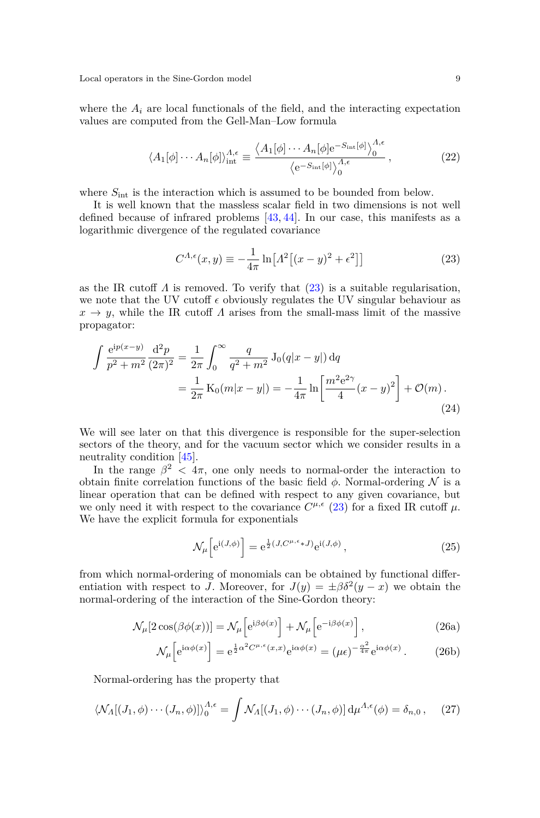where the  $A_i$  are local functionals of the field, and the interacting expectation values are computed from the Gell-Man–Low formula

$$
\langle A_1[\phi] \cdots A_n[\phi] \rangle_{\text{int}}^{A,\epsilon} \equiv \frac{\langle A_1[\phi] \cdots A_n[\phi] e^{-S_{\text{int}}[\phi]} \rangle_0^{A,\epsilon}}{\langle e^{-S_{\text{int}}[\phi]} \rangle_0^{A,\epsilon}}, \qquad (22)
$$

where  $S_{\text{int}}$  is the interaction which is assumed to be bounded from below.

It is well known that the massless scalar field in two dimensions is not well defined because of infrared problems [\[43,](#page-56-4) [44\]](#page-56-5). In our case, this manifests as a logarithmic divergence of the regulated covariance

<span id="page-8-0"></span>
$$
C^{\Lambda,\epsilon}(x,y) \equiv -\frac{1}{4\pi} \ln \left[ \Lambda^2 \left[ (x-y)^2 + \epsilon^2 \right] \right] \tag{23}
$$

as the IR cutoff  $\Lambda$  is removed. To verify that  $(23)$  is a suitable regularisation, we note that the UV cutoff  $\epsilon$  obviously regulates the UV singular behaviour as  $x \to y$ , while the IR cutoff *Λ* arises from the small-mass limit of the massive propagator:

<span id="page-8-3"></span>
$$
\int \frac{e^{ip(x-y)}}{p^2 + m^2} \frac{d^2 p}{(2\pi)^2} = \frac{1}{2\pi} \int_0^\infty \frac{q}{q^2 + m^2} J_0(q|x-y|) dq
$$
  
= 
$$
\frac{1}{2\pi} K_0(m|x-y|) = -\frac{1}{4\pi} \ln \left[ \frac{m^2 e^{2\gamma}}{4} (x-y)^2 \right] + \mathcal{O}(m).
$$
 (24)

We will see later on that this divergence is responsible for the super-selection sectors of the theory, and for the vacuum sector which we consider results in a neutrality condition [\[45\]](#page-56-6).

In the range  $\beta^2$  <  $4\pi$ , one only needs to normal-order the interaction to obtain finite correlation functions of the basic field  $\phi$ . Normal-ordering N is a linear operation that can be defined with respect to any given covariance, but we only need it with respect to the covariance  $C^{\mu,\epsilon}$  [\(23\)](#page-8-0) for a fixed IR cutoff  $\mu$ . We have the explicit formula for exponentials

<span id="page-8-2"></span><span id="page-8-1"></span>
$$
\mathcal{N}_{\mu} \left[ e^{i(J,\phi)} \right] = e^{\frac{1}{2}(J,C^{\mu,\epsilon} \ast J)} e^{i(J,\phi)}, \qquad (25)
$$

from which normal-ordering of monomials can be obtained by functional differentiation with respect to *J*. Moreover, for  $J(y) = \pm \beta \delta^2(y - x)$  we obtain the normal-ordering of the interaction of the Sine-Gordon theory:

$$
\mathcal{N}_{\mu}[2\cos(\beta\phi(x))] = \mathcal{N}_{\mu}\left[e^{i\beta\phi(x)}\right] + \mathcal{N}_{\mu}\left[e^{-i\beta\phi(x)}\right],\tag{26a}
$$

$$
\mathcal{N}_{\mu} \left[ e^{i\alpha \phi(x)} \right] = e^{\frac{1}{2}\alpha^2 C^{\mu,\epsilon}(x,x)} e^{i\alpha \phi(x)} = (\mu \epsilon)^{-\frac{\alpha^2}{4\pi}} e^{i\alpha \phi(x)}.
$$
 (26b)

Normal-ordering has the property that

<span id="page-8-4"></span>
$$
\langle \mathcal{N}_A[(J_1,\phi)\cdots(J_n,\phi)] \rangle_0^{A,\epsilon} = \int \mathcal{N}_A[(J_1,\phi)\cdots(J_n,\phi)] \, d\mu^{A,\epsilon}(\phi) = \delta_{n,0}, \quad (27)
$$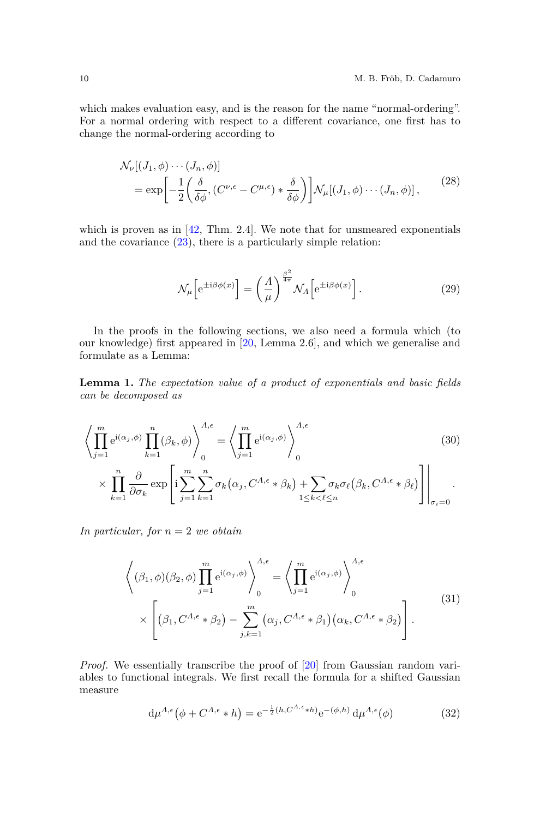which makes evaluation easy, and is the reason for the name "normal-ordering". For a normal ordering with respect to a different covariance, one first has to change the normal-ordering according to

$$
\mathcal{N}_{\nu}[(J_{1},\phi)\cdots(J_{n},\phi)]
$$
  
= 
$$
\exp\left[-\frac{1}{2}\left(\frac{\delta}{\delta\phi},(C^{\nu,\epsilon}-C^{\mu,\epsilon})*\frac{\delta}{\delta\phi}\right)\right]\mathcal{N}_{\mu}[(J_{1},\phi)\cdots(J_{n},\phi)],
$$
 (28)

which is proven as in [\[42,](#page-56-3) Thm. 2.4]. We note that for unsmeared exponentials and the covariance  $(23)$ , there is a particularly simple relation:

<span id="page-9-4"></span><span id="page-9-3"></span>
$$
\mathcal{N}_{\mu} \left[ e^{\pm i\beta \phi(x)} \right] = \left( \frac{A}{\mu} \right)^{\frac{\beta^2}{4\pi}} \mathcal{N}_{\Lambda} \left[ e^{\pm i\beta \phi(x)} \right]. \tag{29}
$$

In the proofs in the following sections, we also need a formula which (to our knowledge) first appeared in [\[20,](#page-55-10) Lemma 2.6], and which we generalise and formulate as a Lemma:

**Lemma 1.** *The expectation value of a product of exponentials and basic fields can be decomposed as*

<span id="page-9-1"></span>
$$
\left\langle \prod_{j=1}^{m} e^{i(\alpha_j, \phi)} \prod_{k=1}^{n} (\beta_k, \phi) \right\rangle_{0}^{A, \epsilon} = \left\langle \prod_{j=1}^{m} e^{i(\alpha_j, \phi)} \right\rangle_{0}^{A, \epsilon}
$$
\n
$$
\times \prod_{k=1}^{n} \frac{\partial}{\partial \sigma_k} \exp \left[ i \sum_{j=1}^{m} \sum_{k=1}^{n} \sigma_k (\alpha_j, C^{A, \epsilon} * \beta_k) + \sum_{1 \le k < \ell \le n} \sigma_k \sigma_\ell (\beta_k, C^{A, \epsilon} * \beta_\ell) \right] \Big|_{\sigma_i = 0}.
$$
\n(30)

*In particular, for n* = 2 *we obtain*

<span id="page-9-2"></span>
$$
\left\langle (\beta_1, \phi)(\beta_2, \phi) \prod_{j=1}^m e^{i(\alpha_j, \phi)} \right\rangle_0^{\Lambda, \epsilon} = \left\langle \prod_{j=1}^m e^{i(\alpha_j, \phi)} \right\rangle_0^{\Lambda, \epsilon}
$$

$$
\times \left[ (\beta_1, C^{\Lambda, \epsilon} * \beta_2) - \sum_{j,k=1}^m (\alpha_j, C^{\Lambda, \epsilon} * \beta_1) (\alpha_k, C^{\Lambda, \epsilon} * \beta_2) \right].
$$

$$
(31)
$$

*Proof.* We essentially transcribe the proof of [\[20\]](#page-55-10) from Gaussian random variables to functional integrals. We first recall the formula for a shifted Gaussian measure

<span id="page-9-0"></span>
$$
d\mu^{\Lambda,\epsilon}(\phi + C^{\Lambda,\epsilon} * h) = e^{-\frac{1}{2}(h, C^{\Lambda,\epsilon} * h)} e^{-(\phi, h)} d\mu^{\Lambda,\epsilon}(\phi)
$$
(32)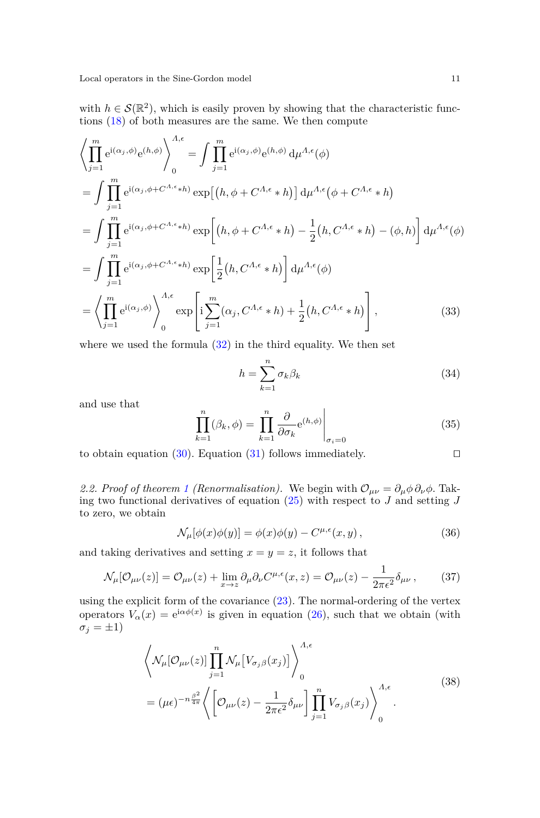with  $h \in \mathcal{S}(\mathbb{R}^2)$ , which is easily proven by showing that the characteristic functions [\(18\)](#page-7-1) of both measures are the same. We then compute

$$
\left\langle \prod_{j=1}^{m} e^{i(\alpha_{j}, \phi)} e^{(h, \phi)} \right\rangle_{0}^{A, \epsilon} = \int \prod_{j=1}^{m} e^{i(\alpha_{j}, \phi)} e^{(h, \phi)} d\mu^{A, \epsilon}(\phi)
$$
\n
$$
= \int \prod_{j=1}^{m} e^{i(\alpha_{j}, \phi + C^{A, \epsilon} * h)} \exp[(h, \phi + C^{A, \epsilon} * h)] d\mu^{A, \epsilon}(\phi + C^{A, \epsilon} * h)
$$
\n
$$
= \int \prod_{j=1}^{m} e^{i(\alpha_{j}, \phi + C^{A, \epsilon} * h)} \exp[(h, \phi + C^{A, \epsilon} * h) - \frac{1}{2}(h, C^{A, \epsilon} * h) - (\phi, h)] d\mu^{A, \epsilon}(\phi)
$$
\n
$$
= \int \prod_{j=1}^{m} e^{i(\alpha_{j}, \phi + C^{A, \epsilon} * h)} \exp\left[\frac{1}{2}(h, C^{A, \epsilon} * h)\right] d\mu^{A, \epsilon}(\phi)
$$
\n
$$
= \left\langle \prod_{j=1}^{m} e^{i(\alpha_{j}, \phi)} \right\rangle_{0}^{A, \epsilon} \exp\left[i \sum_{j=1}^{m} (\alpha_{j}, C^{A, \epsilon} * h) + \frac{1}{2}(h, C^{A, \epsilon} * h)\right], \tag{33}
$$

where we used the formula  $(32)$  in the third equality. We then set

$$
h = \sum_{k=1}^{n} \sigma_k \beta_k \tag{34}
$$

and use that

$$
\prod_{k=1}^{n} (\beta_k, \phi) = \prod_{k=1}^{n} \frac{\partial}{\partial \sigma_k} e^{(h, \phi)} \Big|_{\sigma_i = 0}
$$
\n(35)

to obtain equation [\(30\)](#page-9-1). Equation [\(31\)](#page-9-2) follows immediately.  $\square$ 

2.2. Proof of theorem [1](#page-3-0) (Renormalisation). We begin with  $\mathcal{O}_{\mu\nu} = \partial_{\mu}\phi \partial_{\nu}\phi$ . Taking two functional derivatives of equation [\(25\)](#page-8-1) with respect to *J* and setting *J* to zero, we obtain

$$
\mathcal{N}_{\mu}[\phi(x)\phi(y)] = \phi(x)\phi(y) - C^{\mu,\epsilon}(x,y), \qquad (36)
$$

and taking derivatives and setting  $x = y = z$ , it follows that

<span id="page-10-0"></span>
$$
\mathcal{N}_{\mu}[\mathcal{O}_{\mu\nu}(z)] = \mathcal{O}_{\mu\nu}(z) + \lim_{x \to z} \partial_{\mu} \partial_{\nu} C^{\mu,\epsilon}(x, z) = \mathcal{O}_{\mu\nu}(z) - \frac{1}{2\pi\epsilon^2} \delta_{\mu\nu},\tag{37}
$$

using the explicit form of the covariance [\(23\)](#page-8-0). The normal-ordering of the vertex operators  $V_\alpha(x) = e^{i\alpha\phi(x)}$  is given in equation [\(26\)](#page-8-2), such that we obtain (with  $\sigma_j = \pm 1$ 

$$
\left\langle \mathcal{N}_{\mu}[\mathcal{O}_{\mu\nu}(z)] \prod_{j=1}^{n} \mathcal{N}_{\mu} [V_{\sigma_j \beta}(x_j)] \right\rangle_0^{\Lambda, \epsilon}
$$
\n
$$
= (\mu \epsilon)^{-n \frac{\beta^2}{4\pi}} \left\langle \left[ \mathcal{O}_{\mu\nu}(z) - \frac{1}{2\pi \epsilon^2} \delta_{\mu\nu} \right] \prod_{j=1}^{n} V_{\sigma_j \beta}(x_j) \right\rangle_0^{\Lambda, \epsilon}.
$$
\n(38)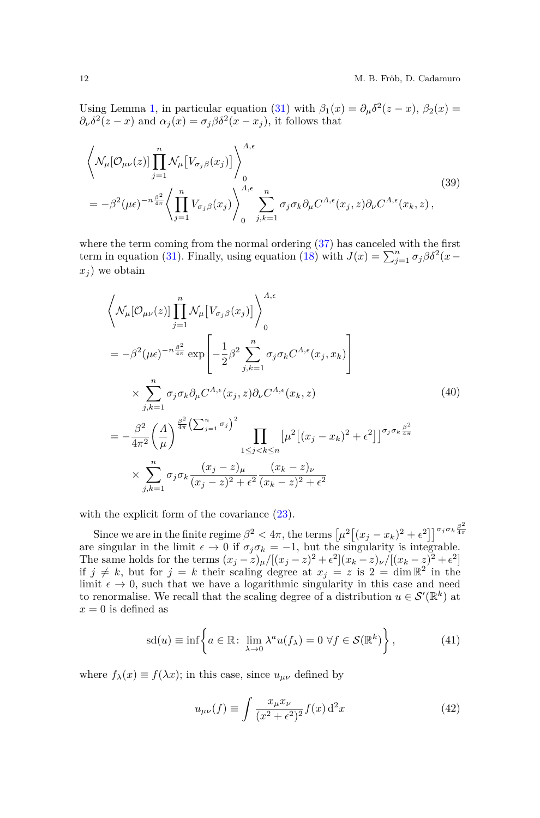Using Lemma [1,](#page-9-3) in particular equation [\(31\)](#page-9-2) with  $\beta_1(x) = \partial_\mu \delta^2(z - x)$ ,  $\beta_2(x) =$  $\partial_{\nu} \delta^2(z - x)$  and  $\alpha_j(x) = \sigma_j \beta \delta^2(x - x_j)$ , it follows that

$$
\left\langle \mathcal{N}_{\mu}[\mathcal{O}_{\mu\nu}(z)] \prod_{j=1}^{n} \mathcal{N}_{\mu} \left[ V_{\sigma_j \beta}(x_j) \right] \right\rangle_0^{\Lambda, \epsilon}
$$
\n
$$
= -\beta^2 (\mu \epsilon)^{-n \frac{\beta^2}{4\pi}} \left\langle \prod_{j=1}^{n} V_{\sigma_j \beta}(x_j) \right\rangle_0^{\Lambda, \epsilon} \sum_{j,k=1}^{n} \sigma_j \sigma_k \partial_{\mu} C^{\Lambda, \epsilon}(x_j, z) \partial_{\nu} C^{\Lambda, \epsilon}(x_k, z), \tag{39}
$$

where the term coming from the normal ordering  $(37)$  has canceled with the first term in equation [\(31\)](#page-9-2). Finally, using equation [\(18\)](#page-7-1) with  $J(x) = \sum_{j=1}^{n} \sigma_j \beta \delta^2(x$  $x_j$  we obtain

<span id="page-11-0"></span>
$$
\left\langle \mathcal{N}_{\mu}[\mathcal{O}_{\mu\nu}(z)] \prod_{j=1}^{n} \mathcal{N}_{\mu} \left[ V_{\sigma_{j}\beta}(x_{j}) \right] \right\rangle_{0}^{A,\epsilon}
$$
\n
$$
= -\beta^{2} (\mu \epsilon)^{-n \frac{\beta^{2}}{4\pi}} \exp \left[ -\frac{1}{2} \beta^{2} \sum_{j,k=1}^{n} \sigma_{j} \sigma_{k} C^{A,\epsilon}(x_{j}, x_{k}) \right]
$$
\n
$$
\times \sum_{j,k=1}^{n} \sigma_{j} \sigma_{k} \partial_{\mu} C^{A,\epsilon}(x_{j}, z) \partial_{\nu} C^{A,\epsilon}(x_{k}, z) \qquad (40)
$$
\n
$$
= -\frac{\beta^{2}}{4\pi^{2}} \left( \frac{A}{\mu} \right)^{\frac{\beta^{2}}{4\pi}} \left( \sum_{j=1}^{n} \sigma_{j} \right)^{2} \prod_{1 \leq j < k \leq n} \left[ \mu^{2} \left[ (x_{j} - x_{k})^{2} + \epsilon^{2} \right] \right]^{\sigma_{j} \sigma_{k} \frac{\beta^{2}}{4\pi}}
$$
\n
$$
\times \sum_{j,k=1}^{n} \sigma_{j} \sigma_{k} \frac{(x_{j} - z)_{\mu}}{(x_{j} - z)^{2} + \epsilon^{2}} \frac{(x_{k} - z)_{\nu}}{(x_{k} - z)^{2} + \epsilon^{2}}
$$
\n(40)

with the explicit form of the covariance  $(23)$ .

Since we are in the finite regime  $\beta^2 < 4\pi$ , the terms  $\left[\mu^2\left[(x_j - x_k)^2 + \epsilon^2\right]\right]^{\sigma_j \sigma_k \frac{\beta^2}{4\pi}}$ are singular in the limit  $\epsilon \to 0$  if  $\sigma_j \sigma_k = -1$ , but the singularity is integrable.<br>The same holds for the terms  $(r - z) / [(r - z)^2 + \epsilon^2](r - z) / [(r - z)^2 + \epsilon^2]$ The same holds for the terms  $(x_j - z)_{\mu}/[(x_j - z)^2 + \epsilon^2](x_k - z)_{\nu}/[(x_k - z)^2 + \epsilon^2]$ if  $j \neq k$ , but for  $j = k$  their scaling degree at  $x_j = z$  is  $2 = \dim \mathbb{R}^2$  in the limit  $\epsilon \to 0$ , such that we have a logarithmic singularity in this case and need to renormalise. We recall that the scaling degree of a distribution  $u \in \mathcal{S}'(\mathbb{R}^k)$  at  $x = 0$  is defined as

$$
\mathrm{sd}(u) \equiv \inf \left\{ a \in \mathbb{R} \colon \lim_{\lambda \to 0} \lambda^a u(f_\lambda) = 0 \,\,\forall f \in \mathcal{S}(\mathbb{R}^k) \right\},\tag{41}
$$

where  $f_{\lambda}(x) \equiv f(\lambda x)$ ; in this case, since  $u_{\mu\nu}$  defined by

$$
u_{\mu\nu}(f) \equiv \int \frac{x_{\mu}x_{\nu}}{(x^2 + \epsilon^2)^2} f(x) d^2x \tag{42}
$$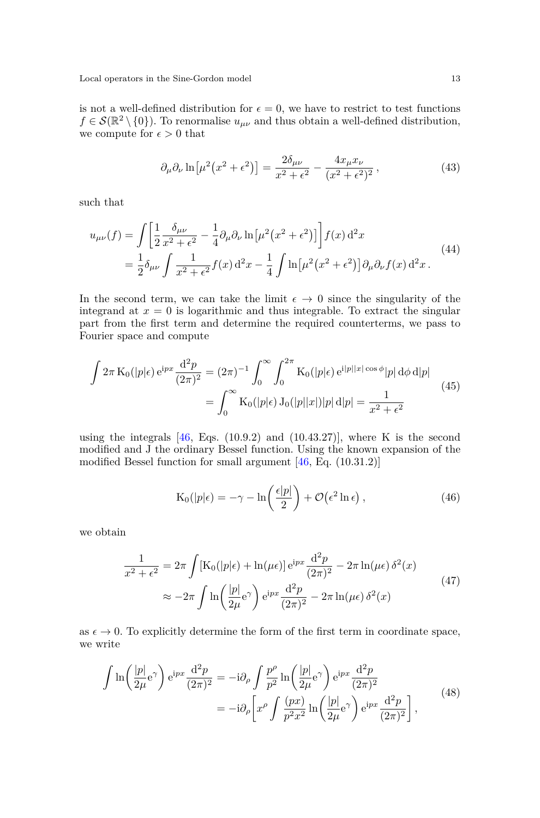is not a well-defined distribution for  $\epsilon = 0$ , we have to restrict to test functions  $f \in \mathcal{S}(\mathbb{R}^2 \setminus \{0\})$ . To renormalise  $u_{\mu\nu}$  and thus obtain a well-defined distribution, we compute for  $\epsilon>0$  that

$$
\partial_{\mu}\partial_{\nu}\ln\left[\mu^{2}\left(x^{2}+\epsilon^{2}\right)\right]=\frac{2\delta_{\mu\nu}}{x^{2}+\epsilon^{2}}-\frac{4x_{\mu}x_{\nu}}{(x^{2}+\epsilon^{2})^{2}},\tag{43}
$$

such that

$$
u_{\mu\nu}(f) = \int \left[ \frac{1}{2} \frac{\delta_{\mu\nu}}{x^2 + \epsilon^2} - \frac{1}{4} \partial_{\mu} \partial_{\nu} \ln \left[ \mu^2 (x^2 + \epsilon^2) \right] \right] f(x) d^2 x
$$
  
=  $\frac{1}{2} \delta_{\mu\nu} \int \frac{1}{x^2 + \epsilon^2} f(x) d^2 x - \frac{1}{4} \int \ln \left[ \mu^2 (x^2 + \epsilon^2) \right] \partial_{\mu} \partial_{\nu} f(x) d^2 x.$  (44)

In the second term, we can take the limit  $\epsilon \to 0$  since the singularity of the integrand at  $x = 0$  is logarithmic and thus integrable. To extract the singular part from the first term and determine the required counterterms, we pass to Fourier space and compute

$$
\int 2\pi \, \mathcal{K}_0(|p|\epsilon) \, \mathrm{e}^{\mathrm{i} p x} \frac{\mathrm{d}^2 p}{(2\pi)^2} = (2\pi)^{-1} \int_0^\infty \int_0^{2\pi} \mathcal{K}_0(|p|\epsilon) \, \mathrm{e}^{\mathrm{i} |p||x|\cos\phi} |p| \, \mathrm{d}\phi \, \mathrm{d}|p| \n= \int_0^\infty \mathcal{K}_0(|p|\epsilon) \, \mathcal{J}_0(|p||x|)|p| \, \mathrm{d}|p| = \frac{1}{x^2 + \epsilon^2}
$$
\n(45)

using the integrals  $[46, Egs. (10.9.2)$  $[46, Egs. (10.9.2)$  and  $(10.43.27)$ , where K is the second modified and J the ordinary Bessel function. Using the known expansion of the modified Bessel function for small argument [\[46,](#page-56-7) Eq. (10.31.2)]

$$
K_0(|p|\epsilon) = -\gamma - \ln\left(\frac{\epsilon|p|}{2}\right) + \mathcal{O}(\epsilon^2 \ln \epsilon), \qquad (46)
$$

we obtain

$$
\frac{1}{x^2 + \epsilon^2} = 2\pi \int \left[ K_0(|p|\epsilon) + \ln(\mu \epsilon) \right] e^{ipx} \frac{d^2 p}{(2\pi)^2} - 2\pi \ln(\mu \epsilon) \delta^2(x)
$$
\n
$$
\approx -2\pi \int \ln \left( \frac{|p|}{2\mu} e^{\gamma} \right) e^{ipx} \frac{d^2 p}{(2\pi)^2} - 2\pi \ln(\mu \epsilon) \delta^2(x)
$$
\n(47)

as  $\epsilon \to 0$ . To explicitly determine the form of the first term in coordinate space, we write

$$
\int \ln\left(\frac{|p|}{2\mu}e^{\gamma}\right) e^{ipx} \frac{d^2p}{(2\pi)^2} = -i\partial_{\rho} \int \frac{p^{\rho}}{p^2} \ln\left(\frac{|p|}{2\mu}e^{\gamma}\right) e^{ipx} \frac{d^2p}{(2\pi)^2}
$$

$$
= -i\partial_{\rho} \left[ x^{\rho} \int \frac{(px)}{p^2x^2} \ln\left(\frac{|p|}{2\mu}e^{\gamma}\right) e^{ipx} \frac{d^2p}{(2\pi)^2} \right],
$$
(48)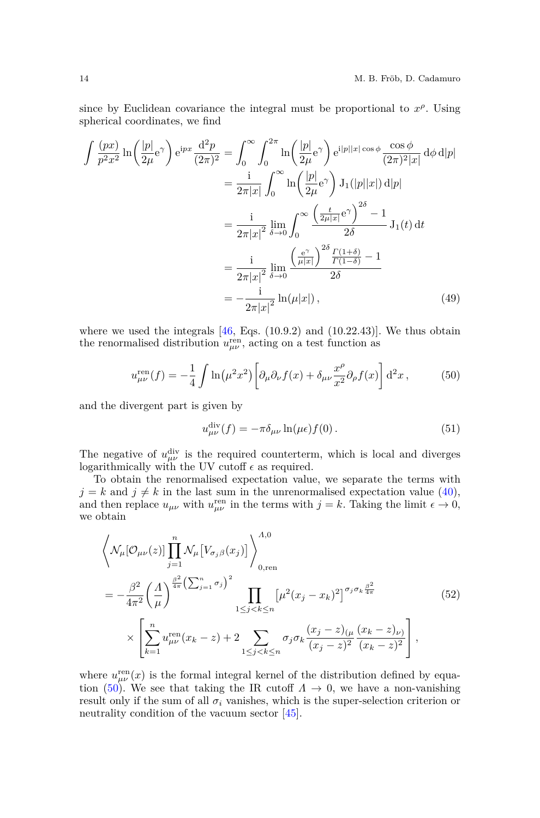since by Euclidean covariance the integral must be proportional to  $x^{\rho}$ . Using spherical coordinates, we find

$$
\int \frac{(px)}{p^2x^2} \ln\left(\frac{|p|}{2\mu}e^{\gamma}\right) e^{ipx} \frac{d^2p}{(2\pi)^2} = \int_0^\infty \int_0^{2\pi} \ln\left(\frac{|p|}{2\mu}e^{\gamma}\right) e^{i|p||x|\cos\phi} \frac{\cos\phi}{(2\pi)^2|x|} d\phi d|p|
$$
  
\n
$$
= \frac{i}{2\pi|x|} \int_0^\infty \ln\left(\frac{|p|}{2\mu}e^{\gamma}\right) J_1(|p||x|) d|p|
$$
  
\n
$$
= \frac{i}{2\pi|x|^2} \lim_{\delta \to 0} \int_0^\infty \frac{\left(\frac{t}{2\mu|x|}e^{\gamma}\right)^{2\delta} - 1}{2\delta} J_1(t) dt
$$
  
\n
$$
= \frac{i}{2\pi|x|^2} \lim_{\delta \to 0} \frac{\left(\frac{e^{\gamma}}{\mu|x|}\right)^{2\delta} \frac{\Gamma(1+\delta)}{\Gamma(1-\delta)} - 1}{2\delta}
$$
  
\n
$$
= -\frac{i}{2\pi|x|^2} \ln(\mu|x|), \tag{49}
$$

where we used the integrals  $[46, Eqs. (10.9.2)$  $[46, Eqs. (10.9.2)$  and  $(10.22.43)$ . We thus obtain the renormalised distribution  $u_{\mu\nu}^{\text{ren}}$ , acting on a test function as

<span id="page-13-0"></span>
$$
u_{\mu\nu}^{\text{ren}}(f) = -\frac{1}{4} \int \ln(\mu^2 x^2) \left[ \partial_\mu \partial_\nu f(x) + \delta_{\mu\nu} \frac{x^\rho}{x^2} \partial_\rho f(x) \right] d^2 x \,, \tag{50}
$$

and the divergent part is given by

<span id="page-13-2"></span>
$$
u_{\mu\nu}^{\text{div}}(f) = -\pi \delta_{\mu\nu} \ln(\mu \epsilon) f(0).
$$
 (51)

The negative of  $u_{\mu\nu}^{\text{div}}$  is the required counterterm, which is local and diverges logarithmically with the UV cutoff  $\epsilon$  as required.

To obtain the renormalised expectation value, we separate the terms with  $j = k$  and  $j \neq k$  in the last sum in the unrenormalised expectation value [\(40\)](#page-11-0), and then replace  $u_{\mu\nu}$  with  $u_{\mu\nu}^{\text{ren}}$  in the terms with  $j = k$ . Taking the limit  $\epsilon \to 0$ , we obtain

<span id="page-13-1"></span>
$$
\left\langle \mathcal{N}_{\mu}[\mathcal{O}_{\mu\nu}(z)] \prod_{j=1}^{n} \mathcal{N}_{\mu} [V_{\sigma_{j}\beta}(x_{j})] \right\rangle_{0, \text{ren}}^{A,0}
$$
\n
$$
= -\frac{\beta^{2}}{4\pi^{2}} \left(\frac{A}{\mu}\right)^{\frac{\beta^{2}}{4\pi} \left(\sum_{j=1}^{n} \sigma_{j}\right)^{2}} \prod_{1 \leq j < k \leq n} \left[\mu^{2} (x_{j} - x_{k})^{2}\right]^{\sigma_{j}\sigma_{k}\frac{\beta^{2}}{4\pi}} \times \left[\sum_{k=1}^{n} u_{\mu\nu}^{\text{ren}}(x_{k} - z) + 2 \sum_{1 \leq j < k \leq n} \sigma_{j}\sigma_{k}\frac{(x_{j} - z)_{(\mu} (x_{k} - z)_{\nu})}{(x_{j} - z)^{2}} \right], \tag{52}
$$

where  $u_{\mu\nu}^{\text{ren}}(x)$  is the formal integral kernel of the distribution defined by equa-tion [\(50\)](#page-13-0). We see that taking the IR cutoff  $\Lambda \to 0$ , we have a non-vanishing result only if the sum of all  $\sigma_i$  vanishes, which is the super-selection criterion or neutrality condition of the vacuum sector [\[45\]](#page-56-6).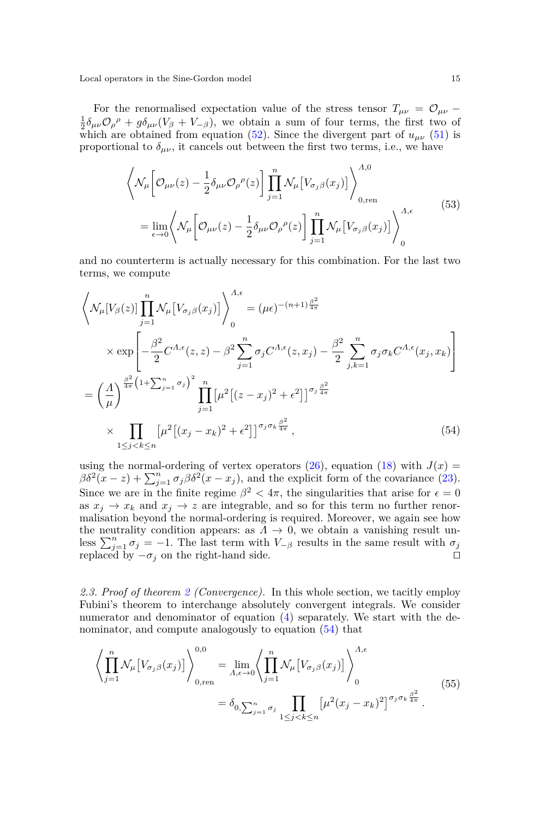For the renormalised expectation value of the stress tensor  $T_{\mu\nu} = \mathcal{O}_{\mu\nu} \frac{1}{2}\delta_{\mu\nu}\mathcal{O}_{\rho}{}^{\rho} + g\delta_{\mu\nu}(V_{\beta} + V_{-\beta})$ , we obtain a sum of four terms, the first two of which are obtained from equation [\(52\)](#page-13-1). Since the divergent part of  $u_{\mu\nu}$  [\(51\)](#page-13-2) is proportional to  $\delta_{\mu\nu}$ , it cancels out between the first two terms, i.e., we have

$$
\left\langle \mathcal{N}_{\mu} \left[ \mathcal{O}_{\mu\nu}(z) - \frac{1}{2} \delta_{\mu\nu} \mathcal{O}_{\rho}{}^{\rho}(z) \right] \prod_{j=1}^{n} \mathcal{N}_{\mu} \left[ V_{\sigma_{j}\beta}(x_{j}) \right] \right\rangle_{0, \text{ren}}^{A,0}
$$
\n
$$
= \lim_{\epsilon \to 0} \left\langle \mathcal{N}_{\mu} \left[ \mathcal{O}_{\mu\nu}(z) - \frac{1}{2} \delta_{\mu\nu} \mathcal{O}_{\rho}{}^{\rho}(z) \right] \prod_{j=1}^{n} \mathcal{N}_{\mu} \left[ V_{\sigma_{j}\beta}(x_{j}) \right] \right\rangle_{0}^{A, \epsilon}
$$
\n(53)

and no counterterm is actually necessary for this combination. For the last two terms, we compute

<span id="page-14-0"></span>
$$
\left\langle \mathcal{N}_{\mu}[V_{\beta}(z)] \prod_{j=1}^{n} \mathcal{N}_{\mu}[V_{\sigma_{j}\beta}(x_{j})] \right\rangle_{0}^{A,\epsilon} = (\mu\epsilon)^{-(n+1)\frac{\beta^{2}}{4\pi}}
$$
\n
$$
\times \exp\left[ -\frac{\beta^{2}}{2} C^{A,\epsilon}(z,z) - \beta^{2} \sum_{j=1}^{n} \sigma_{j} C^{A,\epsilon}(z,x_{j}) - \frac{\beta^{2}}{2} \sum_{j,k=1}^{n} \sigma_{j} \sigma_{k} C^{A,\epsilon}(x_{j},x_{k}) \right]
$$
\n
$$
= \left( \frac{A}{\mu} \right)^{\frac{\beta^{2}}{4\pi} \left(1 + \sum_{j=1}^{n} \sigma_{j}\right)^{2}} \prod_{j=1}^{n} \left[ \mu^{2} \left[ (z-x_{j})^{2} + \epsilon^{2} \right] \right]^{\sigma_{j} \frac{\beta^{2}}{4\pi}}
$$
\n
$$
\times \prod_{1 \le j < k \le n} \left[ \mu^{2} \left[ (x_{j} - x_{k})^{2} + \epsilon^{2} \right] \right]^{\sigma_{j} \sigma_{k} \frac{\beta^{2}}{4\pi}}, \tag{54}
$$

using the normal-ordering of vertex operators  $(26)$ , equation  $(18)$  with  $J(x)$  $\beta \delta^2(x-z) + \sum_{j=1}^n \sigma_j \beta \delta^2(x-x_j)$ , and the explicit form of the covariance [\(23\)](#page-8-0). Since we are in the finite regime  $\beta^2 < 4\pi$ , the singularities that arise for  $\epsilon = 0$ as  $x_j \to x_k$  and  $x_j \to z$  are integrable, and so for this term no further renormalisation beyond the normal-ordering is required. Moreover, we again see how the neutrality condition appears: as  $\Lambda \to 0$ , we obtain a vanishing result unless  $\sum_{j=1}^{n} \sigma_j = -1$ . The last term with  $V_{-\beta}$  results in the same result with  $\sigma_j$ replaced by  $-\sigma_j$  on the right-hand side.  $\Box$ 

*2.3. Proof of theorem [2](#page-3-1) (Convergence).* In this whole section, we tacitly employ Fubini's theorem to interchange absolutely convergent integrals. We consider numerator and denominator of equation [\(4\)](#page-3-2) separately. We start with the denominator, and compute analogously to equation  $(54)$  that

<span id="page-14-1"></span>
$$
\left\langle \prod_{j=1}^{n} \mathcal{N}_{\mu} \left[ V_{\sigma_j \beta}(x_j) \right] \right\rangle_{0, \text{ren}}^{0,0} = \lim_{\Lambda, \epsilon \to 0} \left\langle \prod_{j=1}^{n} \mathcal{N}_{\mu} \left[ V_{\sigma_j \beta}(x_j) \right] \right\rangle_{0}^{A, \epsilon}
$$
\n
$$
= \delta_{0, \sum_{j=1}^{n} \sigma_j} \prod_{1 \le j < k \le n} \left[ \mu^2 (x_j - x_k)^2 \right]^{\sigma_j \sigma_k \frac{\beta^2}{4\pi}}.
$$
\n
$$
(55)
$$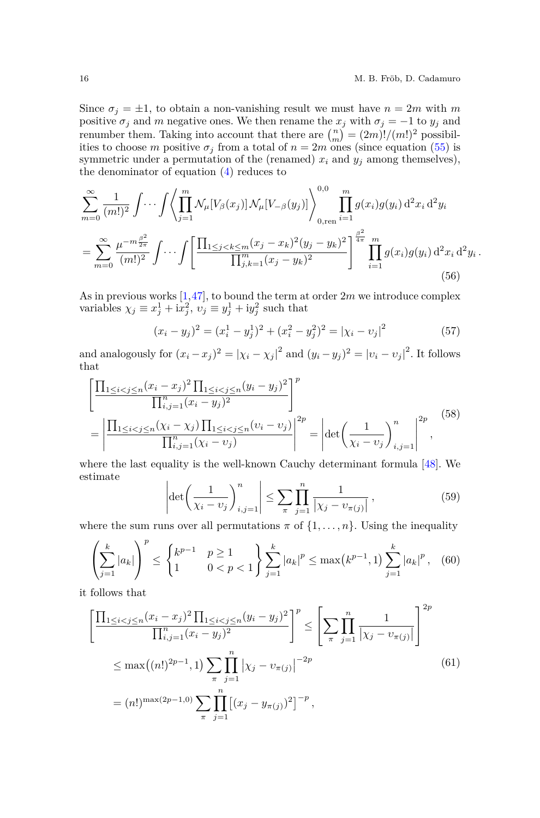*.*

Since  $\sigma_j = \pm 1$ , to obtain a non-vanishing result we must have  $n = 2m$  with m positive  $\sigma_j$  and *m* negative ones. We then rename the  $x_j$  with  $\sigma_j = -1$  to  $y_j$  and renumber them. Taking into account that there are  $\binom{n}{m} = (2m)!/(m!)^2$  possibilities to choose *m* positive  $\sigma_j$  from a total of  $n = 2m$  ones (since equation [\(55\)](#page-14-1) is symmetric under a permutation of the (renamed)  $x_i$  and  $y_j$  among themselves), the denominator of equation  $(4)$  reduces to

<span id="page-15-1"></span>
$$
\sum_{m=0}^{\infty} \frac{1}{(m!)^2} \int \cdots \int \left\langle \prod_{j=1}^m \mathcal{N}_{\mu} [V_{\beta}(x_j)] \mathcal{N}_{\mu} [V_{-\beta}(y_j)] \right\rangle_{0, \text{ren}}^{0,0} \prod_{i=1}^m g(x_i) g(y_i) d^2 x_i d^2 y_i
$$
\n
$$
= \sum_{m=0}^{\infty} \frac{\mu^{-m \frac{\beta^2}{2\pi}}}{(m!)^2} \int \cdots \int \left[ \frac{\prod_{1 \le j < k \le m} (x_j - x_k)^2 (y_j - y_k)^2}{\prod_{j,k=1}^m (x_j - y_k)^2} \right]^{\frac{\beta^2}{4\pi}} \prod_{i=1}^m g(x_i) g(y_i) d^2 x_i d^2 y_i
$$
\n(56)

As in previous works [\[1,](#page-54-0)[47\]](#page-56-8), to bound the term at order 2*m* we introduce complex variables  $\chi_j \equiv x_j^1 + ix_j^2$ ,  $v_j \equiv y_j^1 + iy_j^2$  such that

$$
(x_i - y_j)^2 = (x_i^1 - y_j^1)^2 + (x_i^2 - y_j^2)^2 = |\chi_i - \chi_j|^2
$$
\n(57)

and analogously for  $(x_i - x_j)^2 = |\chi_i - \chi_j|^2$  and  $(y_i - y_j)^2 = |v_i - v_j|^2$ . It follows that

<span id="page-15-2"></span>
$$
\left[\frac{\prod_{1\leq i < j \leq n} (x_i - x_j)^2 \prod_{1\leq i < j \leq n} (y_i - y_j)^2}{\prod_{i,j=1}^n (x_i - y_j)^2}\right]^p = \left|\frac{\prod_{1\leq i < j \leq n} (\chi_i - \chi_j) \prod_{1\leq i < j \leq n} (v_i - v_j)}{\prod_{i,j=1}^n (\chi_i - v_j)}\right|^{2p} = \left|\det \left(\frac{1}{\chi_i - v_j}\right)_{i,j=1}^n\right|^{2p},\tag{58}
$$

where the last equality is the well-known Cauchy determinant formula [\[48\]](#page-56-9). We estimate

<span id="page-15-3"></span>
$$
\left| \det \left( \frac{1}{\chi_i - v_j} \right)_{i,j=1}^n \right| \le \sum_{\pi} \prod_{j=1}^n \frac{1}{\left| \chi_j - v_{\pi(j)} \right|},\tag{59}
$$

where the sum runs over all permutations  $\pi$  of  $\{1, \ldots, n\}$ . Using the inequality

<span id="page-15-4"></span>
$$
\left(\sum_{j=1}^k |a_k|\right)^p \le \left\{\begin{matrix} k^{p-1} & p \ge 1\\ 1 & 0 < p < 1 \end{matrix}\right\} \sum_{j=1}^k |a_k|^p \le \max\left(k^{p-1}, 1\right) \sum_{j=1}^k |a_k|^p, \quad (60)
$$

it follows that

<span id="page-15-0"></span>
$$
\left[\frac{\prod_{1 \leq i < j \leq n} (x_i - x_j)^2 \prod_{1 \leq i < j \leq n} (y_i - y_j)^2}{\prod_{i,j=1}^n (x_i - y_j)^2}\right]^p \leq \left[\sum_{\pi} \prod_{j=1}^n \frac{1}{|\chi_j - v_{\pi(j)}|}\right]^{2p}
$$
\n
$$
\leq \max((n!)^{2p-1}, 1) \sum_{\pi} \prod_{j=1}^n |\chi_j - v_{\pi(j)}|^{-2p}
$$
\n
$$
= (n!)^{\max(2p-1,0)} \sum_{\pi} \prod_{j=1}^n [(x_j - y_{\pi(j)})^2]^{-p}, \tag{61}
$$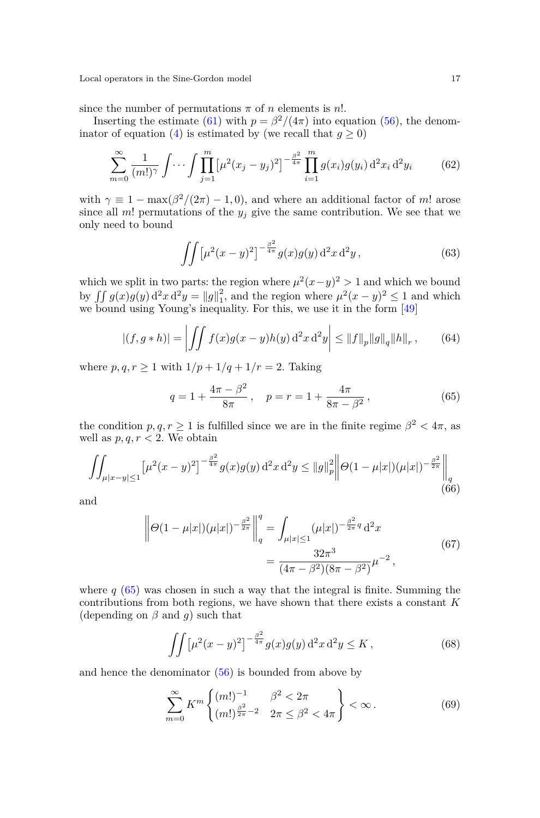since the number of permutations  $\pi$  of *n* elements is *n*!.

Inserting the estimate [\(61\)](#page-15-0) with  $p = \frac{\beta^2}{4\pi}$  into equation [\(56\)](#page-15-1), the denom-inator of equation [\(4\)](#page-3-2) is estimated by (we recall that  $g \ge 0$ )

<span id="page-16-2"></span>
$$
\sum_{m=0}^{\infty} \frac{1}{(m!)^{\gamma}} \int \cdots \int \prod_{j=1}^{m} \left[ \mu^2 (x_j - y_j)^2 \right]^{-\frac{\beta^2}{4\pi}} \prod_{i=1}^{m} g(x_i) g(y_i) \, d^2 x_i \, d^2 y_i \tag{62}
$$

with  $\gamma \equiv 1 - \max(\beta^2/(2\pi) - 1, 0)$ , and where an additional factor of *m*! arose since all *m*! permutations of the  $y_j$  give the same contribution. We see that we only need to bound

$$
\iint \left[\mu^2(x-y)^2\right]^{-\frac{\beta^2}{4\pi}} g(x)g(y) d^2x d^2y, \tag{63}
$$

which we split in two parts: the region where  $\mu^2(x-y)^2 > 1$  and which we bound by  $\iint g(x)g(y) d^2x d^2y = ||g||_1^2$ , and the region where  $\mu^2(x-y)^2 \le 1$  and which we bound using Young's inequality. For this, we use it in the form [\[49\]](#page-56-10)

<span id="page-16-3"></span>
$$
|(f, g * h)| = \left| \iint f(x)g(x - y)h(y) d^2x d^2y \right| \le ||f||_p ||g||_q ||h||_r, \qquad (64)
$$

where  $p, q, r \geq 1$  with  $1/p + 1/q + 1/r = 2$ . Taking

<span id="page-16-0"></span>
$$
q = 1 + \frac{4\pi - \beta^2}{8\pi}, \quad p = r = 1 + \frac{4\pi}{8\pi - \beta^2},
$$
\n(65)

the condition  $p, q, r \geq 1$  is fulfilled since we are in the finite regime  $\beta^2 < 4\pi$ , as well as  $p, q, r < 2$ . We obtain

$$
\iint_{\mu|x-y|\leq 1} \left[\mu^2(x-y)^2\right]^{-\frac{\beta^2}{4\pi}} g(x)g(y) d^2x d^2y \leq \|g\|_p^2 \left\|\Theta(1-\mu|x|)(\mu|x|)^{-\frac{\beta^2}{2\pi}}\right\|_q
$$
\n(66)

<span id="page-16-5"></span>and

$$
\left\| \Theta(1 - \mu|x|) (\mu|x|)^{-\frac{\beta^2}{2\pi}} \right\|_q^q = \int_{\mu|x| \le 1} (\mu|x|)^{-\frac{\beta^2}{2\pi}q} d^2x
$$
  
= 
$$
\frac{32\pi^3}{(4\pi - \beta^2)(8\pi - \beta^2)} \mu^{-2},
$$
(67)

where  $q(65)$  $q(65)$  was chosen in such a way that the integral is finite. Summing the contributions from both regions, we have shown that there exists a constant *K* (depending on  $\beta$  and  $q$ ) such that

<span id="page-16-4"></span>
$$
\iint \left[\mu^2(x-y)^2\right]^{-\frac{\beta^2}{4\pi}} g(x)g(y) d^2x d^2y \le K\,,\tag{68}
$$

and hence the denominator [\(56\)](#page-15-1) is bounded from above by

<span id="page-16-1"></span>
$$
\sum_{m=0}^{\infty} K^m \left\{ \begin{aligned} & (m!)^{-1} & \beta^2 < 2\pi \\ & (m!)^{\frac{\beta^2}{2\pi} - 2} & 2\pi \le \beta^2 < 4\pi \end{aligned} \right\} < \infty. \tag{69}
$$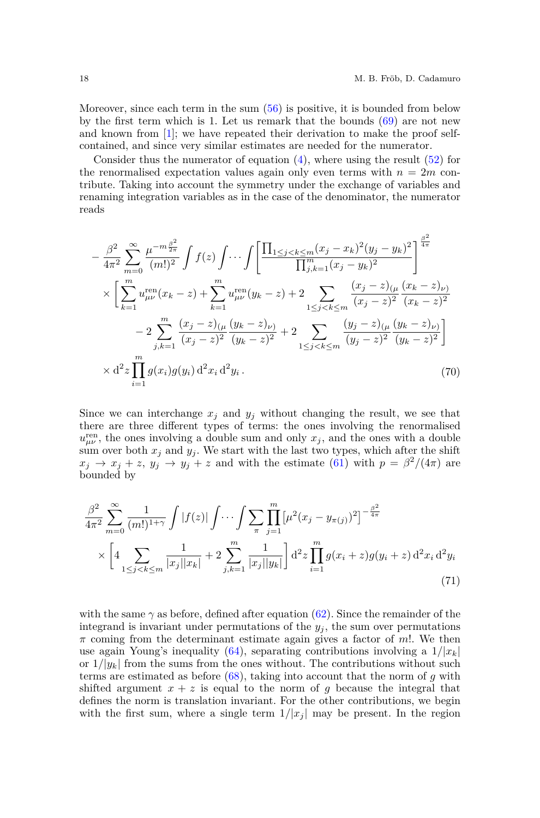$22$ 

Moreover, since each term in the sum [\(56\)](#page-15-1) is positive, it is bounded from below by the first term which is 1. Let us remark that the bounds  $(69)$  are not new and known from [\[1\]](#page-54-0); we have repeated their derivation to make the proof selfcontained, and since very similar estimates are needed for the numerator.

Consider thus the numerator of equation  $(4)$ , where using the result  $(52)$  for the renormalised expectation values again only even terms with  $n = 2m$  contribute. Taking into account the symmetry under the exchange of variables and renaming integration variables as in the case of the denominator, the numerator reads

<span id="page-17-1"></span>
$$
-\frac{\beta^2}{4\pi^2} \sum_{m=0}^{\infty} \frac{\mu^{-m\frac{\beta^2}{2\pi}}}{(m!)^2} \int f(z) \int \cdots \int \left[ \frac{\prod_{1 \le j < k \le m} (x_j - x_k)^2 (y_j - y_k)^2}{\prod_{j,k=1}^m (x_j - y_k)^2} \right]^{\frac{\beta^2}{4\pi}} \times \left[ \sum_{k=1}^m u_{\mu\nu}^{\text{ren}} (x_k - z) + \sum_{k=1}^m u_{\mu\nu}^{\text{ren}} (y_k - z) + 2 \sum_{1 \le j < k \le m} \frac{(x_j - z)_{(\mu)} (x_k - z)_{\nu}}{(x_j - z)^2} \frac{(x_k - z)_{\nu}}{(x_k - z)^2} - 2 \sum_{j,k=1}^m \frac{(x_j - z)_{(\mu)} (y_k - z)_{\nu}}{(x_j - z)^2} \frac{(y_j - z)_{(\mu)} (y_k - z)_{\nu}}{(y_j - z)^2} \right] \times d^2 z \prod_{i=1}^m g(x_i) g(y_i) d^2 x_i d^2 y_i.
$$
\n(70)

Since we can interchange  $x_j$  and  $y_j$  without changing the result, we see that there are three different types of terms: the ones involving the renormalised  $u_{\mu\nu}^{\text{ren}}$ , the ones involving a double sum and only  $x_j$ , and the ones with a double sum over both  $x_j$  and  $y_j$ . We start with the last two types, which after the shift  $x_j \rightarrow x_j + z$ ,  $y_j \rightarrow y_j + z$  and with the estimate [\(61\)](#page-15-0) with  $p = \beta^2/(4\pi)$  are bounded by

<span id="page-17-0"></span>
$$
\frac{\beta^2}{4\pi^2} \sum_{m=0}^{\infty} \frac{1}{(m!)^{1+\gamma}} \int |f(z)| \int \cdots \int \sum_{\pi} \prod_{j=1}^m \left[ \mu^2 (x_j - y_{\pi(j)})^2 \right]^{-\frac{\beta^2}{4\pi}} \times \left[ 4 \sum_{1 \le j < k \le m} \frac{1}{|x_j| |x_k|} + 2 \sum_{j,k=1}^m \frac{1}{|x_j| |y_k|} \right] d^2 z \prod_{i=1}^m g(x_i + z) g(y_i + z) d^2 x_i d^2 y_i \tag{71}
$$

with the same  $\gamma$  as before, defined after equation [\(62\)](#page-16-2). Since the remainder of the integrand is invariant under permutations of the  $y_j$ , the sum over permutations *π* coming from the determinant estimate again gives a factor of *m*!. We then use again Young's inequality [\(64\)](#page-16-3), separating contributions involving a  $1/|x_k|$ or  $1/|y_k|$  from the sums from the ones without. The contributions without such terms are estimated as before [\(68\)](#page-16-4), taking into account that the norm of *g* with shifted argument  $x + z$  is equal to the norm of *g* because the integral that defines the norm is translation invariant. For the other contributions, we begin with the first sum, where a single term  $1/|x_i|$  may be present. In the region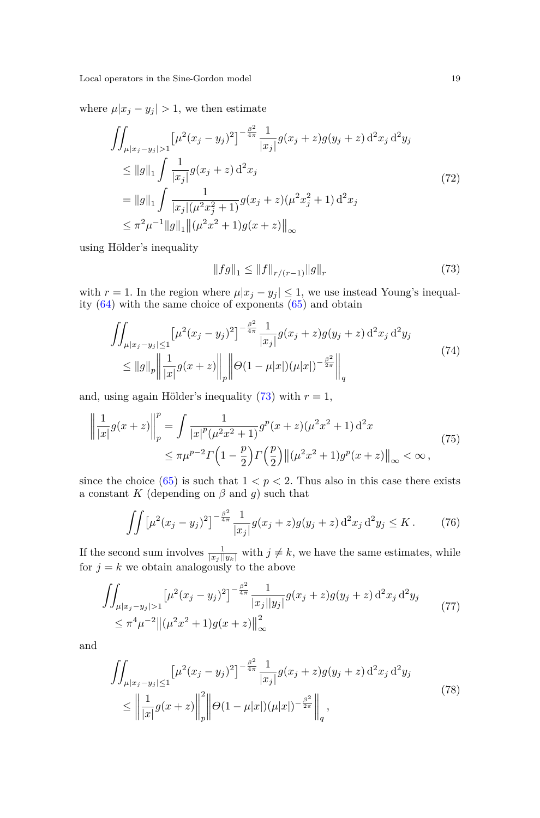where  $\mu |x_j - y_j| > 1$ , we then estimate

$$
\iint_{\mu|x_j - y_j| > 1} \left[ \mu^2 (x_j - y_j)^2 \right]^{-\frac{\beta^2}{4\pi}} \frac{1}{|x_j|} g(x_j + z) g(y_j + z) d^2 x_j d^2 y_j
$$
\n
$$
\leq \|g\|_1 \int \frac{1}{|x_j|} g(x_j + z) d^2 x_j
$$
\n
$$
= \|g\|_1 \int \frac{1}{|x_j| (\mu^2 x_j^2 + 1)} g(x_j + z) (\mu^2 x_j^2 + 1) d^2 x_j
$$
\n
$$
\leq \pi^2 \mu^{-1} \|g\|_1 \|(\mu^2 x^2 + 1) g(x + z)\|_\infty
$$
\n(72)

using Hölder's inequality

<span id="page-18-0"></span>
$$
||fg||_1 \le ||f||_{r/(r-1)} ||g||_r \tag{73}
$$

with  $r = 1$ . In the region where  $\mu |x_j - y_j| \leq 1$ , we use instead Young's inequality [\(64\)](#page-16-3) with the same choice of exponents [\(65\)](#page-16-0) and obtain

$$
\iint_{\mu|x_j - y_j| \le 1} \left[ \mu^2 (x_j - y_j)^2 \right]^{-\frac{\beta^2}{4\pi}} \frac{1}{|x_j|} g(x_j + z) g(y_j + z) d^2 x_j d^2 y_j
$$
\n
$$
\le ||g||_p \left\| \frac{1}{|x|} g(x + z) \right\|_p \left\| \Theta(1 - \mu|x|) (\mu|x|)^{-\frac{\beta^2}{2\pi}} \right\|_q \tag{74}
$$

and, using again Hölder's inequality  $(73)$  with  $r = 1$ ,

$$
\left\| \frac{1}{|x|} g(x+z) \right\|_{p}^{p} = \int \frac{1}{|x|^{p} (\mu^{2} x^{2} + 1)} g^{p} (x+z) (\mu^{2} x^{2} + 1) d^{2} x
$$
\n
$$
\leq \pi \mu^{p-2} \Gamma \left( 1 - \frac{p}{2} \right) \Gamma \left( \frac{p}{2} \right) \left\| (\mu^{2} x^{2} + 1) g^{p} (x+z) \right\|_{\infty} < \infty ,
$$
\n(75)

since the choice  $(65)$  is such that  $1 < p < 2$ . Thus also in this case there exists a constant *K* (depending on  $\beta$  and *g*) such that

$$
\iint \left[\mu^2(x_j - y_j)^2\right]^{-\frac{\beta^2}{4\pi}} \frac{1}{|x_j|} g(x_j + z) g(y_j + z) d^2 x_j d^2 y_j \le K. \tag{76}
$$

If the second sum involves  $\frac{1}{|x_j||y_k|}$  with  $j \neq k$ , we have the same estimates, while for  $j = k$  we obtain analogously to the above

$$
\iint_{\mu|x_j-y_j|>1} \left[\mu^2(x_j-y_j)^2\right]^{-\frac{\beta^2}{4\pi}} \frac{1}{|x_j||y_j|} g(x_j+z)g(y_j+z) d^2x_j d^2y_j
$$
\n
$$
\leq \pi^4 \mu^{-2} \left\| (\mu^2 x^2+1)g(x+z) \right\|_{\infty}^2
$$
\n(77)

and

$$
\iint_{\mu|x_j - y_j| \le 1} \left[ \mu^2 (x_j - y_j)^2 \right]^{-\frac{\beta^2}{4\pi}} \frac{1}{|x_j|} g(x_j + z) g(y_j + z) d^2 x_j d^2 y_j
$$
\n
$$
\le \left\| \frac{1}{|x|} g(x + z) \right\|_p^2 \left\| \Theta(1 - \mu|x|) (\mu|x|)^{-\frac{\beta^2}{2\pi}} \right\|_q,
$$
\n(78)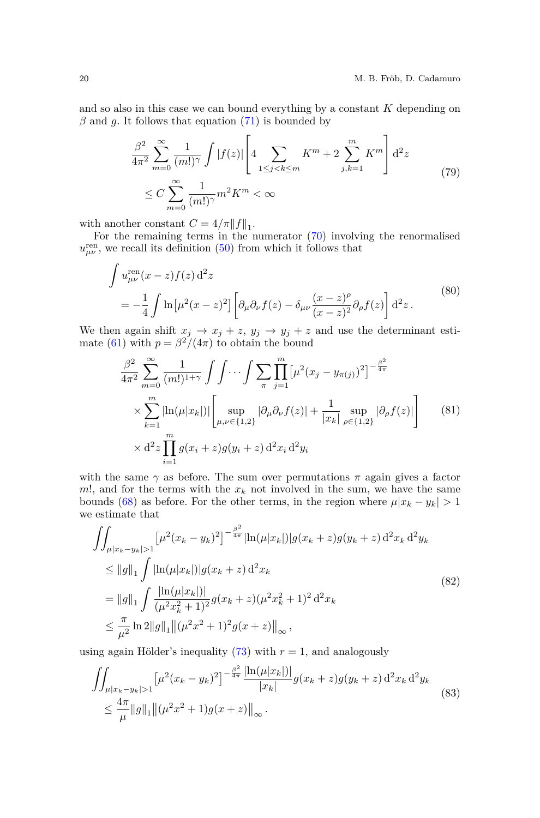and so also in this case we can bound everything by a constant *K* depending on  $\beta$  and  $g$ . It follows that equation [\(71\)](#page-17-0) is bounded by

$$
\frac{\beta^2}{4\pi^2} \sum_{m=0}^{\infty} \frac{1}{(m!)^{\gamma}} \int |f(z)| \left[ 4 \sum_{1 \le j < k \le m} K^m + 2 \sum_{j,k=1}^m K^m \right] d^2 z
$$
\n
$$
\le C \sum_{m=0}^{\infty} \frac{1}{(m!)^{\gamma}} m^2 K^m < \infty
$$
\n
$$
(79)
$$

with another constant  $C = 4/\pi ||f||_1$ .

For the remaining terms in the numerator [\(70\)](#page-17-1) involving the renormalised  $u_{\mu\nu}^{\text{ren}}$ , we recall its definition [\(50\)](#page-13-0) from which it follows that

<span id="page-19-1"></span>
$$
\int u_{\mu\nu}^{\text{ren}}(x-z)f(z) d^2z
$$
\n
$$
= -\frac{1}{4} \int \ln[\mu^2(x-z)^2] \left[ \partial_\mu \partial_\nu f(z) - \delta_{\mu\nu} \frac{(x-z)^\rho}{(x-z)^2} \partial_\rho f(z) \right] d^2z.
$$
\n(80)

We then again shift  $x_j \rightarrow x_j + z$ ,  $y_j \rightarrow y_j + z$  and use the determinant esti-mate [\(61\)](#page-15-0) with  $p = \frac{\beta^2}{4\pi}$  to obtain the bound

<span id="page-19-0"></span>
$$
\frac{\beta^2}{4\pi^2} \sum_{m=0}^{\infty} \frac{1}{(m!)^{1+\gamma}} \int \int \cdots \int \sum_{\pi} \prod_{j=1}^{m} \left[ \mu^2 (x_j - y_{\pi(j)})^2 \right]^{-\frac{\beta^2}{4\pi}} \times \sum_{k=1}^{m} \left| \ln(\mu |x_k|) \right| \left[ \sup_{\mu,\nu \in \{1,2\}} |\partial_{\mu} \partial_{\nu} f(z)| + \frac{1}{|x_k|} \sup_{\rho \in \{1,2\}} |\partial_{\rho} f(z)| \right] \times d^2 z \prod_{i=1}^{m} g(x_i + z) g(y_i + z) d^2 x_i d^2 y_i
$$
\n(81)

with the same  $\gamma$  as before. The sum over permutations  $\pi$  again gives a factor  $m!$ , and for the terms with the  $x_k$  not involved in the sum, we have the same bounds [\(68\)](#page-16-4) as before. For the other terms, in the region where  $\mu |x_k - y_k| > 1$ we estimate that

$$
\iint_{\mu|x_k - y_k| > 1} \left[ \mu^2 (x_k - y_k)^2 \right]^{-\frac{\beta^2}{4\pi}} |\ln(\mu|x_k|)| g(x_k + z) g(y_k + z) d^2 x_k d^2 y_k
$$
\n
$$
\leq \|g\|_1 \int |\ln(\mu|x_k|)| g(x_k + z) d^2 x_k
$$
\n
$$
= \|g\|_1 \int \frac{|\ln(\mu|x_k|)|}{(\mu^2 x_k^2 + 1)^2} g(x_k + z) (\mu^2 x_k^2 + 1)^2 d^2 x_k
$$
\n
$$
\leq \frac{\pi}{\mu^2} \ln 2 \|g\|_1 \|(\mu^2 x^2 + 1)^2 g(x + z)\|_{\infty},
$$
\n(82)

using again Hölder's inequality  $(73)$  with  $r = 1$ , and analogously

$$
\iint_{\mu|x_k - y_k| > 1} \left[ \mu^2 (x_k - y_k)^2 \right]^{-\frac{\beta^2}{4\pi}} \frac{\left| \ln(\mu|x_k|) \right|}{|x_k|} g(x_k + z) g(y_k + z) d^2 x_k d^2 y_k
$$
\n
$$
\leq \frac{4\pi}{\mu} \|g\|_1 \left\| (\mu^2 x^2 + 1) g(x + z) \right\|_\infty. \tag{83}
$$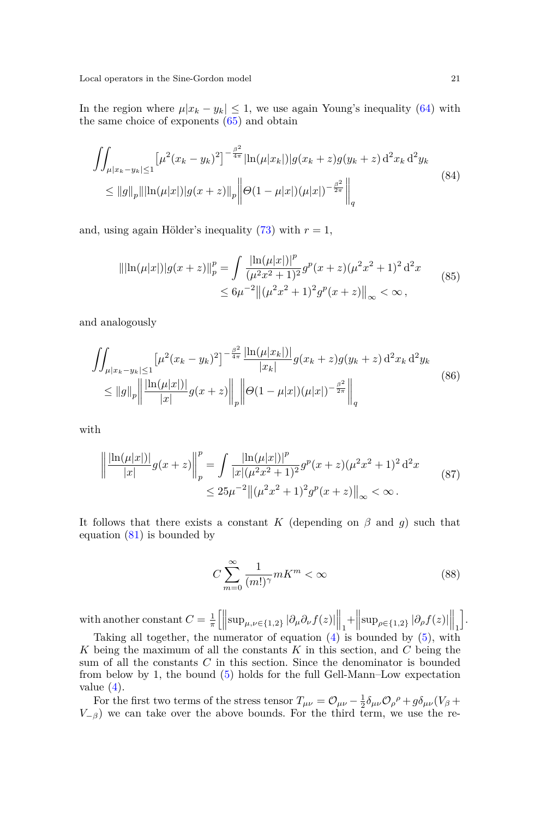In the region where  $\mu |x_k - y_k| \leq 1$ , we use again Young's inequality [\(64\)](#page-16-3) with the same choice of exponents  $(65)$  and obtain

$$
\iint_{\mu|x_k - y_k| \le 1} \left[ \mu^2 (x_k - y_k)^2 \right]^{-\frac{\beta^2}{4\pi}} |\ln(\mu|x_k|)| g(x_k + z) g(y_k + z) d^2 x_k d^2 y_k
$$
\n
$$
\le \|g\|_p \|\left| \ln(\mu|x|) | g(x+z) \right\|_p \left\| \Theta(1 - \mu|x|) (\mu|x|)^{-\frac{\beta^2}{2\pi}} \right\|_q \tag{84}
$$

and, using again Hölder's inequality  $(73)$  with  $r = 1$ ,

$$
\|\ln(\mu|x|)|g(x+z)\|_p^p = \int \frac{\ln(\mu|x|)^p}{(\mu^2 x^2 + 1)^2} g^p(x+z)(\mu^2 x^2 + 1)^2 d^2 x
$$
  
 
$$
\leq 6\mu^{-2} \|(\mu^2 x^2 + 1)^2 g^p(x+z)\|_\infty < \infty,
$$
 (85)

and analogously

$$
\iint_{\mu|x_k - y_k| \le 1} \left[ \mu^2 (x_k - y_k)^2 \right]^{-\frac{\beta^2}{4\pi}} \frac{\left| \ln(\mu|x_k|) \right|}{|x_k|} g(x_k + z) g(y_k + z) d^2 x_k d^2 y_k
$$
\n
$$
\le \|g\|_p \left\| \frac{\left| \ln(\mu|x|) \right|}{|x|} g(x + z) \right\|_p \left\| \Theta(1 - \mu|x|) (\mu|x|)^{-\frac{\beta^2}{2\pi}} \right\|_q \tag{86}
$$

with

$$
\left\| \frac{\ln(\mu|x|)}{|x|} g(x+z) \right\|_p^p = \int \frac{|\ln(\mu|x|)|^p}{|x|(\mu^2 x^2 + 1)^2} g^p(x+z)(\mu^2 x^2 + 1)^2 d^2 x
$$
  
 
$$
\leq 25\mu^{-2} \left\| (\mu^2 x^2 + 1)^2 g^p(x+z) \right\|_\infty < \infty.
$$
 (87)

It follows that there exists a constant *K* (depending on  $\beta$  and *g*) such that equation [\(81\)](#page-19-0) is bounded by

$$
C\sum_{m=0}^{\infty} \frac{1}{(m!)^{\gamma}} mK^m < \infty \tag{88}
$$

with another constant  $C = \frac{1}{\pi} \left[ \left\| \sup_{\mu,\nu \in \{1,2\}} |\partial_{\mu} \partial_{\nu} f(z)| \right\|_1 + \left\| \sup_{\rho \in \{1,2\}} |\partial_{\rho} f(z)| \right\|_1 \right]$ i .

Taking all together, the numerator of equation  $(4)$  is bounded by  $(5)$ , with *K* being the maximum of all the constants *K* in this section, and *C* being the sum of all the constants *C* in this section. Since the denominator is bounded from below by 1, the bound [\(5\)](#page-4-1) holds for the full Gell-Mann–Low expectation value  $(4)$ .

For the first two terms of the stress tensor  $T_{\mu\nu} = \mathcal{O}_{\mu\nu} - \frac{1}{2}\delta_{\mu\nu}\mathcal{O}_{\rho}^{\rho} + g\delta_{\mu\nu}(V_{\beta} + V_{\beta})$  $V_{-\beta}$ ) we can take over the above bounds. For the third term, we use the re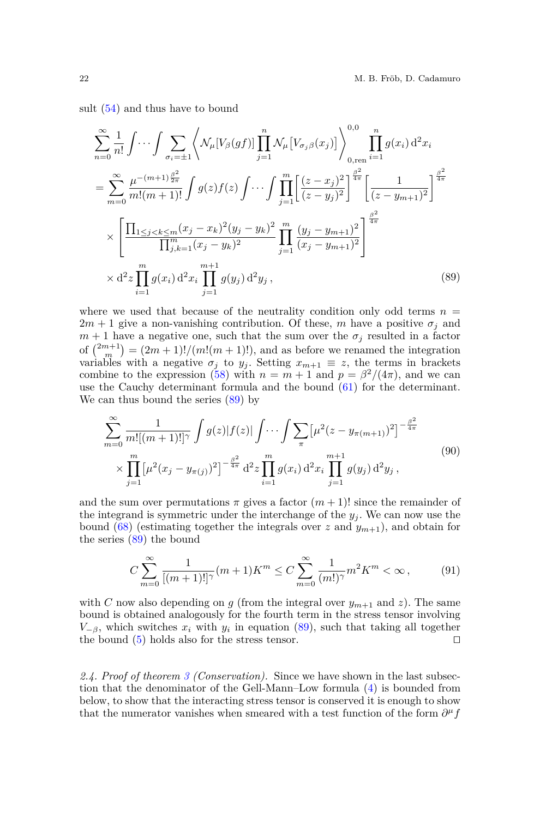sult [\(54\)](#page-14-0) and thus have to bound

<span id="page-21-0"></span>
$$
\sum_{n=0}^{\infty} \frac{1}{n!} \int \cdots \int \sum_{\sigma_i = \pm 1} \left\langle \mathcal{N}_{\mu} [V_{\beta}(gf)] \prod_{j=1}^{n} \mathcal{N}_{\mu} [V_{\sigma_j \beta}(x_j)] \right\rangle_{0, \text{ren}}^{0,0} \prod_{i=1}^{n} g(x_i) d^2 x_i
$$
\n
$$
= \sum_{m=0}^{\infty} \frac{\mu^{-(m+1)\frac{\beta^2}{2\pi}}}{m!(m+1)!} \int g(z) f(z) \int \cdots \int \prod_{j=1}^{m} \left[ \frac{(z-x_j)^2}{(z-y_j)^2} \right]^{\frac{\beta^2}{4\pi}} \left[ \frac{1}{(z-y_{m+1})^2} \right]^{\frac{\beta^2}{4\pi}}
$$
\n
$$
\times \left[ \frac{\prod_{1 \le j < k \le m} (x_j - x_k)^2 (y_j - y_k)^2}{\prod_{j,k=1}^{m} (x_j - y_k)^2} \prod_{j=1}^{m} \frac{(y_j - y_{m+1})^2}{(x_j - y_{m+1})^2} \right]^{\frac{\beta^2}{4\pi}}
$$
\n
$$
\times d^2 z \prod_{i=1}^{m} g(x_i) d^2 x_i \prod_{j=1}^{m+1} g(y_j) d^2 y_j,
$$
\n(89)

where we used that because of the neutrality condition only odd terms  $n =$  $2m + 1$  give a non-vanishing contribution. Of these, *m* have a positive  $\sigma_i$  and  $m+1$  have a negative one, such that the sum over the  $\sigma_j$  resulted in a factor of  $\binom{2m+1}{m} = (2m+1)!/(m!(m+1)!)$ , and as before we renamed the integration variables with a negative  $\sigma_j$  to  $y_j$ . Setting  $x_{m+1} \equiv z$ , the terms in brackets combine to the expression [\(58\)](#page-15-2) with  $n = m + 1$  and  $p = \frac{\beta^2}{4\pi}$ , and we can use the Cauchy determinant formula and the bound [\(61\)](#page-15-0) for the determinant. We can thus bound the series [\(89\)](#page-21-0) by

$$
\sum_{m=0}^{\infty} \frac{1}{m![(m+1)!]^{\gamma}} \int g(z)|f(z)| \int \cdots \int \sum_{\pi} \left[\mu^2 (z - y_{\pi(m+1)})^2\right]^{-\frac{\beta^2}{4\pi}} \times \prod_{j=1}^{m} \left[\mu^2 (x_j - y_{\pi(j)})^2\right]^{-\frac{\beta^2}{4\pi}} d^2 z \prod_{i=1}^{m} g(x_i) d^2 x_i \prod_{j=1}^{m+1} g(y_j) d^2 y_j,
$$
\n(90)

and the sum over permutations  $\pi$  gives a factor  $(m+1)!$  since the remainder of the integrand is symmetric under the interchange of the  $y_j$ . We can now use the bound  $(68)$  (estimating together the integrals over *z* and  $y_{m+1}$ ), and obtain for the series [\(89\)](#page-21-0) the bound

$$
C\sum_{m=0}^{\infty} \frac{1}{[(m+1)!]^{\gamma}} (m+1) K^{m} \le C \sum_{m=0}^{\infty} \frac{1}{(m!)^{\gamma}} m^{2} K^{m} < \infty ,
$$
 (91)

with *C* now also depending on *g* (from the integral over  $y_{m+1}$  and *z*). The same bound is obtained analogously for the fourth term in the stress tensor involving  $V_{-\beta}$ , which switches  $x_i$  with  $y_i$  in equation [\(89\)](#page-21-0), such that taking all together the bound  $(5)$  holds also for the stress tensor.  $\square$ 

*2.4. Proof of theorem [3](#page-4-2) (Conservation).* Since we have shown in the last subsection that the denominator of the Gell-Mann–Low formula [\(4\)](#page-3-2) is bounded from below, to show that the interacting stress tensor is conserved it is enough to show that the numerator vanishes when smeared with a test function of the form  $\partial^{\mu} f$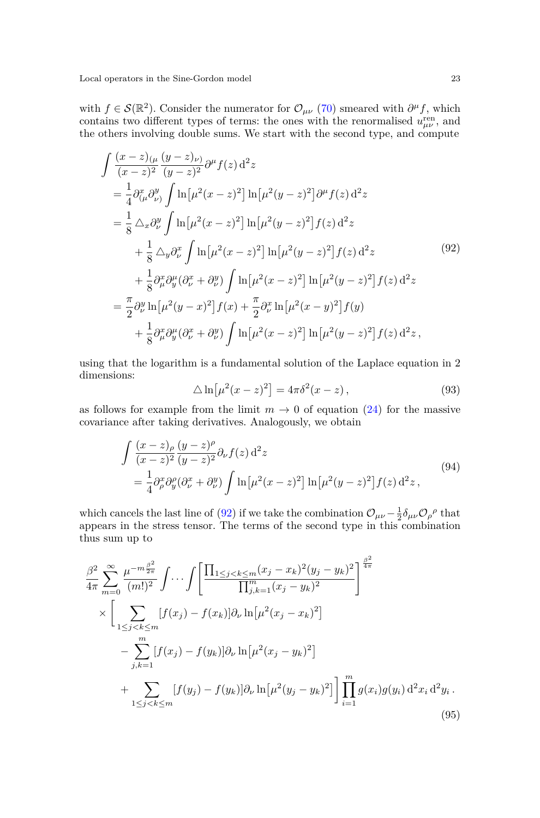with  $f \in \mathcal{S}(\mathbb{R}^2)$ . Consider the numerator for  $\mathcal{O}_{\mu\nu}$  [\(70\)](#page-17-1) smeared with  $\partial^{\mu} f$ , which contains two different types of terms: the ones with the renormalised  $u_{\mu\nu}^{\text{ren}}$ , and the others involving double sums. We start with the second type, and compute

<span id="page-22-0"></span>
$$
\int \frac{(x-z)_{(\mu} (y-z)\nu)}{(x-z)^2} \partial^{\mu} f(z) d^2 z \n= \frac{1}{4} \partial_{(\mu}^2 \partial_{\nu)}^y \int \ln[\mu^2 (x-z)^2] \ln[\mu^2 (y-z)^2] \partial^{\mu} f(z) d^2 z \n= \frac{1}{8} \Delta_x \partial_{\nu}^y \int \ln[\mu^2 (x-z)^2] \ln[\mu^2 (y-z)^2] f(z) d^2 z \n+ \frac{1}{8} \Delta_y \partial_{\nu}^x \int \ln[\mu^2 (x-z)^2] \ln[\mu^2 (y-z)^2] f(z) d^2 z \n+ \frac{1}{8} \partial_{\mu}^x \partial_{\nu}^{\mu} (\partial_{\nu}^x + \partial_{\nu}^y) \int \ln[\mu^2 (x-z)^2] \ln[\mu^2 (y-z)^2] f(z) d^2 z \n= \frac{\pi}{2} \partial_{\nu}^y \ln[\mu^2 (y-x)^2] f(x) + \frac{\pi}{2} \partial_{\nu}^x \ln[\mu^2 (x-y)^2] f(y) \n+ \frac{1}{8} \partial_{\mu}^x \partial_{\nu}^{\mu} (\partial_{\nu}^x + \partial_{\nu}^y) \int \ln[\mu^2 (x-z)^2] \ln[\mu^2 (y-z)^2] f(z) d^2 z,
$$
\n(92)

using that the logarithm is a fundamental solution of the Laplace equation in 2 dimensions:

$$
\Delta \ln \left[\mu^2 (x-z)^2\right] = 4\pi \delta^2 (x-z),\tag{93}
$$

as follows for example from the limit  $m \to 0$  of equation [\(24\)](#page-8-3) for the massive covariance after taking derivatives. Analogously, we obtain

$$
\int \frac{(x-z)_{\rho}}{(x-z)^2} \frac{(y-z)^{\rho}}{(y-z)^2} \partial_{\nu} f(z) d^2 z
$$
\n
$$
= \frac{1}{4} \partial_{\rho}^{x} \partial_{y}^{\rho} (\partial_{\nu}^{x} + \partial_{\nu}^{y}) \int \ln[\mu^{2}(x-z)^{2}] \ln[\mu^{2}(y-z)^{2}] f(z) d^2 z,
$$
\n(94)

which cancels the last line of [\(92\)](#page-22-0) if we take the combination  $\mathcal{O}_{\mu\nu} - \frac{1}{2} \delta_{\mu\nu} \mathcal{O}_{\rho}{}^{\rho}$  that appears in the stress tensor. The terms of the second type in this combination thus sum up to

<span id="page-22-1"></span>
$$
\frac{\beta^2}{4\pi} \sum_{m=0}^{\infty} \frac{\mu^{-m\frac{\beta^2}{2\pi}}}{(m!)^2} \int \cdots \int \left[ \frac{\prod_{1 \le j < k \le m} (x_j - x_k)^2 (y_j - y_k)^2}{\prod_{j,k=1}^m (x_j - y_k)^2} \right]^{\frac{\beta^2}{4\pi}} \times \left[ \sum_{1 \le j < k \le m} [f(x_j) - f(x_k)] \partial_\nu \ln[\mu^2(x_j - x_k)^2] - \sum_{j,k=1}^m [f(x_j) - f(y_k)] \partial_\nu \ln[\mu^2(x_j - y_k)^2] + \sum_{1 \le j < k \le m} [f(y_j) - f(y_k)] \partial_\nu \ln[\mu^2(y_j - y_k)^2] \right] \prod_{i=1}^m g(x_i) g(y_i) \, d^2 x_i \, d^2 y_i. \tag{95}
$$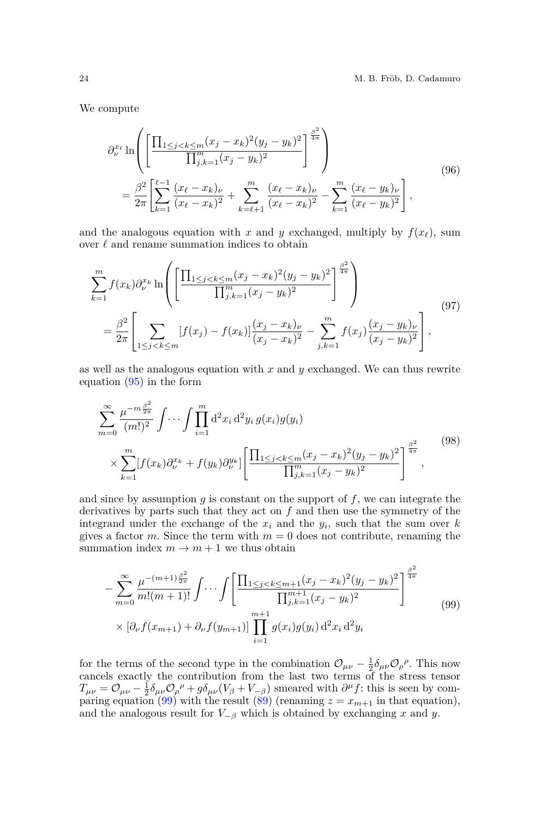We compute

<span id="page-23-1"></span>
$$
\partial_{\nu}^{x_{\ell}} \ln \left( \left[ \frac{\prod_{1 \leq j < k \leq m} (x_j - x_k)^2 (y_j - y_k)^2}{\prod_{j,k=1}^m (x_j - y_k)^2} \right]^{\frac{\beta^2}{4\pi}} \right) \right) = \frac{\beta^2}{2\pi} \left[ \sum_{k=1}^{\ell-1} \frac{(x_{\ell} - x_k)_{\nu}}{(x_{\ell} - x_k)^2} + \sum_{k=\ell+1}^m \frac{(x_{\ell} - x_k)_{\nu}}{(x_{\ell} - x_k)^2} - \sum_{k=1}^m \frac{(x_{\ell} - y_k)_{\nu}}{(x_{\ell} - y_k)^2} \right], \tag{96}
$$

and the analogous equation with *x* and *y* exchanged, multiply by  $f(x_\ell)$ , sum over  $\ell$  and rename summation indices to obtain

$$
\sum_{k=1}^{m} f(x_k) \partial_{\nu}^{x_k} \ln \left( \left[ \frac{\prod_{1 \le j < k \le m} (x_j - x_k)^2 (y_j - y_k)^2}{\prod_{j,k=1}^{m} (x_j - y_k)^2} \right]^{\frac{\beta^2}{4\pi}} \right) \right) \n= \frac{\beta^2}{2\pi} \left[ \sum_{1 \le j < k \le m} [f(x_j) - f(x_k)] \frac{(x_j - x_k)_{\nu}}{(x_j - x_k)^2} - \sum_{j,k=1}^{m} f(x_j) \frac{(x_j - y_k)_{\nu}}{(x_j - y_k)^2} \right],
$$
\n(97)

as well as the analogous equation with *x* and *y* exchanged. We can thus rewrite equation [\(95\)](#page-22-1) in the form

$$
\sum_{m=0}^{\infty} \frac{\mu^{-m \frac{\beta^2}{2\pi}}}{(m!)^2} \int \cdots \int \prod_{i=1}^{m} d^2 x_i d^2 y_i g(x_i) g(y_i) \n\times \sum_{k=1}^{m} [f(x_k) \partial_{\nu}^{x_k} + f(y_k) \partial_{\nu}^{y_k}] \left[ \frac{\prod_{1 \le j < k \le m} (x_j - x_k)^2 (y_j - y_k)^2}{\prod_{j,k=1}^{m} (x_j - y_k)^2} \right]^{\frac{\beta^2}{4\pi}},
$$
\n(98)

and since by assumption *g* is constant on the support of *f*, we can integrate the derivatives by parts such that they act on *f* and then use the symmetry of the integrand under the exchange of the  $x_i$  and the  $y_i$ , such that the sum over  $k$ gives a factor *m*. Since the term with  $m = 0$  does not contribute, renaming the summation index  $m \to m + 1$  we thus obtain

<span id="page-23-0"></span>
$$
-\sum_{m=0}^{\infty} \frac{\mu^{-(m+1)\frac{\beta^2}{2\pi}}}{m!(m+1)!} \int \cdots \int \left[ \frac{\prod_{1 \leq j < k \leq m+1} (x_j - x_k)^2 (y_j - y_k)^2}{\prod_{j,k=1}^{m+1} (x_j - y_k)^2} \right]^{\frac{\beta^2}{4\pi}} \tag{99}
$$
\n
$$
\times \left[ \partial_{\nu} f(x_{m+1}) + \partial_{\nu} f(y_{m+1}) \right] \prod_{i=1}^{m+1} g(x_i) g(y_i) \, \mathrm{d}^2 x_i \, \mathrm{d}^2 y_i
$$

for the terms of the second type in the combination  $\mathcal{O}_{\mu\nu} - \frac{1}{2} \delta_{\mu\nu} \mathcal{O}_{\rho}{}^{\rho}$ . This now cancels exactly the contribution from the last two terms of the stress tensor  $T_{\mu\nu} = \mathcal{O}_{\mu\nu} - \frac{1}{2} \delta_{\mu\nu} \mathcal{O}_{\rho}{}^{\rho} + g \delta_{\mu\nu} (V_{\beta} + V_{-\beta})$  smeared with  $\partial^{\mu} f$ : this is seen by com-paring equation [\(99\)](#page-23-0) with the result [\(89\)](#page-21-0) (renaming  $z = x_{m+1}$  in that equation), and the analogous result for  $V_{-\beta}$  which is obtained by exchanging *x* and *y*.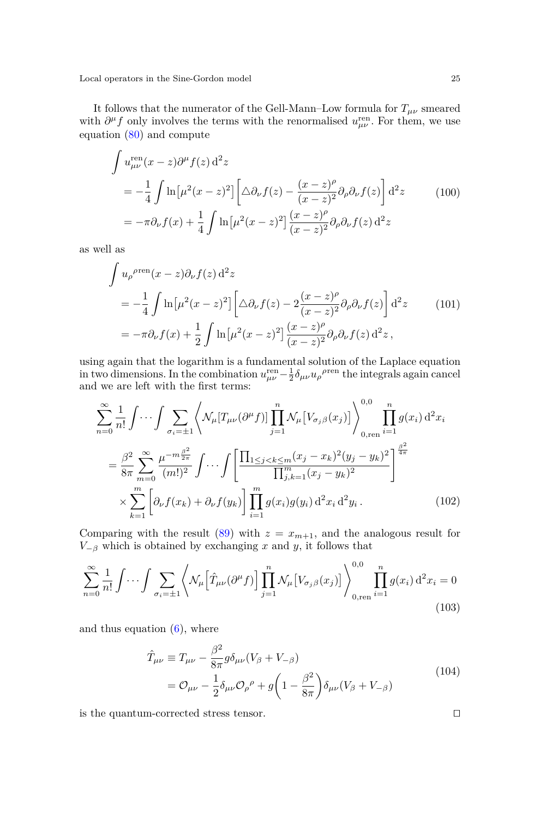It follows that the numerator of the Gell-Mann–Low formula for  $T_{\mu\nu}$  smeared with  $\partial^{\mu} f$  only involves the terms with the renormalised  $u_{\mu\nu}^{\text{ren}}$ . For them, we use equation [\(80\)](#page-19-1) and compute

$$
\int u_{\mu\nu}^{\text{ren}}(x-z)\partial^{\mu}f(z) d^{2}z
$$
\n
$$
= -\frac{1}{4} \int \ln\left[\mu^{2}(x-z)^{2}\right] \left[\Delta\partial_{\nu}f(z) - \frac{(x-z)^{\rho}}{(x-z)^{2}}\partial_{\rho}\partial_{\nu}f(z)\right] d^{2}z \qquad (100)
$$
\n
$$
= -\pi\partial_{\nu}f(x) + \frac{1}{4} \int \ln\left[\mu^{2}(x-z)^{2}\right] \frac{(x-z)^{\rho}}{(x-z)^{2}}\partial_{\rho}\partial_{\nu}f(z) d^{2}z
$$

as well as

$$
\int u_{\rho}^{\rho \text{ren}}(x-z)\partial_{\nu}f(z) d^2z
$$
\n
$$
= -\frac{1}{4} \int \ln \left[\mu^2 (x-z)^2\right] \left[\Delta \partial_{\nu}f(z) - 2\frac{(x-z)^{\rho}}{(x-z)^2} \partial_{\rho} \partial_{\nu}f(z)\right] d^2z \qquad (101)
$$
\n
$$
= -\pi \partial_{\nu}f(x) + \frac{1}{2} \int \ln \left[\mu^2 (x-z)^2\right] \frac{(x-z)^{\rho}}{(x-z)^2} \partial_{\rho} \partial_{\nu}f(z) d^2z \,,
$$

using again that the logarithm is a fundamental solution of the Laplace equation in two dimensions. In the combination  $u_{\mu\nu}^{\text{ren}} - \frac{1}{2} \delta_{\mu\nu} u_{\rho}^{\rho \text{ren}}$  the integrals again cancel and we are left with the first terms:

$$
\sum_{n=0}^{\infty} \frac{1}{n!} \int \cdots \int \sum_{\sigma_i = \pm 1} \left\langle \mathcal{N}_{\mu} [T_{\mu\nu}(\partial^{\mu} f)] \prod_{j=1}^{n} \mathcal{N}_{\mu} [V_{\sigma_j \beta}(x_j)] \right\rangle_{0, \text{ren}}^{0,0} \prod_{i=1}^{n} g(x_i) d^2 x_i
$$

$$
= \frac{\beta^2}{8\pi} \sum_{m=0}^{\infty} \frac{\mu^{-m\frac{\beta^2}{2\pi}}}{(m!)^2} \int \cdots \int \left[ \frac{\prod_{1 \le j < k \le m} (x_j - x_k)^2 (y_j - y_k)^2}{\prod_{j,k=1}^{m} (x_j - y_k)^2} \right]^{\frac{\beta^2}{4\pi}}
$$

$$
\times \sum_{k=1}^{m} \left[ \partial_{\nu} f(x_k) + \partial_{\nu} f(y_k) \right] \prod_{i=1}^{m} g(x_i) g(y_i) d^2 x_i d^2 y_i. \tag{102}
$$

Comparing with the result [\(89\)](#page-21-0) with  $z = x_{m+1}$ , and the analogous result for  $V_{-\beta}$  which is obtained by exchanging *x* and *y*, it follows that

$$
\sum_{n=0}^{\infty} \frac{1}{n!} \int \cdots \int \sum_{\sigma_i = \pm 1} \left\langle \mathcal{N}_{\mu} \left[ \hat{T}_{\mu\nu} (\partial^{\mu} f) \right] \prod_{j=1}^{n} \mathcal{N}_{\mu} \left[ V_{\sigma_j \beta}(x_j) \right] \right\rangle_{0, \text{ren}}^{0,0} \prod_{i=1}^{n} g(x_i) d^2 x_i = 0
$$
\n(103)

and thus equation  $(6)$ , where

$$
\hat{T}_{\mu\nu} \equiv T_{\mu\nu} - \frac{\beta^2}{8\pi} g \delta_{\mu\nu} (V_\beta + V_{-\beta})
$$
\n
$$
= \mathcal{O}_{\mu\nu} - \frac{1}{2} \delta_{\mu\nu} \mathcal{O}_{\rho}{}^{\rho} + g \left( 1 - \frac{\beta^2}{8\pi} \right) \delta_{\mu\nu} (V_\beta + V_{-\beta})
$$
\n(104)

is the quantum-corrected stress tensor.  $\Box$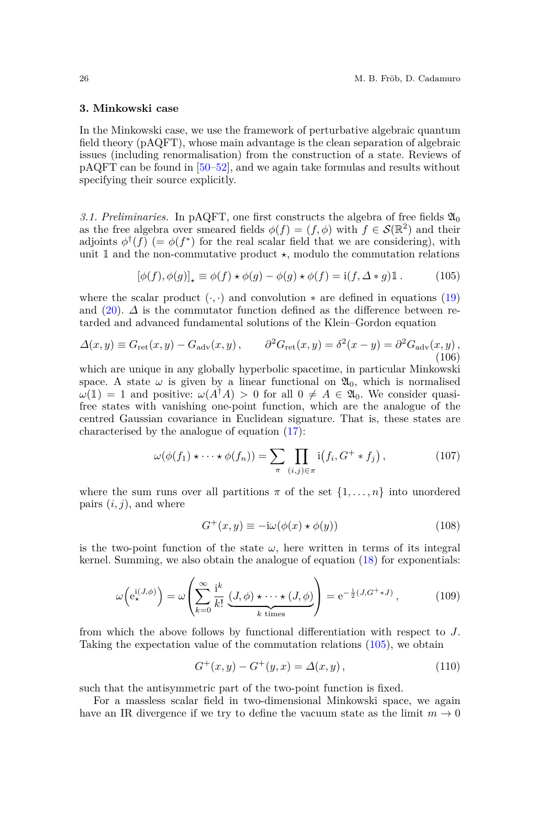#### **3. Minkowski case**

In the Minkowski case, we use the framework of perturbative algebraic quantum field theory (pAQFT), whose main advantage is the clean separation of algebraic issues (including renormalisation) from the construction of a state. Reviews of pAQFT can be found in [\[50–](#page-56-11)[52\]](#page-56-12), and we again take formulas and results without specifying their source explicitly.

3.1. Preliminaries. In pAQFT, one first constructs the algebra of free fields  $\mathfrak{A}_0$ as the free algebra over smeared fields  $\phi(f) = (f, \phi)$  with  $f \in \mathcal{S}(\mathbb{R}^2)$  and their adjoints  $\phi^{\dagger}(f)$  (=  $\phi(f^*)$  for the real scalar field that we are considering), with unit  $\mathbbm{1}$  and the non-commutative product  $\star$ , modulo the commutation relations

<span id="page-25-0"></span>
$$
[\phi(f), \phi(g)]_{\star} \equiv \phi(f) \star \phi(g) - \phi(g) \star \phi(f) = \mathrm{i}(f, \Delta * g) \mathbb{1}. \tag{105}
$$

where the scalar product  $(·, ·)$  and convolution  $*$  are defined in equations [\(19\)](#page-7-2) and  $(20)$ .  $\Delta$  is the commutator function defined as the difference between retarded and advanced fundamental solutions of the Klein–Gordon equation

$$
\Delta(x,y) \equiv G_{\rm ret}(x,y) - G_{\rm adv}(x,y) \,, \qquad \partial^2 G_{\rm ret}(x,y) = \delta^2(x-y) = \partial^2 G_{\rm adv}(x,y) \,, \tag{106}
$$

which are unique in any globally hyperbolic spacetime, in particular Minkowski space. A state  $\omega$  is given by a linear functional on  $\mathfrak{A}_0$ , which is normalised  $\omega(1) = 1$  and positive:  $\omega(A^{\dagger}A) > 0$  for all  $0 \neq A \in \mathfrak{A}_0$ . We consider quasifree states with vanishing one-point function, which are the analogue of the centred Gaussian covariance in Euclidean signature. That is, these states are characterised by the analogue of equation [\(17\)](#page-7-0):

$$
\omega(\phi(f_1)\star\cdots\star\phi(f_n))=\sum_{\pi}\prod_{(i,j)\in\pi}i(f_i,G^+\ast f_j)\,,\qquad\qquad(107)
$$

where the sum runs over all partitions  $\pi$  of the set  $\{1, \ldots, n\}$  into unordered pairs  $(i, j)$ , and where

$$
G^{+}(x,y) \equiv -i\omega(\phi(x) \star \phi(y))
$$
\n(108)

is the two-point function of the state  $\omega$ , here written in terms of its integral kernel. Summing, we also obtain the analogue of equation [\(18\)](#page-7-1) for exponentials:

$$
\omega\left(e_{\star}^{i(J,\phi)}\right) = \omega\left(\sum_{k=0}^{\infty} \frac{i^k}{k!} \underbrace{(J,\phi) \star \cdots \star (J,\phi)}_{k \text{ times}}\right) = e^{-\frac{i}{2}(J,G^+ \ast J)},\tag{109}
$$

from which the above follows by functional differentiation with respect to *J*. Taking the expectation value of the commutation relations [\(105\)](#page-25-0), we obtain

<span id="page-25-1"></span>
$$
G^{+}(x, y) - G^{+}(y, x) = \Delta(x, y), \qquad (110)
$$

such that the antisymmetric part of the two-point function is fixed.

For a massless scalar field in two-dimensional Minkowski space, we again have an IR divergence if we try to define the vacuum state as the limit  $m \to 0$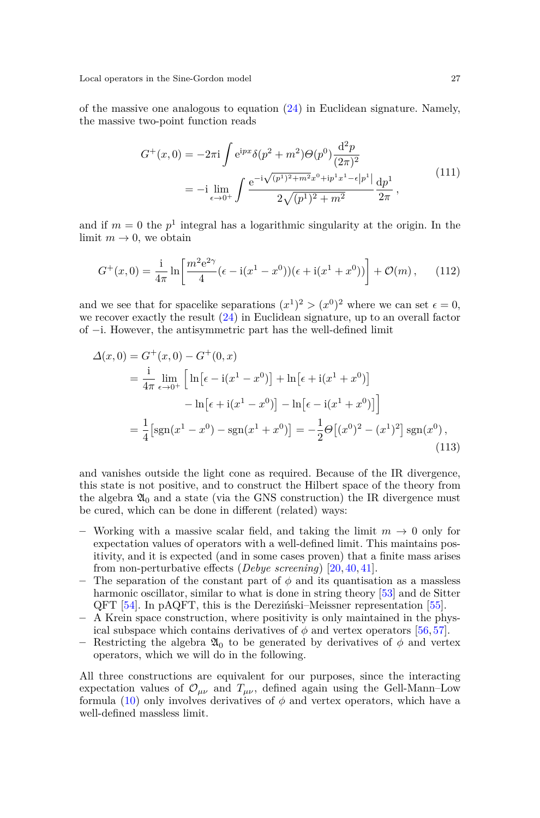of the massive one analogous to equation  $(24)$  in Euclidean signature. Namely, the massive two-point function reads

$$
G^{+}(x,0) = -2\pi i \int e^{ipx} \delta(p^2 + m^2) \Theta(p^0) \frac{d^2 p}{(2\pi)^2}
$$
  
= 
$$
-i \lim_{\epsilon \to 0^+} \int \frac{e^{-i\sqrt{(p^1)^2 + m^2}x^0 + ip^1x^1 - \epsilon|p^1|}}{2\sqrt{(p^1)^2 + m^2}} \frac{dp^1}{2\pi},
$$
(111)

and if  $m = 0$  the  $p<sup>1</sup>$  integral has a logarithmic singularity at the origin. In the limit  $m \to 0$ , we obtain

$$
G^{+}(x,0) = \frac{1}{4\pi} \ln \left[ \frac{m^{2}e^{2\gamma}}{4} (\epsilon - i(x^{1} - x^{0}))(\epsilon + i(x^{1} + x^{0})) \right] + \mathcal{O}(m), \quad (112)
$$

and we see that for spacelike separations  $(x^1)^2 > (x^0)^2$  where we can set  $\epsilon = 0$ , we recover exactly the result [\(24\)](#page-8-3) in Euclidean signature, up to an overall factor of −i. However, the antisymmetric part has the well-defined limit

$$
\Delta(x,0) = G^+(x,0) - G^+(0,x)
$$
  
=  $\frac{1}{4\pi} \lim_{\epsilon \to 0^+} \left[ \ln \left[ \epsilon - i(x^1 - x^0) \right] + \ln \left[ \epsilon + i(x^1 + x^0) \right] \right]$   

$$
- \ln \left[ \epsilon + i(x^1 - x^0) \right] - \ln \left[ \epsilon - i(x^1 + x^0) \right]
$$
  
=  $\frac{1}{4} \left[ \text{sgn}(x^1 - x^0) - \text{sgn}(x^1 + x^0) \right] = -\frac{1}{2} \Theta \left[ (x^0)^2 - (x^1)^2 \right] \text{sgn}(x^0),$  (113)

and vanishes outside the light cone as required. Because of the IR divergence, this state is not positive, and to construct the Hilbert space of the theory from the algebra  $\mathfrak{A}_0$  and a state (via the GNS construction) the IR divergence must be cured, which can be done in different (related) ways:

- **–** Working with a massive scalar field, and taking the limit *m* → 0 only for expectation values of operators with a well-defined limit. This maintains positivity, and it is expected (and in some cases proven) that a finite mass arises from non-perturbative effects (*Debye screening*) [\[20,](#page-55-10) [40,](#page-56-1) [41\]](#page-56-2).
- **–** The separation of the constant part of *φ* and its quantisation as a massless harmonic oscillator, similar to what is done in string theory [\[53\]](#page-56-13) and de Sitter QFT [\[54\]](#page-56-14). In pAQFT, this is the Dereziński–Meissner representation [\[55\]](#page-56-15).
- **–** A Krein space construction, where positivity is only maintained in the physical subspace which contains derivatives of  $\phi$  and vertex operators [\[56,](#page-56-16) [57\]](#page-56-17).
- **–** Restricting the algebra A<sup>0</sup> to be generated by derivatives of *φ* and vertex operators, which we will do in the following.

All three constructions are equivalent for our purposes, since the interacting expectation values of  $\mathcal{O}_{\mu\nu}$  and  $T_{\mu\nu}$ , defined again using the Gell-Mann–Low formula  $(10)$  only involves derivatives of  $\phi$  and vertex operators, which have a well-defined massless limit.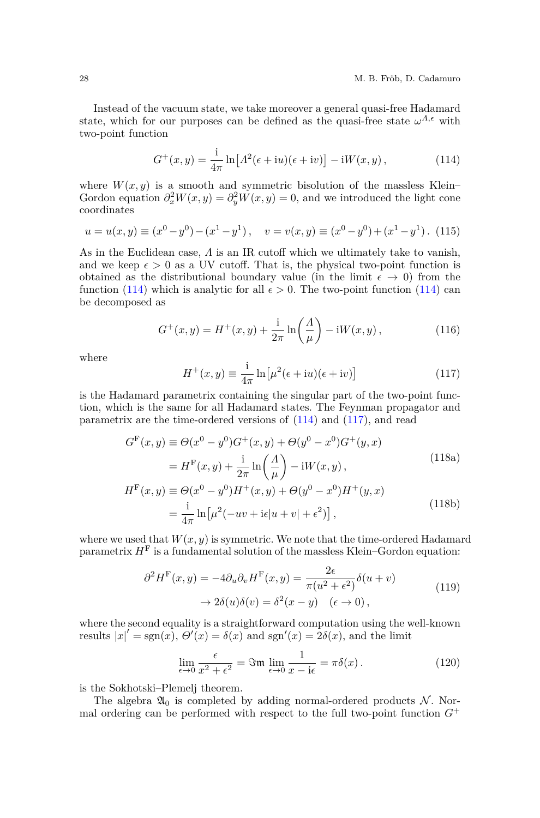Instead of the vacuum state, we take moreover a general quasi-free Hadamard state, which for our purposes can be defined as the quasi-free state  $\omega^{A,\epsilon}$  with two-point function

<span id="page-27-0"></span>
$$
G^+(x,y) = \frac{1}{4\pi} \ln \left[ \Lambda^2(\epsilon + iu)(\epsilon + iv) \right] - iW(x,y), \qquad (114)
$$

where  $W(x, y)$  is a smooth and symmetric bisolution of the massless Klein– Gordon equation  $\partial_x^2 W(x, y) = \partial_y^2 W(x, y) = 0$ , and we introduced the light cone coordinates

<span id="page-27-4"></span>
$$
u = u(x, y) \equiv (x^0 - y^0) - (x^1 - y^1), \quad v = v(x, y) \equiv (x^0 - y^0) + (x^1 - y^1). \tag{115}
$$

As in the Euclidean case, *Λ* is an IR cutoff which we ultimately take to vanish, and we keep  $\epsilon > 0$  as a UV cutoff. That is, the physical two-point function is obtained as the distributional boundary value (in the limit  $\epsilon \to 0$ ) from the function [\(114\)](#page-27-0) which is analytic for all  $\epsilon > 0$ . The two-point function (114) can be decomposed as

<span id="page-27-2"></span>
$$
G^{+}(x,y) = H^{+}(x,y) + \frac{\mathrm{i}}{2\pi} \ln\left(\frac{A}{\mu}\right) - \mathrm{i}W(x,y) , \qquad (116)
$$

where

<span id="page-27-3"></span><span id="page-27-1"></span>
$$
H^{+}(x,y) \equiv \frac{1}{4\pi} \ln \left[ \mu^{2}(\epsilon + iu)(\epsilon + iv) \right]
$$
 (117)

is the Hadamard parametrix containing the singular part of the two-point function, which is the same for all Hadamard states. The Feynman propagator and parametrix are the time-ordered versions of [\(114\)](#page-27-0) and [\(117\)](#page-27-1), and read

$$
G^{F}(x, y) \equiv \Theta(x^{0} - y^{0})G^{+}(x, y) + \Theta(y^{0} - x^{0})G^{+}(y, x)
$$
  
\n
$$
= H^{F}(x, y) + \frac{i}{2\pi} \ln\left(\frac{A}{\mu}\right) - iW(x, y),
$$
  
\n
$$
H^{F}(x, y) \equiv \Theta(x^{0} - y^{0})H^{+}(x, y) + \Theta(y^{0} - x^{0})H^{+}(y, x)
$$
  
\n
$$
= \frac{i}{4\pi} \ln[\mu^{2}(-uv + i\epsilon|u + v| + \epsilon^{2})],
$$
\n(118b)

where we used that  $W(x, y)$  is symmetric. We note that the time-ordered Hadamard parametrix  $H<sup>F</sup>$  is a fundamental solution of the massless Klein–Gordon equation:

$$
\partial^2 H^{\mathcal{F}}(x, y) = -4\partial_u \partial_v H^{\mathcal{F}}(x, y) = \frac{2\epsilon}{\pi(u^2 + \epsilon^2)} \delta(u + v)
$$
  

$$
\rightarrow 2\delta(u)\delta(v) = \delta^2(x - y) \quad (\epsilon \rightarrow 0),
$$
 (119)

<span id="page-27-6"></span>where the second equality is a straightforward computation using the well-known results  $|x|' = \text{sgn}(x)$ ,  $\Theta'(x) = \delta(x)$  and sgn'(x) =  $2\delta(x)$ , and the limit

<span id="page-27-5"></span>
$$
\lim_{\epsilon \to 0} \frac{\epsilon}{x^2 + \epsilon^2} = \Im \mathfrak{m} \lim_{\epsilon \to 0} \frac{1}{x - i\epsilon} = \pi \delta(x). \tag{120}
$$

is the Sokhotski–Plemelj theorem.

The algebra  $\mathfrak{A}_0$  is completed by adding normal-ordered products N. Normal ordering can be performed with respect to the full two-point function  $G^+$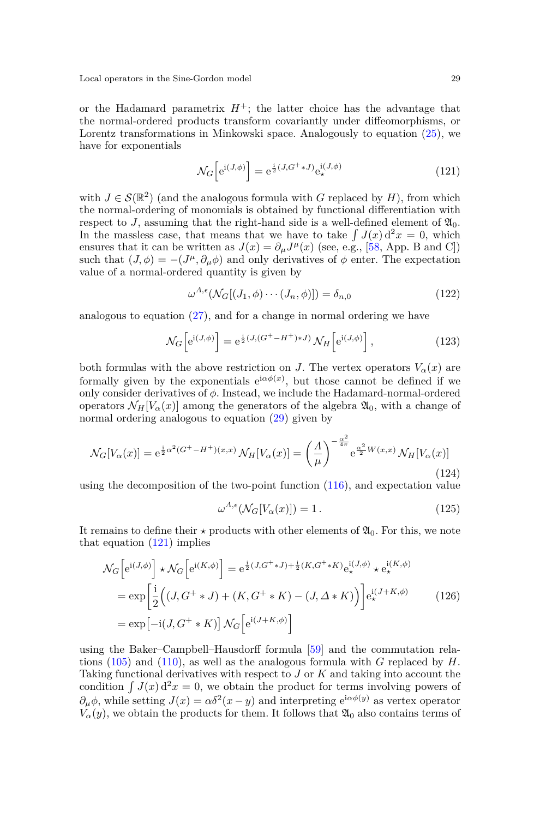or the Hadamard parametrix  $H^+$ ; the latter choice has the advantage that the normal-ordered products transform covariantly under diffeomorphisms, or Lorentz transformations in Minkowski space. Analogously to equation [\(25\)](#page-8-1), we have for exponentials

<span id="page-28-0"></span>
$$
\mathcal{N}_G \left[ e^{i(J,\phi)} \right] = e^{\frac{i}{2}(J, G^+ * J)} e^{i(J,\phi)}_{\star}
$$
\n(121)

with  $J \in \mathcal{S}(\mathbb{R}^2)$  (and the analogous formula with *G* replaced by *H*), from which the normal-ordering of monomials is obtained by functional differentiation with respect to *J*, assuming that the right-hand side is a well-defined element of  $\mathfrak{A}_0$ . In the massless case, that means that we have to take  $\int J(x) d^2x = 0$ , which ensures that it can be written as  $J(x) = \partial_{\mu}J^{\mu}(x)$  (see, e.g., [\[58,](#page-56-18) App. B and C]) such that  $(J, \phi) = -(J^{\mu}, \partial_{\mu}\phi)$  and only derivatives of  $\phi$  enter. The expectation value of a normal-ordered quantity is given by

$$
\omega^{\Lambda,\epsilon}(\mathcal{N}_G[(J_1,\phi)\cdots(J_n,\phi)]) = \delta_{n,0} \tag{122}
$$

analogous to equation  $(27)$ , and for a change in normal ordering we have

<span id="page-28-4"></span>
$$
\mathcal{N}_G\left[e^{\mathrm{i}(J,\phi)}\right] = e^{\frac{\mathrm{i}}{2}(J,(G^+-H^+)*J)}\,\mathcal{N}_H\left[e^{\mathrm{i}(J,\phi)}\right],\tag{123}
$$

both formulas with the above restriction on *J*. The vertex operators  $V_\alpha(x)$  are formally given by the exponentials  $e^{i\alpha\phi(x)}$ , but those cannot be defined if we only consider derivatives of *φ*. Instead, we include the Hadamard-normal-ordered operators  $\mathcal{N}_H[V_\alpha(x)]$  among the generators of the algebra  $\mathfrak{A}_0$ , with a change of normal ordering analogous to equation [\(29\)](#page-9-4) given by

<span id="page-28-2"></span>
$$
\mathcal{N}_G[V_\alpha(x)] = e^{\frac{i}{2}\alpha^2(G^+ - H^+)(x,x)} \mathcal{N}_H[V_\alpha(x)] = \left(\frac{A}{\mu}\right)^{-\frac{\alpha^2}{4\pi}} e^{\frac{\alpha^2}{2}W(x,x)} \mathcal{N}_H[V_\alpha(x)]
$$
\n(124)

using the decomposition of the two-point function [\(116\)](#page-27-2), and expectation value

<span id="page-28-1"></span>
$$
\omega^{\Lambda,\epsilon}(\mathcal{N}_G[V_\alpha(x)]) = 1.
$$
\n(125)

It remains to define their  $\star$  products with other elements of  $\mathfrak{A}_0$ . For this, we note that equation [\(121\)](#page-28-0) implies

<span id="page-28-3"></span>
$$
\mathcal{N}_G \left[ e^{i(J,\phi)} \right] \star \mathcal{N}_G \left[ e^{i(K,\phi)} \right] = e^{\frac{i}{2}(J,G^+ \star J) + \frac{i}{2}(K,G^+ \star K)} e^{i(J,\phi)} \star e^{i(K,\phi)} \newline = \exp \left[ \frac{i}{2} \Big( (J, G^+ \star J) + (K, G^+ \star K) - (J, \Delta \star K) \Big) \right] e^{i(J+K,\phi)} \newline = \exp \left[ -i(J, G^+ \star K) \right] \mathcal{N}_G \left[ e^{i(J+K,\phi)} \right]
$$
\n(126)

using the Baker–Campbell–Hausdorff formula [\[59\]](#page-56-19) and the commutation relations [\(105\)](#page-25-0) and [\(110\)](#page-25-1), as well as the analogous formula with *G* replaced by *H*. Taking functional derivatives with respect to *J* or *K* and taking into account the condition  $\int J(x) d^2x = 0$ , we obtain the product for terms involving powers of  $\partial_{\mu}\phi$ , while setting  $J(x) = \alpha \delta^2(x - y)$  and interpreting  $e^{i\alpha \phi(y)}$  as vertex operator  $V_{\alpha}(y)$ , we obtain the products for them. It follows that  $\mathfrak{A}_0$  also contains terms of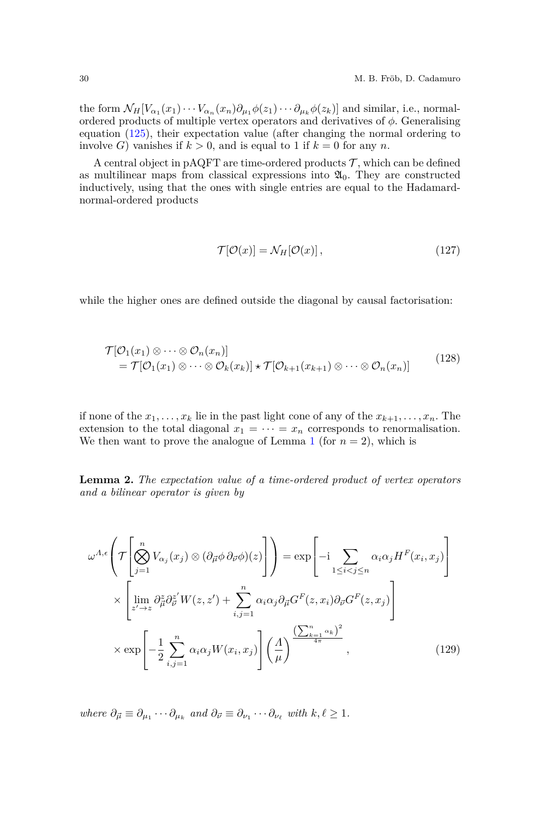the form  $\mathcal{N}_H[V_{\alpha_1}(x_1)\cdots V_{\alpha_n}(x_n)\partial_{\mu_1}\phi(z_1)\cdots \partial_{\mu_k}\phi(z_k)]$  and similar, i.e., normalordered products of multiple vertex operators and derivatives of *φ*. Generalising equation [\(125\)](#page-28-1), their expectation value (after changing the normal ordering to involve *G*) vanishes if  $k > 0$ , and is equal to 1 if  $k = 0$  for any *n*.

A central object in pAQFT are time-ordered products  $\mathcal{T}$ , which can be defined as multilinear maps from classical expressions into  $\mathfrak{A}_0$ . They are constructed inductively, using that the ones with single entries are equal to the Hadamardnormal-ordered products

<span id="page-29-3"></span><span id="page-29-1"></span>
$$
\mathcal{T}[\mathcal{O}(x)] = \mathcal{N}_H[\mathcal{O}(x)],\tag{127}
$$

while the higher ones are defined outside the diagonal by causal factorisation:

<span id="page-29-2"></span>
$$
\mathcal{T}[\mathcal{O}_1(x_1) \otimes \cdots \otimes \mathcal{O}_n(x_n)]
$$
  
=  $\mathcal{T}[\mathcal{O}_1(x_1) \otimes \cdots \otimes \mathcal{O}_k(x_k)] \star \mathcal{T}[\mathcal{O}_{k+1}(x_{k+1}) \otimes \cdots \otimes \mathcal{O}_n(x_n)]$  (128)

if none of the  $x_1, \ldots, x_k$  lie in the past light cone of any of the  $x_{k+1}, \ldots, x_n$ . The extension to the total diagonal  $x_1 = \cdots = x_n$  corresponds to renormalisation. We then want to prove the analogue of Lemma [1](#page-9-3) (for  $n = 2$ ), which is

**Lemma 2.** *The expectation value of a time-ordered product of vertex operators and a bilinear operator is given by*

<span id="page-29-0"></span>
$$
\omega^{\Lambda,\epsilon}\left(\mathcal{T}\left[\bigotimes_{j=1}^{n}V_{\alpha_{j}}(x_{j})\otimes(\partial_{\overrightarrow{\mu}}\phi\partial_{\overrightarrow{\nu}}\phi)(z)\right]\right) = \exp\left[-i\sum_{1\leq i
$$

 $where \ \partial_{\vec{\mu}} \equiv \partial_{\mu_1} \cdots \partial_{\mu_k} \ and \ \partial_{\vec{\nu}} \equiv \partial_{\nu_1} \cdots \partial_{\nu_\ell} \ with \ k, \ell \geq 1.$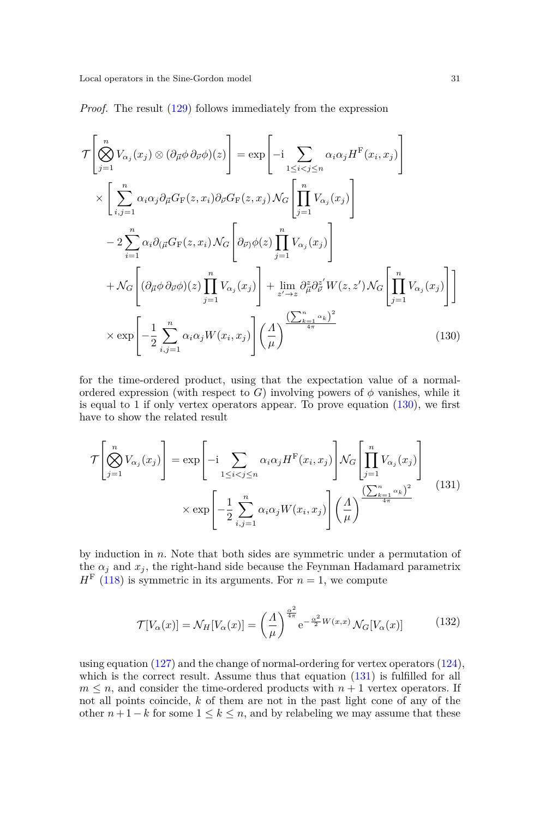*Proof.* The result [\(129\)](#page-29-0) follows immediately from the expression

<span id="page-30-0"></span>
$$
\mathcal{T}\left[\bigotimes_{j=1}^{n} V_{\alpha_{j}}(x_{j}) \otimes (\partial_{\vec{\mu}} \phi \partial_{\vec{\nu}} \phi)(z)\right] = \exp\left[-i \sum_{1 \leq i < j \leq n} \alpha_{i} \alpha_{j} H^{\text{F}}(x_{i}, x_{j})\right] \times \left[\sum_{i,j=1}^{n} \alpha_{i} \alpha_{j} \partial_{\vec{\mu}} G_{\text{F}}(z, x_{i}) \partial_{\vec{\nu}} G_{\text{F}}(z, x_{j}) \mathcal{N}_{G}\left[\prod_{j=1}^{n} V_{\alpha_{j}}(x_{j})\right] \right] \n- 2 \sum_{i=1}^{n} \alpha_{i} \partial_{(\vec{\mu}} G_{\text{F}}(z, x_{i}) \mathcal{N}_{G}\left[\partial_{\vec{\nu}} \phi(z)\prod_{j=1}^{n} V_{\alpha_{j}}(x_{j})\right] \n+ \mathcal{N}_{G}\left[(\partial_{\vec{\mu}} \phi \partial_{\vec{\nu}} \phi)(z)\prod_{j=1}^{n} V_{\alpha_{j}}(x_{j})\right] + \lim_{z' \to z} \partial_{\vec{\mu}}^{z} \partial_{\vec{\nu}}^{z'} W(z, z') \mathcal{N}_{G}\left[\prod_{j=1}^{n} V_{\alpha_{j}}(x_{j})\right] \right] \n\times \exp\left[-\frac{1}{2} \sum_{i,j=1}^{n} \alpha_{i} \alpha_{j} W(x_{i}, x_{j})\right] \left(\frac{A}{\mu}\right)^{\frac{\left(\sum_{k=1}^{n} \alpha_{k}\right)^{2}}{4\pi}}
$$
\n(130)

for the time-ordered product, using that the expectation value of a normalordered expression (with respect to *G*) involving powers of  $\phi$  vanishes, while it is equal to 1 if only vertex operators appear. To prove equation  $(130)$ , we first have to show the related result

<span id="page-30-1"></span>
$$
\mathcal{T}\left[\bigotimes_{j=1}^{n} V_{\alpha_{j}}(x_{j})\right] = \exp\left[-i \sum_{1 \leq i < j \leq n} \alpha_{i}\alpha_{j} H^{\mathrm{F}}(x_{i}, x_{j})\right] \mathcal{N}_{G}\left[\prod_{j=1}^{n} V_{\alpha_{j}}(x_{j})\right] \times \exp\left[-\frac{1}{2} \sum_{i,j=1}^{n} \alpha_{i}\alpha_{j} W(x_{i}, x_{j})\right] \left(\frac{A}{\mu}\right)^{\frac{\left(\sum_{k=1}^{n} \alpha_{k}\right)^{2}}{4\pi}} \tag{131}
$$

by induction in *n*. Note that both sides are symmetric under a permutation of the  $\alpha_j$  and  $x_j$ , the right-hand side because the Feynman Hadamard parametrix  $H<sup>F</sup>$  [\(118\)](#page-27-3) is symmetric in its arguments. For  $n = 1$ , we compute

$$
\mathcal{T}[V_{\alpha}(x)] = \mathcal{N}_H[V_{\alpha}(x)] = \left(\frac{A}{\mu}\right)^{\frac{\alpha^2}{4\pi}} e^{-\frac{\alpha^2}{2}W(x,x)} \mathcal{N}_G[V_{\alpha}(x)] \tag{132}
$$

using equation  $(127)$  and the change of normal-ordering for vertex operators  $(124)$ , which is the correct result. Assume thus that equation  $(131)$  is fulfilled for all  $m \leq n$ , and consider the time-ordered products with  $n + 1$  vertex operators. If not all points coincide, *k* of them are not in the past light cone of any of the other  $n+1-k$  for some  $1 \leq k \leq n$ , and by relabeling we may assume that these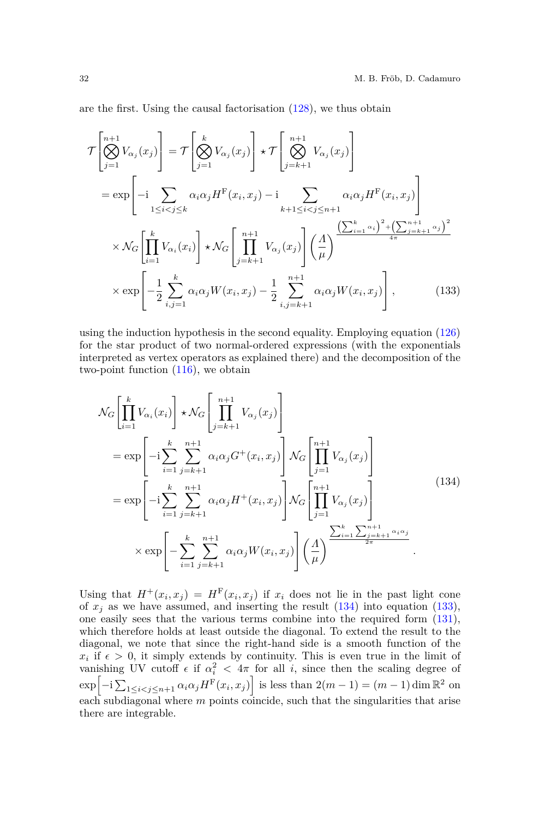are the first. Using the causal factorisation [\(128\)](#page-29-2), we thus obtain

<span id="page-31-1"></span>
$$
\mathcal{T}\left[\bigotimes_{j=1}^{n+1} V_{\alpha_j}(x_j)\right] = \mathcal{T}\left[\bigotimes_{j=1}^k V_{\alpha_j}(x_j)\right] \star \mathcal{T}\left[\bigotimes_{j=k+1}^{n+1} V_{\alpha_j}(x_j)\right]
$$
\n
$$
= \exp\left[-i \sum_{1 \leq i < j \leq k} \alpha_i \alpha_j H^{\mathrm{F}}(x_i, x_j) - i \sum_{k+1 \leq i < j \leq n+1} \alpha_i \alpha_j H^{\mathrm{F}}(x_i, x_j)\right]
$$
\n
$$
\times \mathcal{N}_G\left[\prod_{i=1}^k V_{\alpha_i}(x_i)\right] \star \mathcal{N}_G\left[\prod_{j=k+1}^{n+1} V_{\alpha_j}(x_j)\right] \left(\frac{A}{\mu}\right)^{\frac{\left(\sum_{i=1}^k \alpha_i\right)^2 + \left(\sum_{j=k+1}^{n+1} \alpha_j\right)^2}{4\pi}}
$$
\n
$$
\times \exp\left[-\frac{1}{2} \sum_{i,j=1}^k \alpha_i \alpha_j W(x_i, x_j) - \frac{1}{2} \sum_{i,j=k+1}^{n+1} \alpha_i \alpha_j W(x_i, x_j)\right], \qquad (133)
$$

using the induction hypothesis in the second equality. Employing equation  $(126)$ for the star product of two normal-ordered expressions (with the exponentials interpreted as vertex operators as explained there) and the decomposition of the two-point function  $(116)$ , we obtain

<span id="page-31-0"></span>
$$
\mathcal{N}_{G}\left[\prod_{i=1}^{k}V_{\alpha_{i}}(x_{i})\right] \star \mathcal{N}_{G}\left[\prod_{j=k+1}^{n+1}V_{\alpha_{j}}(x_{j})\right]
$$
\n
$$
= \exp\left[-i\sum_{i=1}^{k}\sum_{j=k+1}^{n+1}\alpha_{i}\alpha_{j}G^{+}(x_{i},x_{j})\right] \mathcal{N}_{G}\left[\prod_{j=1}^{n+1}V_{\alpha_{j}}(x_{j})\right]
$$
\n
$$
= \exp\left[-i\sum_{i=1}^{k}\sum_{j=k+1}^{n+1}\alpha_{i}\alpha_{j}H^{+}(x_{i},x_{j})\right] \mathcal{N}_{G}\left[\prod_{j=1}^{n+1}V_{\alpha_{j}}(x_{j})\right]
$$
\n
$$
\times \exp\left[-\sum_{i=1}^{k}\sum_{j=k+1}^{n+1}\alpha_{i}\alpha_{j}W(x_{i},x_{j})\right] \left(\frac{A}{\mu}\right)^{\sum_{i=1}^{k}\sum_{j=k+1}^{n+1}\alpha_{i}\alpha_{j}}.
$$
\n(134)

Using that  $H^+(x_i, x_j) = H^F(x_i, x_j)$  if  $x_i$  does not lie in the past light cone of  $x_i$  as we have assumed, and inserting the result  $(134)$  into equation  $(133)$ , one easily sees that the various terms combine into the required form [\(131\)](#page-30-1), which therefore holds at least outside the diagonal. To extend the result to the diagonal, we note that since the right-hand side is a smooth function of the  $x_i$  if  $\epsilon > 0$ , it simply extends by continuity. This is even true in the limit of vanishing UV cutoff  $\epsilon$  if  $\alpha_i^2 < 4\pi$  for all *i*, since then the scaling degree of  $\exp\left[-i\sum_{1\leq i < j \leq n+1} \alpha_i \alpha_j H^F(x_i, x_j)\right]$  is less than  $2(m-1) = (m-1) \dim \mathbb{R}^2$  on each subdiagonal where *m* points coincide, such that the singularities that arise there are integrable.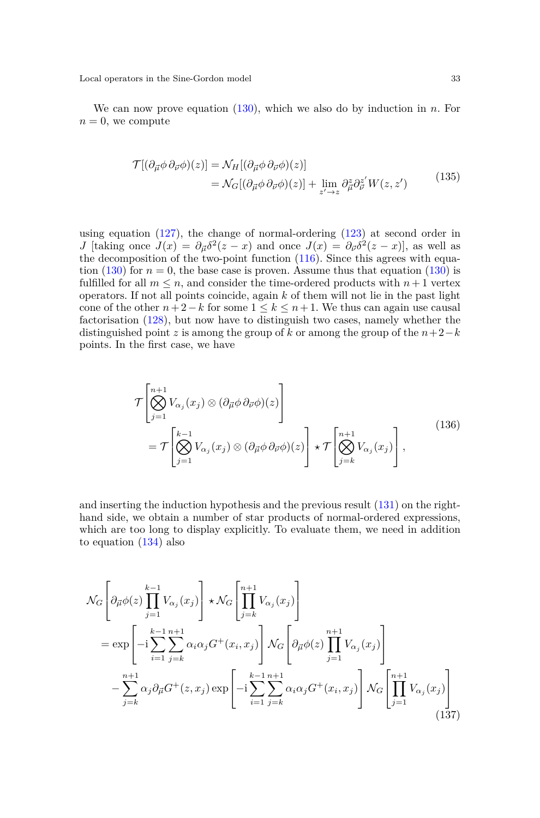We can now prove equation [\(130\)](#page-30-0), which we also do by induction in *n*. For  $n = 0$ , we compute

$$
\mathcal{T}[(\partial_{\vec{\mu}}\phi\,\partial_{\vec{\nu}}\phi)(z)] = \mathcal{N}_H[(\partial_{\vec{\mu}}\phi\,\partial_{\vec{\nu}}\phi)(z)] \n= \mathcal{N}_G[(\partial_{\vec{\mu}}\phi\,\partial_{\vec{\nu}}\phi)(z)] + \lim_{z' \to z} \partial_{\vec{\mu}}^z \partial_{\vec{\nu}}^{z'} W(z, z')
$$
\n(135)

using equation  $(127)$ , the change of normal-ordering  $(123)$  at second order in *J* [taking once  $J(x) = \partial_{\vec{\mu}} \delta^2(z - x)$  and once  $J(x) = \partial_{\vec{\nu}} \delta^2(z - x)$ ], as well as the decomposition of the two-point function [\(116\)](#page-27-2). Since this agrees with equation  $(130)$  for  $n = 0$ , the base case is proven. Assume thus that equation  $(130)$  is fulfilled for all  $m \leq n$ , and consider the time-ordered products with  $n+1$  vertex operators. If not all points coincide, again *k* of them will not lie in the past light cone of the other  $n+2-k$  for some  $1 \leq k \leq n+1$ . We thus can again use causal factorisation [\(128\)](#page-29-2), but now have to distinguish two cases, namely whether the distinguished point *z* is among the group of *k* or among the group of the  $n+2-k$ points. In the first case, we have

$$
\mathcal{T}\left[\bigotimes_{j=1}^{n+1} V_{\alpha_j}(x_j) \otimes (\partial_{\vec{\mu}} \phi \partial_{\vec{\nu}} \phi)(z)\right] \n= \mathcal{T}\left[\bigotimes_{j=1}^{k-1} V_{\alpha_j}(x_j) \otimes (\partial_{\vec{\mu}} \phi \partial_{\vec{\nu}} \phi)(z)\right] \star \mathcal{T}\left[\bigotimes_{j=k}^{n+1} V_{\alpha_j}(x_j)\right],
$$
\n(136)

and inserting the induction hypothesis and the previous result [\(131\)](#page-30-1) on the righthand side, we obtain a number of star products of normal-ordered expressions, which are too long to display explicitly. To evaluate them, we need in addition to equation [\(134\)](#page-31-0) also

<span id="page-32-0"></span>
$$
\mathcal{N}_{G}\left[\partial_{\vec{\mu}}\phi(z)\prod_{j=1}^{k-1}V_{\alpha_{j}}(x_{j})\right] \star \mathcal{N}_{G}\left[\prod_{j=k}^{n+1}V_{\alpha_{j}}(x_{j})\right]
$$
\n
$$
= \exp\left[-i\sum_{i=1}^{k-1}\sum_{j=k}^{n+1}\alpha_{i}\alpha_{j}G^{+}(x_{i},x_{j})\right] \mathcal{N}_{G}\left[\partial_{\vec{\mu}}\phi(z)\prod_{j=1}^{n+1}V_{\alpha_{j}}(x_{j})\right]
$$
\n
$$
-\sum_{j=k}^{n+1}\alpha_{j}\partial_{\vec{\mu}}G^{+}(z,x_{j})\exp\left[-i\sum_{i=1}^{k-1}\sum_{j=k}^{n+1}\alpha_{i}\alpha_{j}G^{+}(x_{i},x_{j})\right] \mathcal{N}_{G}\left[\prod_{j=1}^{n+1}V_{\alpha_{j}}(x_{j})\right]
$$
\n(137)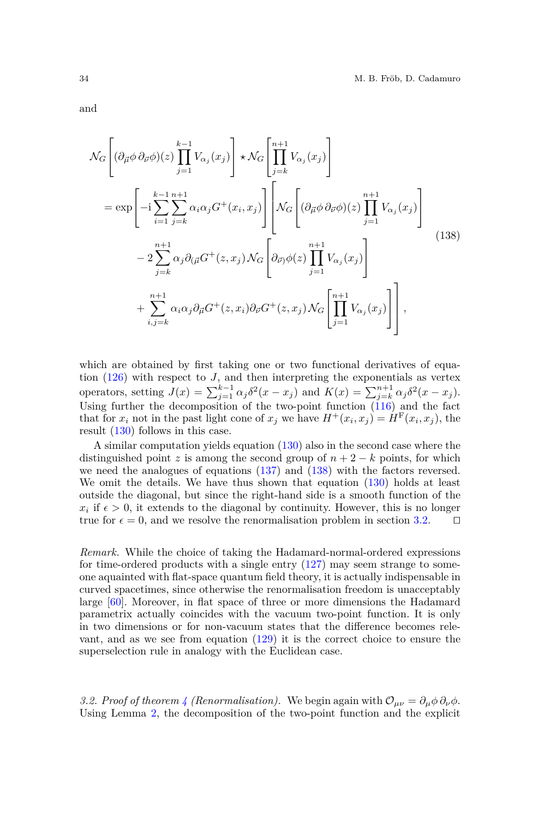and

<span id="page-33-0"></span>
$$
\mathcal{N}_{G}\left[(\partial_{\vec{\mu}}\phi\,\partial_{\vec{\nu}}\phi)(z)\prod_{j=1}^{k-1}V_{\alpha_{j}}(x_{j})\right] \star \mathcal{N}_{G}\left[\prod_{j=k}^{n+1}V_{\alpha_{j}}(x_{j})\right]
$$
\n
$$
= \exp\left[-i\sum_{i=1}^{k-1}\sum_{j=k}^{n+1}\alpha_{i}\alpha_{j}G^{+}(x_{i},x_{j})\right]\left[\mathcal{N}_{G}\left[(\partial_{\vec{\mu}}\phi\,\partial_{\vec{\nu}}\phi)(z)\prod_{j=1}^{n+1}V_{\alpha_{j}}(x_{j})\right]\right]
$$
\n
$$
-2\sum_{j=k}^{n+1}\alpha_{j}\partial_{(\vec{\mu}}G^{+}(z,x_{j})\mathcal{N}_{G}\left[\partial_{\vec{\nu}}\phi(z)\prod_{j=1}^{n+1}V_{\alpha_{j}}(x_{j})\right]
$$
\n
$$
+\sum_{i,j=k}^{n+1}\alpha_{i}\alpha_{j}\partial_{\vec{\mu}}G^{+}(z,x_{i})\partial_{\vec{\nu}}G^{+}(z,x_{j})\mathcal{N}_{G}\left[\prod_{j=1}^{n+1}V_{\alpha_{j}}(x_{j})\right],
$$
\n(138)

which are obtained by first taking one or two functional derivatives of equation  $(126)$  with respect to *J*, and then interpreting the exponentials as vertex operators, setting  $J(x) = \sum_{j=1}^{k-1} \alpha_j \delta^2(x - x_j)$  and  $K(x) = \sum_{j=k}^{n+1} \alpha_j \delta^2(x - x_j)$ . Using further the decomposition of the two-point function  $(116)$  and the fact that for  $x_i$  not in the past light cone of  $x_j$  we have  $H^+(x_i, x_j) = H^F(x_i, x_j)$ , the result [\(130\)](#page-30-0) follows in this case.

A similar computation yields equation [\(130\)](#page-30-0) also in the second case where the distinguished point *z* is among the second group of  $n + 2 - k$  points, for which we need the analogues of equations [\(137\)](#page-32-0) and [\(138\)](#page-33-0) with the factors reversed. We omit the details. We have thus shown that equation  $(130)$  holds at least outside the diagonal, but since the right-hand side is a smooth function of the  $x_i$  if  $\epsilon > 0$ , it extends to the diagonal by continuity. However, this is no longer true for  $\epsilon = 0$ , and we resolve the renormalisation problem in section [3.2.](#page-33-1)  $\square$ 

*Remark.* While the choice of taking the Hadamard-normal-ordered expressions for time-ordered products with a single entry  $(127)$  may seem strange to someone aquainted with flat-space quantum field theory, it is actually indispensable in curved spacetimes, since otherwise the renormalisation freedom is unacceptably large [\[60\]](#page-56-20). Moreover, in flat space of three or more dimensions the Hadamard parametrix actually coincides with the vacuum two-point function. It is only in two dimensions or for non-vacuum states that the difference becomes relevant, and as we see from equation [\(129\)](#page-29-0) it is the correct choice to ensure the superselection rule in analogy with the Euclidean case.

<span id="page-33-1"></span>*3.2. Proof of theorem [4](#page-4-0) (Renormalisation).* We begin again with  $\mathcal{O}_{\mu\nu} = \partial_{\mu}\phi \partial_{\nu}\phi$ . Using Lemma [2,](#page-29-3) the decomposition of the two-point function and the explicit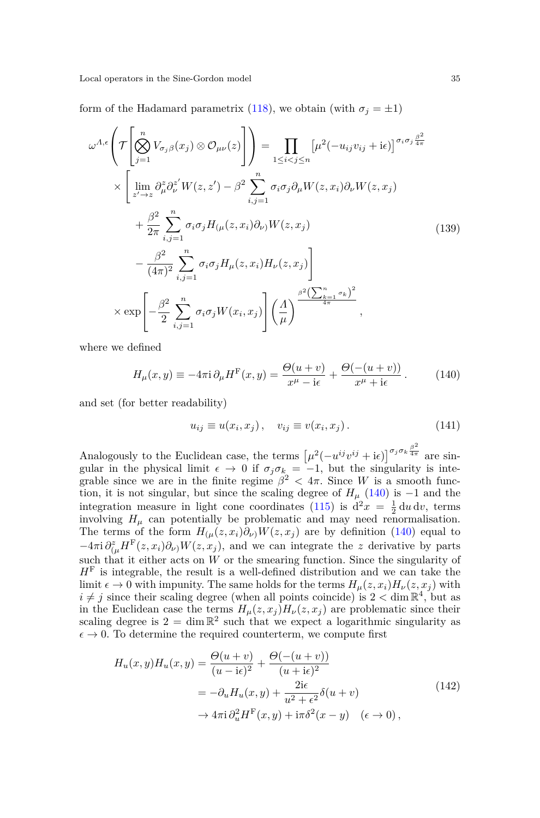form of the Hadamard parametrix [\(118\)](#page-27-3), we obtain (with  $\sigma_j = \pm 1$ )

<span id="page-34-1"></span>
$$
\omega^{A,\epsilon}\left(\mathcal{T}\left[\bigotimes_{j=1}^{n}V_{\sigma_{j}\beta}(x_{j})\otimes\mathcal{O}_{\mu\nu}(z)\right]\right) = \prod_{1\leq i\n
$$
\times\left[\lim_{z'\to z}\partial_{\mu}^{z}\partial_{\nu}^{z'}W(z,z')-\beta^{2}\sum_{i,j=1}^{n}\sigma_{i}\sigma_{j}\partial_{\mu}W(z,x_{i})\partial_{\nu}W(z,x_{j})\right]
$$
\n
$$
+\frac{\beta^{2}}{2\pi}\sum_{i,j=1}^{n}\sigma_{i}\sigma_{j}H_{(\mu}(z,x_{i})\partial_{\nu})W(z,x_{j})
$$
\n
$$
-\frac{\beta^{2}}{(4\pi)^{2}}\sum_{i,j=1}^{n}\sigma_{i}\sigma_{j}H_{\mu}(z,x_{i})H_{\nu}(z,x_{j})\right]
$$
\n
$$
\times \exp\left[-\frac{\beta^{2}}{2}\sum_{i,j=1}^{n}\sigma_{i}\sigma_{j}W(x_{i},x_{j})\right]\left(\frac{\Lambda}{\mu}\right)^{\frac{\beta^{2}\left(\sum_{k=1}^{n}\sigma_{k}\right)^{2}}{4\pi}},
$$
\n(139)
$$

where we defined

<span id="page-34-0"></span>
$$
H_{\mu}(x,y) \equiv -4\pi i \partial_{\mu} H^{F}(x,y) = \frac{\Theta(u+v)}{x^{\mu} - i\epsilon} + \frac{\Theta(-(u+v))}{x^{\mu} + i\epsilon}.
$$
 (140)

and set (for better readability)

$$
u_{ij} \equiv u(x_i, x_j), \quad v_{ij} \equiv v(x_i, x_j). \tag{141}
$$

Analogously to the Euclidean case, the terms  $[\mu^2(-u^{ij}v^{ij} + i\epsilon)]^{\sigma_j \sigma_k \frac{\beta^2}{4\pi}}$  are singular in the physical limit  $\epsilon \to 0$  if  $\sigma_j \sigma_k = -1$ , but the singularity is integrable since we are in the finite regime  $\beta^2 < 4\pi$ . Since *W* is a smooth function, it is not singular, but since the scaling degree of  $H<sub>\mu</sub>$  [\(140\)](#page-34-0) is -1 and the integration measure in light cone coordinates [\(115\)](#page-27-4) is  $d^2x = \frac{1}{2} du dv$ , terms involving  $H_\mu$  can potentially be problematic and may need renormalisation. The terms of the form  $H_{(\mu}(z, x_i)\partial_{\nu)}W(z, x_j)$  are by definition [\(140\)](#page-34-0) equal to  $-4\pi i \frac{\partial z}{\partial \mu} H^{\rm F}(z, x_i) \partial_\nu W(z, x_j)$ , and we can integrate the *z* derivative by parts such that it either acts on  $W$  or the smearing function. Since the singularity of *H*<sup>F</sup> is integrable, the result is a well-defined distribution and we can take the limit  $\epsilon \to 0$  with impunity. The same holds for the terms  $H_{\mu}(z, x_i)H_{\nu}(z, x_j)$  with  $i \neq j$  since their scaling degree (when all points coincide) is  $2 < \dim \mathbb{R}^4$ , but as in the Euclidean case the terms  $H_{\mu}(z, x_j)H_{\nu}(z, x_j)$  are problematic since their scaling degree is  $2 = \dim \mathbb{R}^2$  such that we expect a logarithmic singularity as  $\epsilon \to 0$ . To determine the required counterterm, we compute first

$$
H_u(x, y)H_u(x, y) = \frac{\Theta(u+v)}{(u-i\epsilon)^2} + \frac{\Theta(-(u+v))}{(u+i\epsilon)^2}
$$
  
=  $-\partial_u H_u(x, y) + \frac{2i\epsilon}{u^2 + \epsilon^2} \delta(u+v)$   
 $\rightarrow 4\pi i \partial_u^2 H^F(x, y) + i\pi \delta^2(x-y) \quad (\epsilon \rightarrow 0),$  (142)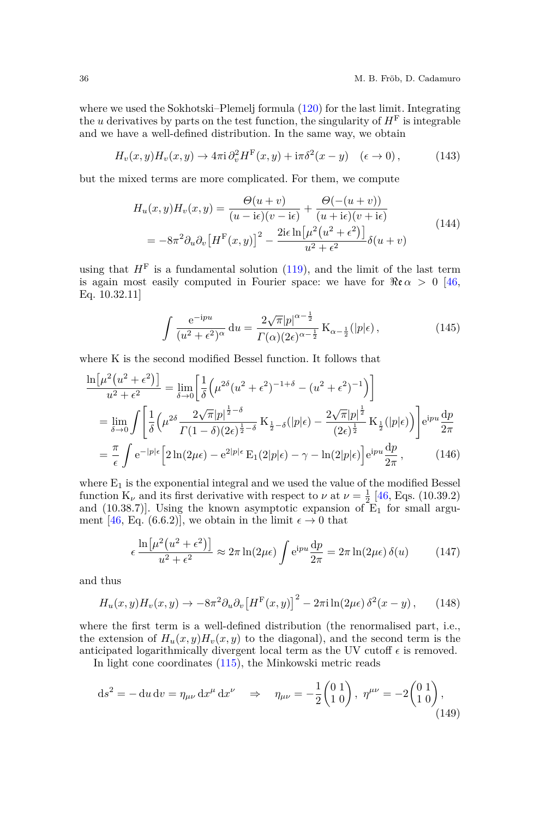where we used the Sokhotski–Plemelj formula [\(120\)](#page-27-5) for the last limit. Integrating the *u* derivatives by parts on the test function, the singularity of  $H<sup>F</sup>$  is integrable and we have a well-defined distribution. In the same way, we obtain

$$
H_v(x, y)H_v(x, y) \to 4\pi i \partial_v^2 H^F(x, y) + i\pi \delta^2(x - y) \quad (\epsilon \to 0), \tag{143}
$$

but the mixed terms are more complicated. For them, we compute

$$
H_u(x, y)H_v(x, y) = \frac{\Theta(u + v)}{(u - i\epsilon)(v - i\epsilon)} + \frac{\Theta(-(u + v))}{(u + i\epsilon)(v + i\epsilon)}
$$
  
= 
$$
-8\pi^2 \partial_u \partial_v \left[H^{\mathrm{F}}(x, y)\right]^2 - \frac{2i\epsilon \ln \left[\mu^2 \left(u^2 + \epsilon^2\right)\right]}{u^2 + \epsilon^2} \delta(u + v)
$$
(144)

using that  $H<sup>F</sup>$  is a fundamental solution [\(119\)](#page-27-6), and the limit of the last term is again most easily computed in Fourier space: we have for  $\Re \alpha > 0$  [\[46,](#page-56-7) Eq. 10.32.11]

$$
\int \frac{e^{-ipu}}{(u^2 + \epsilon^2)^{\alpha}} du = \frac{2\sqrt{\pi}|p|^{\alpha - \frac{1}{2}}}{\Gamma(\alpha)(2\epsilon)^{\alpha - \frac{1}{2}}} K_{\alpha - \frac{1}{2}}(|p|\epsilon), \qquad (145)
$$

where K is the second modified Bessel function. It follows that

$$
\frac{\ln[\mu^{2}(u^{2}+\epsilon^{2})]}{u^{2}+\epsilon^{2}} = \lim_{\delta \to 0} \left[ \frac{1}{\delta} \left( \mu^{2\delta}(u^{2}+\epsilon^{2})^{-1+\delta} - (u^{2}+\epsilon^{2})^{-1} \right) \right]
$$
\n
$$
= \lim_{\delta \to 0} \int \left[ \frac{1}{\delta} \left( \mu^{2\delta} \frac{2\sqrt{\pi}|p|^{1-\delta}}{\Gamma(1-\delta)(2\epsilon)^{1-\delta}} K_{\frac{1}{2}-\delta}(|p|\epsilon) - \frac{2\sqrt{\pi}|p|^{1-\delta}}{(2\epsilon)^{1-\delta}} K_{\frac{1}{2}}(|p|\epsilon) \right) \right] e^{ipu} \frac{dp}{2\pi}
$$
\n
$$
= \frac{\pi}{\epsilon} \int e^{-|p|\epsilon} \left[ 2\ln(2\mu\epsilon) - e^{2|p|\epsilon} \mathcal{E}_{1}(2|p|\epsilon) - \gamma - \ln(2|p|\epsilon) \right] e^{ipu} \frac{dp}{2\pi}, \qquad (146)
$$

where  $E_1$  is the exponential integral and we used the value of the modified Bessel function K<sub>*ν*</sub> and its first derivative with respect to *ν* at  $\nu = \frac{1}{2} [46, \text{Eqs. (10.39.2)}]$  $\nu = \frac{1}{2} [46, \text{Eqs. (10.39.2)}]$  $\nu = \frac{1}{2} [46, \text{Eqs. (10.39.2)}]$ and (10.38.7)]. Using the known asymptotic expansion of  $E_1$  for small argu-ment [\[46,](#page-56-7) Eq. (6.6.2)], we obtain in the limit  $\epsilon \to 0$  that

$$
\epsilon \frac{\ln[\mu^2(u^2 + \epsilon^2)]}{u^2 + \epsilon^2} \approx 2\pi \ln(2\mu\epsilon) \int e^{ipu} \frac{dp}{2\pi} = 2\pi \ln(2\mu\epsilon) \delta(u) \tag{147}
$$

and thus

$$
H_u(x,y)H_v(x,y) \to -8\pi^2 \partial_u \partial_v \left[H^{\mathcal{F}}(x,y)\right]^2 - 2\pi i \ln(2\mu\epsilon) \,\delta^2(x-y) \,,\qquad(148)
$$

where the first term is a well-defined distribution (the renormalised part, i.e., the extension of  $H_u(x, y)H_v(x, y)$  to the diagonal), and the second term is the anticipated logarithmically divergent local term as the UV cutoff  $\epsilon$  is removed.

In light cone coordinates [\(115\)](#page-27-4), the Minkowski metric reads

<span id="page-35-0"></span>
$$
ds^{2} = -du dv = \eta_{\mu\nu} dx^{\mu} dx^{\nu} \Rightarrow \eta_{\mu\nu} = -\frac{1}{2} \begin{pmatrix} 0 & 1 \\ 1 & 0 \end{pmatrix}, \ \eta^{\mu\nu} = -2 \begin{pmatrix} 0 & 1 \\ 1 & 0 \end{pmatrix}, \tag{149}
$$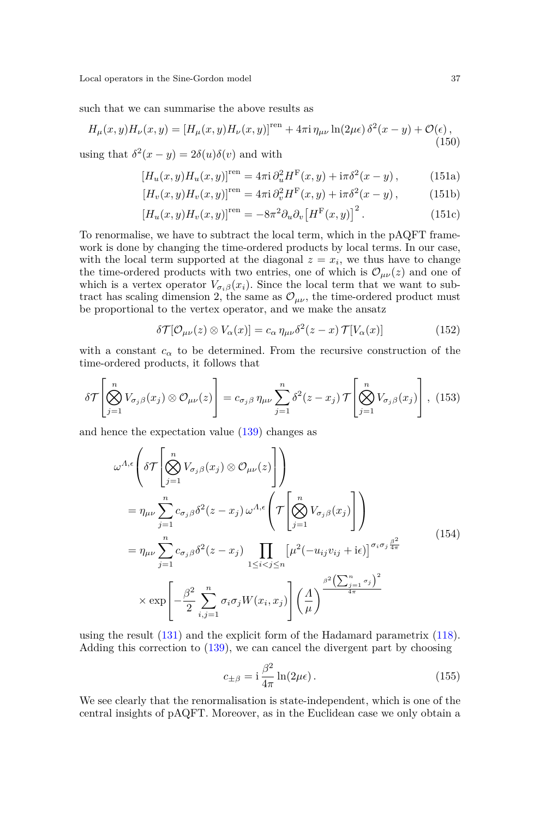such that we can summarise the above results as

<span id="page-36-1"></span>
$$
H_{\mu}(x,y)H_{\nu}(x,y) = \left[H_{\mu}(x,y)H_{\nu}(x,y)\right]^{ren} + 4\pi i \eta_{\mu\nu} \ln(2\mu\epsilon) \delta^{2}(x-y) + \mathcal{O}(\epsilon),
$$
\n(150)

using that  $\delta^2(x - y) = 2\delta(u)\delta(v)$  and with

<span id="page-36-3"></span>
$$
[H_u(x, y)H_u(x, y)]^{\text{ren}} = 4\pi i \partial_u^2 H^{\text{F}}(x, y) + i\pi \delta^2 (x - y), \tag{151a}
$$

$$
\left[H_v(x,y)H_v(x,y)\right]^\text{ren} = 4\pi i \,\partial_v^2 H^\text{F}(x,y) + i\pi \delta^2(x-y) \,,\tag{151b}
$$

$$
\left[H_u(x,y)H_v(x,y)\right]^{ren} = -8\pi^2 \partial_u \partial_v \left[H^{\mathcal{F}}(x,y)\right]^2.
$$
 (151c)

To renormalise, we have to subtract the local term, which in the pAQFT framework is done by changing the time-ordered products by local terms. In our case, with the local term supported at the diagonal  $z = x_i$ , we thus have to change the time-ordered products with two entries, one of which is  $\mathcal{O}_{\mu\nu}(z)$  and one of which is a vertex operator  $V_{\sigma_i\beta}(x_i)$ . Since the local term that we want to subtract has scaling dimension 2, the same as  $\mathcal{O}_{\mu\nu}$ , the time-ordered product must be proportional to the vertex operator, and we make the ansatz

<span id="page-36-4"></span>
$$
\delta \mathcal{T}[\mathcal{O}_{\mu\nu}(z) \otimes V_{\alpha}(x)] = c_{\alpha} \eta_{\mu\nu} \delta^2(z - x) \mathcal{T}[V_{\alpha}(x)] \tag{152}
$$

with a constant  $c_{\alpha}$  to be determined. From the recursive construction of the time-ordered products, it follows that

$$
\delta \mathcal{T} \left[ \bigotimes_{j=1}^{n} V_{\sigma_j \beta}(x_j) \otimes \mathcal{O}_{\mu\nu}(z) \right] = c_{\sigma_j \beta} \, \eta_{\mu\nu} \sum_{j=1}^{n} \delta^2(z - x_j) \, \mathcal{T} \left[ \bigotimes_{j=1}^{n} V_{\sigma_j \beta}(x_j) \right], \tag{153}
$$

and hence the expectation value [\(139\)](#page-34-1) changes as

<span id="page-36-0"></span>
$$
\omega^{A,\epsilon}\left(\delta\mathcal{T}\left[\bigotimes_{j=1}^{n}V_{\sigma_{j}\beta}(x_{j})\otimes\mathcal{O}_{\mu\nu}(z)\right]\right)
$$
\n
$$
=\eta_{\mu\nu}\sum_{j=1}^{n}c_{\sigma_{j}\beta}\delta^{2}(z-x_{j})\,\omega^{A,\epsilon}\left(\mathcal{T}\left[\bigotimes_{j=1}^{n}V_{\sigma_{j}\beta}(x_{j})\right]\right)
$$
\n
$$
=\eta_{\mu\nu}\sum_{j=1}^{n}c_{\sigma_{j}\beta}\delta^{2}(z-x_{j})\prod_{1\leq i\n
$$
\times \exp\left[-\frac{\beta^{2}}{2}\sum_{i,j=1}^{n}\sigma_{i}\sigma_{j}W(x_{i},x_{j})\right]\left(\frac{A}{\mu}\right)^{\frac{\beta^{2}\left(\sum_{j=1}^{n}\sigma_{j}\right)^{2}}{4\pi}}\right]
$$
\n(154)
$$

using the result [\(131\)](#page-30-1) and the explicit form of the Hadamard parametrix [\(118\)](#page-27-3). Adding this correction to [\(139\)](#page-34-1), we can cancel the divergent part by choosing

<span id="page-36-2"></span>
$$
c_{\pm\beta} = \mathbf{i}\frac{\beta^2}{4\pi}\ln(2\mu\epsilon). \tag{155}
$$

We see clearly that the renormalisation is state-independent, which is one of the central insights of pAQFT. Moreover, as in the Euclidean case we only obtain a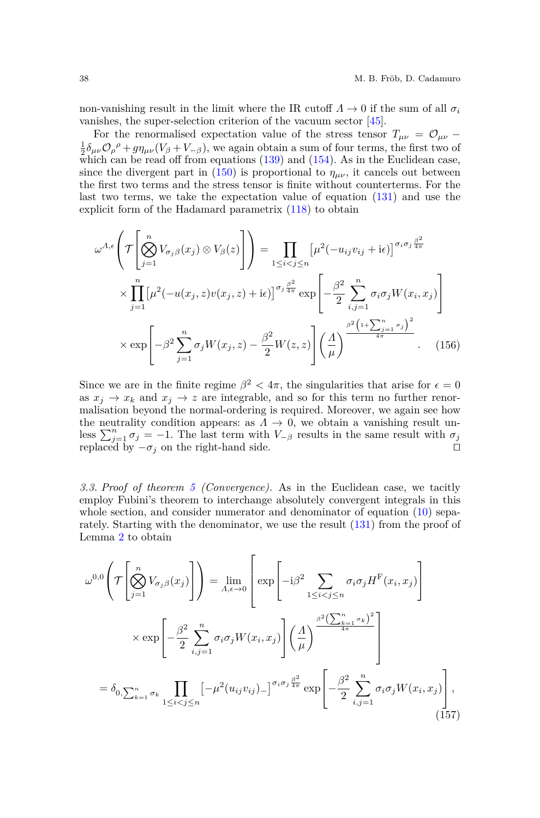non-vanishing result in the limit where the IR cutoff  $\Lambda \to 0$  if the sum of all  $\sigma_i$ vanishes, the super-selection criterion of the vacuum sector [\[45\]](#page-56-6).

For the renormalised expectation value of the stress tensor  $T_{\mu\nu} = \mathcal{O}_{\mu\nu} \frac{1}{2}\delta_{\mu\nu}\mathcal{O}_{\rho}{}^{\rho}+g\eta_{\mu\nu}(V_{\beta}+V_{-\beta})$ , we again obtain a sum of four terms, the first two of which can be read off from equations  $(139)$  and  $(154)$ . As in the Euclidean case, since the divergent part in [\(150\)](#page-36-1) is proportional to  $\eta_{\mu\nu}$ , it cancels out between the first two terms and the stress tensor is finite without counterterms. For the last two terms, we take the expectation value of equation [\(131\)](#page-30-1) and use the explicit form of the Hadamard parametrix [\(118\)](#page-27-3) to obtain

<span id="page-37-1"></span>
$$
\omega^{A,\epsilon}\left(\mathcal{T}\left[\bigotimes_{j=1}^{n}V_{\sigma_{j}\beta}(x_{j})\otimes V_{\beta}(z)\right]\right) = \prod_{1\leq i
$$
\times\prod_{j=1}^{n}\left[\mu^{2}(-u(x_{j},z)v(x_{j},z)+i\epsilon)\right]^{\sigma_{j}\frac{\beta^{2}}{4\pi}}\exp\left[-\frac{\beta^{2}}{2}\sum_{i,j=1}^{n}\sigma_{i}\sigma_{j}W(x_{i},x_{j})\right]
$$

$$
\times\exp\left[-\beta^{2}\sum_{j=1}^{n}\sigma_{j}W(x_{j},z)-\frac{\beta^{2}}{2}W(z,z)\right]\left(\frac{A}{\mu}\right)^{\frac{\beta^{2}\left(1+\sum_{j=1}^{n}\sigma_{j}\right)^{2}}{4\pi}}.\quad(156)
$$
$$

Since we are in the finite regime  $\beta^2 < 4\pi$ , the singularities that arise for  $\epsilon = 0$ as  $x_j \to x_k$  and  $x_j \to z$  are integrable, and so for this term no further renormalisation beyond the normal-ordering is required. Moreover, we again see how the neutrality condition appears: as  $\Lambda \to 0$ , we obtain a vanishing result unless  $\sum_{j=1}^{n} \sigma_j = -1$ . The last term with  $V_{-\beta}$  results in the same result with  $\sigma_j$ replaced by  $-\sigma_j$  on the right-hand side.  $\square$ 

*3.3. Proof of theorem [5](#page-5-0) (Convergence).* As in the Euclidean case, we tacitly employ Fubini's theorem to interchange absolutely convergent integrals in this whole section, and consider numerator and denominator of equation [\(10\)](#page-5-1) separately. Starting with the denominator, we use the result [\(131\)](#page-30-1) from the proof of Lemma [2](#page-29-3) to obtain

<span id="page-37-0"></span>
$$
\omega^{0,0}\left(\mathcal{T}\left[\bigotimes_{j=1}^{n}V_{\sigma_{j}\beta}(x_{j})\right]\right) = \lim_{\Lambda,\epsilon\to 0}\left[\exp\left[-i\beta^{2}\sum_{1\leq i
$$
\times \exp\left[-\frac{\beta^{2}}{2}\sum_{i,j=1}^{n}\sigma_{i}\sigma_{j}W(x_{i},x_{j})\right]\left(\frac{\Lambda}{\mu}\right)^{\frac{\beta^{2}\left(\sum_{k=1}^{n}\sigma_{k}\right)^{2}}{4\pi}}\right]
$$

$$
= \delta_{0,\sum_{k=1}^{n}\sigma_{k}}\prod_{1\leq i
$$
$$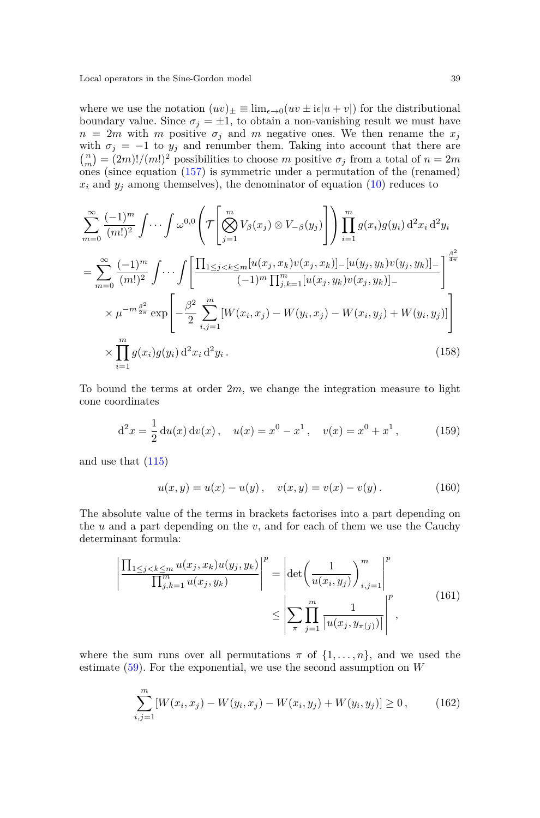where we use the notation  $(uv)_\pm \equiv \lim_{\epsilon \to 0} (uv \pm i\epsilon |u + v|)$  for the distributional boundary value. Since  $\sigma_j = \pm 1$ , to obtain a non-vanishing result we must have  $n = 2m$  with *m* positive  $\sigma_j$  and *m* negative ones. We then rename the  $x_j$ with  $\sigma_j = -1$  to  $y_j$  and renumber them. Taking into account that there are  $\binom{n}{m} = (2m)!/(m!)^2$  possibilities to choose *m* positive  $\sigma_j$  from a total of  $n = 2m$ ones (since equation [\(157\)](#page-37-0) is symmetric under a permutation of the (renamed)  $x_i$  and  $y_j$  among themselves), the denominator of equation  $(10)$  reduces to

<span id="page-38-0"></span>
$$
\sum_{m=0}^{\infty} \frac{(-1)^m}{(m!)^2} \int \cdots \int \omega^{0,0} \left( \mathcal{T} \left[ \bigotimes_{j=1}^m V_{\beta}(x_j) \otimes V_{-\beta}(y_j) \right] \right) \prod_{i=1}^m g(x_i) g(y_i) d^2 x_i d^2 y_i
$$
\n
$$
= \sum_{m=0}^{\infty} \frac{(-1)^m}{(m!)^2} \int \cdots \int \left[ \frac{\prod_{1 \le j < k \le m} [u(x_j, x_k) v(x_j, x_k)] - [u(y_j, y_k) v(y_j, y_k)] - \atop (-1)^m \prod_{j,k=1}^m [u(x_j, y_k) v(x_j, y_k)] - \atop (1)^m \prod_{j,k=1}^m [u(x_j, y_k) v(x_j, y_k)] - \atop (1)^m \prod_{j=1}^m g(x_j) g(y_j) d^2 x_i d^2 y_i.
$$
\n
$$
\times \prod_{i=1}^m g(x_i) g(y_i) d^2 x_i d^2 y_i.
$$
\n(158)

To bound the terms at order 2*m*, we change the integration measure to light cone coordinates

<span id="page-38-1"></span>
$$
d^{2}x = \frac{1}{2} du(x) dv(x), \quad u(x) = x^{0} - x^{1}, \quad v(x) = x^{0} + x^{1}, \quad (159)
$$

and use that [\(115\)](#page-27-4)

$$
u(x,y) = u(x) - u(y), \quad v(x,y) = v(x) - v(y).
$$
 (160)

The absolute value of the terms in brackets factorises into a part depending on the  $u$  and a part depending on the  $v$ , and for each of them we use the Cauchy determinant formula:

$$
\left| \frac{\prod_{1 \le j < k \le m} u(x_j, x_k) u(y_j, y_k)}{\prod_{j,k=1}^m u(x_j, y_k)} \right|^p = \left| \det \left( \frac{1}{u(x_i, y_j)} \right)_{i,j=1}^m \right|^p \le \left| \sum_{\pi} \prod_{j=1}^m \frac{1}{|u(x_j, y_{\pi(j)})|} \right|^p, \tag{161}
$$

where the sum runs over all permutations  $\pi$  of  $\{1, \ldots, n\}$ , and we used the estimate [\(59\)](#page-15-3). For the exponential, we use the second assumption on *W*

$$
\sum_{i,j=1}^{m} \left[ W(x_i, x_j) - W(y_i, x_j) - W(x_i, y_j) + W(y_i, y_j) \right] \ge 0, \qquad (162)
$$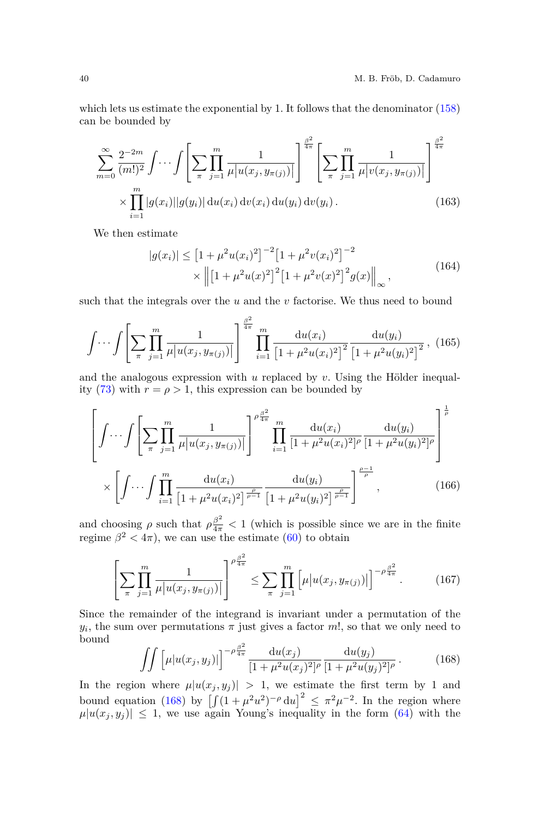which lets us estimate the exponential by 1. It follows that the denominator [\(158\)](#page-38-0) can be bounded by

<span id="page-39-3"></span>
$$
\sum_{m=0}^{\infty} \frac{2^{-2m}}{(m!)^2} \int \cdots \int \left[ \sum_{\pi} \prod_{j=1}^{m} \frac{1}{\mu |u(x_j, y_{\pi(j)})|} \right]^{\frac{\beta^2}{4\pi}} \left[ \sum_{\pi} \prod_{j=1}^{m} \frac{1}{\mu |v(x_j, y_{\pi(j)})|} \right]^{\frac{\beta^2}{4\pi}} \times \prod_{i=1}^{m} |g(x_i)| |g(y_i)| \, \mathrm{d}u(x_i) \, \mathrm{d}v(x_i) \, \mathrm{d}u(y_i) \, \mathrm{d}v(y_i). \tag{163}
$$

We then estimate

$$
|g(x_i)| \le [1 + \mu^2 u(x_i)^2]^{-2} [1 + \mu^2 v(x_i)^2]^{-2}
$$
  
 
$$
\times \left\| [1 + \mu^2 u(x)^2]^2 [1 + \mu^2 v(x)^2]^2 g(x) \right\|_{\infty},
$$
 (164)

such that the integrals over the *u* and the *v* factorise. We thus need to bound

<span id="page-39-2"></span>
$$
\int \cdots \int \left[ \sum_{\pi} \prod_{j=1}^{m} \frac{1}{\mu |u(x_j, y_{\pi(j)})|} \right]^{\frac{\beta^2}{4\pi}} \prod_{i=1}^{m} \frac{\mathrm{d}u(x_i)}{\left[ 1 + \mu^2 u(x_i)^2 \right]^2} \frac{\mathrm{d}u(y_i)}{\left[ 1 + \mu^2 u(y_i)^2 \right]^2}, \tag{165}
$$

and the analogous expression with *u* replaced by *v*. Using the Hölder inequal-ity [\(73\)](#page-18-0) with  $r = \rho > 1$ , this expression can be bounded by

<span id="page-39-1"></span>
$$
\left[\int \cdots \int \left[\sum_{\pi} \prod_{j=1}^{m} \frac{1}{\mu |u(x_j, y_{\pi(j)})|} \right]^{\rho \frac{\beta^2}{4\pi}} \prod_{i=1}^{m} \frac{du(x_i)}{[1 + \mu^2 u(x_i)^2]^{\rho}} \frac{du(y_i)}{[1 + \mu^2 u(y_i)^2]^{\rho}} \right]^{\frac{1}{\rho}} \times \left[\int \cdots \int \prod_{i=1}^{m} \frac{du(x_i)}{[1 + \mu^2 u(x_i)^2]^{\frac{\rho}{\rho-1}}} \frac{du(y_i)}{[1 + \mu^2 u(y_i)^2]^{\frac{\rho}{\rho-1}}}\right]^{\frac{\rho-1}{\rho}}, \quad (166)
$$

and choosing  $\rho$  such that  $\rho \frac{\beta^2}{4\pi} < 1$  (which is possible since we are in the finite regime  $\beta^2 < 4\pi$ , we can use the estimate [\(60\)](#page-15-4) to obtain

$$
\left[\sum_{\pi} \prod_{j=1}^{m} \frac{1}{\mu |u(x_j, y_{\pi(j)})|} \right]^{\rho \frac{\beta^2}{4\pi}} \le \sum_{\pi} \prod_{j=1}^{m} \left[\mu |u(x_j, y_{\pi(j)})| \right]^{-\rho \frac{\beta^2}{4\pi}}.
$$
 (167)

Since the remainder of the integrand is invariant under a permutation of the  $y_i$ , the sum over permutations  $\pi$  just gives a factor  $m!$ , so that we only need to bound

<span id="page-39-0"></span>
$$
\int \int \left[ \mu |u(x_j, y_j)| \right]^{-\rho \frac{\beta^2}{4\pi}} \frac{\mathrm{d}u(x_j)}{[1 + \mu^2 u(x_j)^2]^{\rho}} \frac{\mathrm{d}u(y_j)}{[1 + \mu^2 u(y_j)^2]^{\rho}} \,. \tag{168}
$$

In the region where  $\mu |u(x_i, y_i)| > 1$ , we estimate the first term by 1 and bound equation [\(168\)](#page-39-0) by  $\left[\int (1 + \mu^2 u^2)^{-\rho} du\right]^2 \leq \pi^2 \mu^{-2}$ . In the region where  $\mu |u(x_j, y_j)| \leq 1$ , we use again Young's inequality in the form [\(64\)](#page-16-3) with the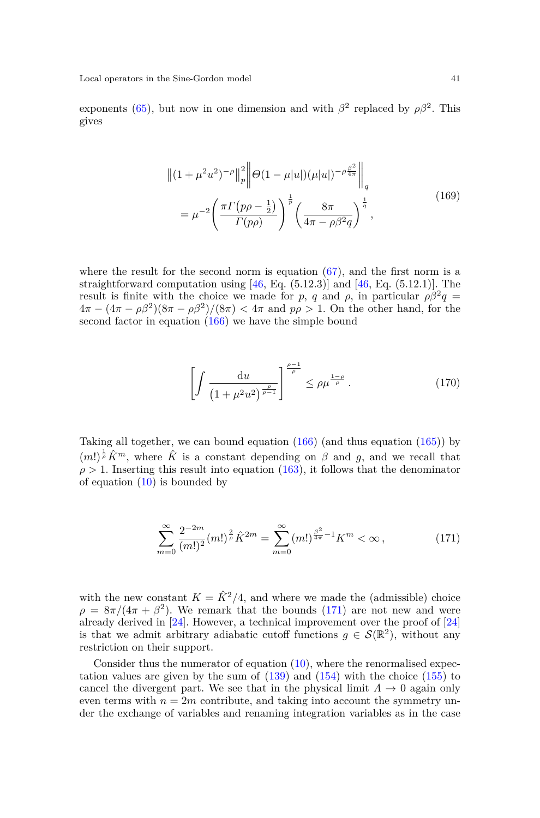exponents [\(65\)](#page-16-0), but now in one dimension and with  $\beta^2$  replaced by  $\rho\beta^2$ . This gives

$$
\| (1 + \mu^2 u^2)^{-\rho} \|_p^2 \|\Theta (1 - \mu |u|) (\mu |u|)^{-\rho \frac{\beta^2}{4\pi}} \|_q
$$
  
= 
$$
\mu^{-2} \left( \frac{\pi \Gamma(p\rho - \frac{1}{2})}{\Gamma(p\rho)} \right)^{\frac{1}{p}} \left( \frac{8\pi}{4\pi - \rho \beta^2 q} \right)^{\frac{1}{q}},
$$
 (169)

where the result for the second norm is equation  $(67)$ , and the first norm is a straightforward computation using  $[46, Eq. (5.12.3)]$  $[46, Eq. (5.12.3)]$  and  $[46, Eq. (5.12.1)]$ . The result is finite with the choice we made for *p*, *q* and *ρ*, in particular  $\rho \beta^2 q =$  $4\pi - (4\pi - \rho\beta^2)(8\pi - \rho\beta^2)/(8\pi) < 4\pi$  and  $p\rho > 1$ . On the other hand, for the second factor in equation  $(166)$  we have the simple bound

$$
\left[ \int \frac{\mathrm{d}u}{\left(1 + \mu^2 u^2\right)^{\frac{\rho}{\rho - 1}}} \right]^{\frac{\rho - 1}{\rho}} \le \rho \mu^{\frac{1 - \rho}{\rho}} \,. \tag{170}
$$

Taking all together, we can bound equation [\(166\)](#page-39-1) (and thus equation [\(165\)](#page-39-2)) by  $(m!)^{\frac{1}{p}}\hat{K}^m$ , where  $\hat{K}$  is a constant depending on  $\beta$  and  $g$ , and we recall that  $\rho > 1$ . Inserting this result into equation [\(163\)](#page-39-3), it follows that the denominator of equation  $(10)$  is bounded by

<span id="page-40-0"></span>
$$
\sum_{m=0}^{\infty} \frac{2^{-2m}}{(m!)^2} (m!)^{\frac{2}{\rho}} \hat{K}^{2m} = \sum_{m=0}^{\infty} (m!)^{\frac{\beta^2}{4\pi} - 1} K^m < \infty \,, \tag{171}
$$

with the new constant  $K = \hat{K}^2/4$ , and where we made the (admissible) choice  $\rho = 8\pi/(4\pi + \beta^2)$ . We remark that the bounds [\(171\)](#page-40-0) are not new and were already derived in [\[24\]](#page-55-14). However, a technical improvement over the proof of [\[24\]](#page-55-14) is that we admit arbitrary adiabatic cutoff functions  $g \in \mathcal{S}(\mathbb{R}^2)$ , without any restriction on their support.

Consider thus the numerator of equation  $(10)$ , where the renormalised expectation values are given by the sum of  $(139)$  and  $(154)$  with the choice  $(155)$  to cancel the divergent part. We see that in the physical limit  $\Lambda \to 0$  again only even terms with  $n = 2m$  contribute, and taking into account the symmetry under the exchange of variables and renaming integration variables as in the case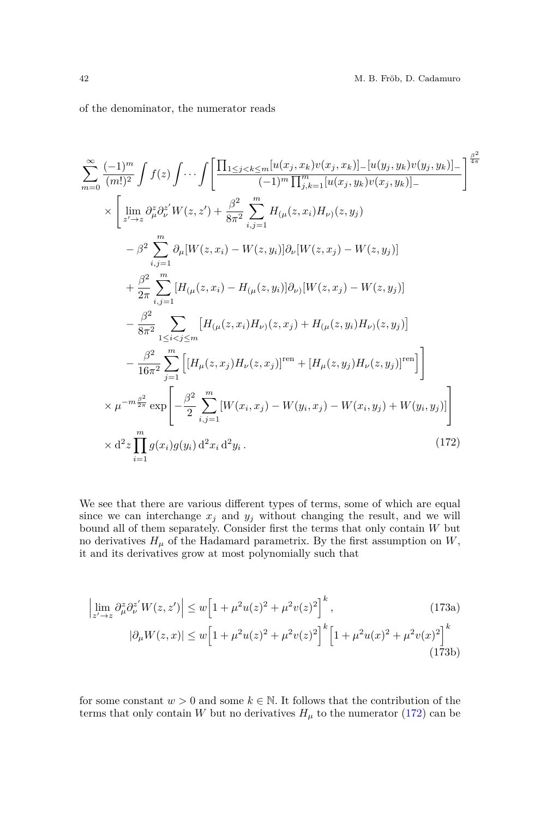of the denominator, the numerator reads

<span id="page-41-0"></span>
$$
\sum_{m=0}^{\infty} \frac{(-1)^m}{(m!)^2} \int f(z) \int \cdots \int \left[ \frac{\prod_{1 \le j < k \le m} [u(x_j, x_k) v(x_j, x_k)] - [u(y_j, y_k) v(y_j, y_k)] - (m!)^2}{(-1)^m \prod_{j,k=1}^m [u(x_j, y_k) v(x_j, y_k)] - 1} \right]^{\frac{\beta^2}{4\pi}} \times \left[ \lim_{z' \to z} \partial_{\mu}^z \partial_{\nu}^{z'} W(z, z') + \frac{\beta^2}{8\pi^2} \sum_{i,j=1}^m H_{(\mu}(z, x_i) H_{\nu)}(z, y_j) - \beta^2 \sum_{i,j=1}^m \partial_{\mu} [W(z, x_i) - W(z, y_i)] \partial_{\nu} [W(z, x_j) - W(z, y_j)] \right] + \frac{\beta^2}{2\pi} \sum_{i,j=1}^m [H_{(\mu}(z, x_i) - H_{(\mu}(z, y_i)] \partial_{\nu)} [W(z, x_j) - W(z, y_j)] - \frac{\beta^2}{8\pi^2} \sum_{1 \le i < j \le m} [H_{(\mu}(z, x_i) H_{\nu)}(z, x_j) + H_{(\mu}(z, y_i) H_{\nu)}(z, y_j)] - \frac{\beta^2}{16\pi^2} \sum_{j=1}^m \left[ [H_{\mu}(z, x_j) H_{\nu}(z, x_j)]^{\text{ren}} + [H_{\mu}(z, y_j) H_{\nu}(z, y_j)]^{\text{ren}} \right] \times \mu^{-m \frac{\beta^2}{2\pi}} \exp \left[ -\frac{\beta^2}{2} \sum_{i,j=1}^m [W(x_i, x_j) - W(y_i, x_j) - W(x_i, y_j) + W(y_i, y_j)] \right] \times \alpha^2 z \prod_{i=1}^m g(x_i) g(y_i) \, d^2 x_i \, d^2 y_i. \tag{172}
$$

We see that there are various different types of terms, some of which are equal since we can interchange  $x_j$  and  $y_j$  without changing the result, and we will bound all of them separately. Consider first the terms that only contain *W* but no derivatives  $H_\mu$  of the Hadamard parametrix. By the first assumption on  $W,$ it and its derivatives grow at most polynomially such that

<span id="page-41-1"></span>
$$
\left| \lim_{z' \to z} \partial_{\mu}^{z} \partial_{\nu}^{z'} W(z, z') \right| \le w \left[ 1 + \mu^{2} u(z)^{2} + \mu^{2} v(z)^{2} \right]^{k}, \tag{173a}
$$
\n
$$
|\partial_{\mu} W(z, x)| \le w \left[ 1 + \mu^{2} u(z)^{2} + \mu^{2} v(z)^{2} \right]^{k} \left[ 1 + \mu^{2} u(x)^{2} + \mu^{2} v(x)^{2} \right]^{k} \tag{173b}
$$

for some constant  $w > 0$  and some  $k \in \mathbb{N}$ . It follows that the contribution of the terms that only contain *W* but no derivatives  $H_{\mu}$  to the numerator [\(172\)](#page-41-0) can be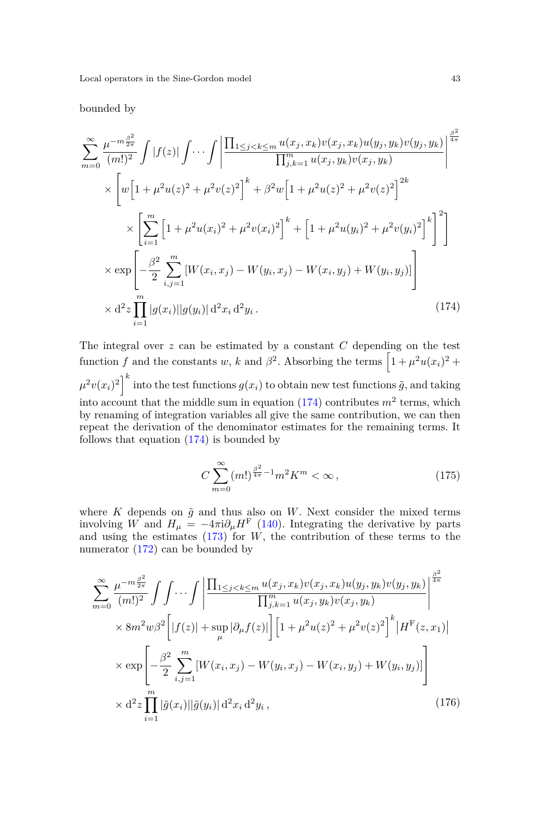bounded by

<span id="page-42-0"></span>
$$
\sum_{m=0}^{\infty} \frac{\mu^{-m \frac{\beta^2}{2\pi}}}{(m!)^2} \int |f(z)| \int \cdots \int \left| \frac{\prod_{1 \le j < k \le m} u(x_j, x_k) v(x_j, x_k) u(y_j, y_k) v(y_j, y_k)}{\prod_{j,k=1}^m u(x_j, y_k) v(x_j, y_k)} \right|^{\frac{\beta^2}{4\pi}} \times \left[ w \left[ 1 + \mu^2 u(z)^2 + \mu^2 v(z)^2 \right]^k + \beta^2 w \left[ 1 + \mu^2 u(z)^2 + \mu^2 v(z)^2 \right]^{2k} \right] \times \left[ \sum_{i=1}^m \left[ 1 + \mu^2 u(x_i)^2 + \mu^2 v(x_i)^2 \right]^k + \left[ 1 + \mu^2 u(y_i)^2 + \mu^2 v(y_i)^2 \right]^k \right]^2 \right] \times \exp \left[ -\frac{\beta^2}{2} \sum_{i,j=1}^m \left[ W(x_i, x_j) - W(y_i, x_j) - W(x_i, y_j) + W(y_i, y_j) \right] \right] \times d^2 z \prod_{i=1}^m |g(x_i)||g(y_i)| d^2 x_i d^2 y_i. \tag{174}
$$

The integral over *z* can be estimated by a constant *C* depending on the test function *f* and the constants *w*, *k* and  $\beta^2$ . Absorbing the terms  $\left[1 + \mu^2 u(x_i)^2 + \cdots\right]$  $\mu^2 v(x_i)^2\Big]^k$  into the test functions  $g(x_i)$  to obtain new test functions  $\tilde{g}$ , and taking into account that the middle sum in equation  $(174)$  contributes  $m^2$  terms, which by renaming of integration variables all give the same contribution, we can then repeat the derivation of the denominator estimates for the remaining terms. It follows that equation [\(174\)](#page-42-0) is bounded by

<span id="page-42-2"></span>
$$
C\sum_{m=0}^{\infty} (m!)^{\frac{\beta^2}{4\pi} - 1} m^2 K^m < \infty \,, \tag{175}
$$

where  $K$  depends on  $\tilde{g}$  and thus also on  $W$ . Next consider the mixed terms involving *W* and  $H_\mu = -4\pi i \partial_\mu H^F$  [\(140\)](#page-34-0). Integrating the derivative by parts and using the estimates  $(173)$  for *W*, the contribution of these terms to the numerator [\(172\)](#page-41-0) can be bounded by

<span id="page-42-1"></span>
$$
\sum_{m=0}^{\infty} \frac{\mu^{-m \frac{\beta^2}{2\pi}}}{(m!)^2} \int \int \cdots \int \left| \frac{\prod_{1 \leq j < k \leq m} u(x_j, x_k) v(x_j, x_k) u(y_j, y_k) v(y_j, y_k)}{\prod_{j,k=1}^m u(x_j, y_k) v(x_j, y_k)} \right|^{\frac{\beta^2}{4\pi}} \times 8m^2 w \beta^2 \left[ |f(z)| + \sup_{\mu} |\partial_{\mu} f(z)| \right] \left[ 1 + \mu^2 u(z)^2 + \mu^2 v(z)^2 \right]^k |H^{\mathcal{F}}(z, x_1)| \times \exp \left[ -\frac{\beta^2}{2} \sum_{i,j=1}^m \left[ W(x_i, x_j) - W(y_i, x_j) - W(x_i, y_j) + W(y_i, y_j) \right] \right] \times \mathcal{d}^2 z \prod_{i=1}^m |\tilde{g}(x_i)| |\tilde{g}(y_i)| \mathcal{d}^2 x_i \mathcal{d}^2 y_i, \tag{176}
$$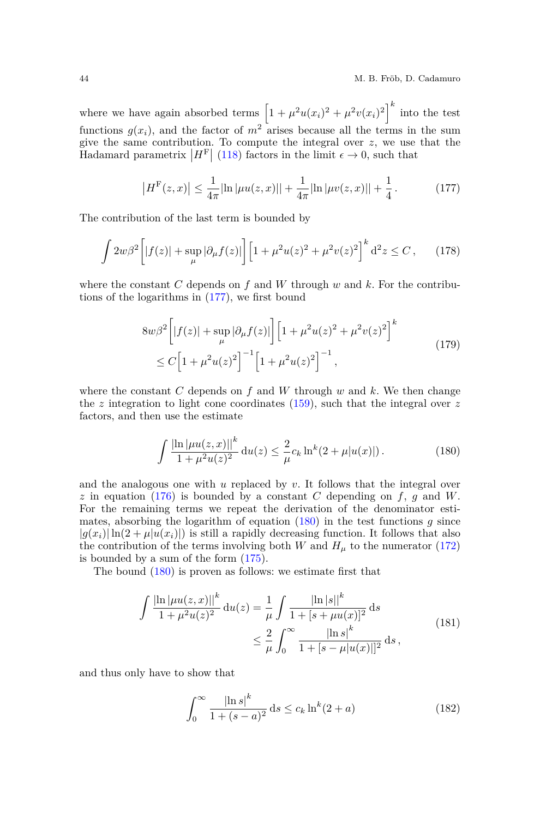where we have again absorbed terms  $\left[1 + \mu^2 u(x_i)^2 + \mu^2 v(x_i)^2\right]^k$  into the test functions  $g(x_i)$ , and the factor of  $m^2$  arises because all the terms in the sum give the same contribution. To compute the integral over *z*, we use that the Hadamard parametrix  $|H^{\text{F}}|$  [\(118\)](#page-27-3) factors in the limit  $\epsilon \to 0$ , such that

<span id="page-43-0"></span>
$$
\left| H^{\mathcal{F}}(z,x) \right| \le \frac{1}{4\pi} \left| \ln \left| \mu u(z,x) \right| \right| + \frac{1}{4\pi} \left| \ln \left| \mu v(z,x) \right| \right| + \frac{1}{4} \,. \tag{177}
$$

The contribution of the last term is bounded by

$$
\int 2w\beta^2 \left[ |f(z)| + \sup_{\mu} |\partial_{\mu} f(z)| \right] \left[ 1 + \mu^2 u(z)^2 + \mu^2 v(z)^2 \right]^k d^2 z \le C \,, \tag{178}
$$

where the constant *C* depends on *f* and *W* through *w* and *k*. For the contributions of the logarithms in [\(177\)](#page-43-0), we first bound

$$
8w\beta^{2}\left[|f(z)|+\sup_{\mu}|\partial_{\mu}f(z)|\right]\left[1+\mu^{2}u(z)^{2}+\mu^{2}v(z)^{2}\right]^{k}
$$
  
 
$$
\leq C\left[1+\mu^{2}u(z)^{2}\right]^{-1}\left[1+\mu^{2}u(z)^{2}\right]^{-1}, \qquad (179)
$$

where the constant  $C$  depends on  $f$  and  $W$  through  $w$  and  $k$ . We then change the *z* integration to light cone coordinates [\(159\)](#page-38-1), such that the integral over *z* factors, and then use the estimate

<span id="page-43-1"></span>
$$
\int \frac{|\ln|\mu u(z,x)||^k}{1+\mu^2 u(z)^2} \, \mathrm{d}u(z) \le \frac{2}{\mu} c_k \ln^k(2+\mu|u(x)|) \,. \tag{180}
$$

and the analogous one with *u* replaced by *v*. It follows that the integral over  $z$  in equation [\(176\)](#page-42-1) is bounded by a constant *C* depending on  $f$ ,  $g$  and  $W$ . For the remaining terms we repeat the derivation of the denominator estimates, absorbing the logarithm of equation [\(180\)](#page-43-1) in the test functions *g* since  $|g(x_i)| \ln(2 + \mu |u(x_i)|)$  is still a rapidly decreasing function. It follows that also the contribution of the terms involving both *W* and  $H<sub>\mu</sub>$  to the numerator [\(172\)](#page-41-0) is bounded by a sum of the form [\(175\)](#page-42-2).

The bound [\(180\)](#page-43-1) is proven as follows: we estimate first that

$$
\int \frac{|\ln |\mu u(z, x)||^k}{1 + \mu^2 u(z)^2} du(z) = \frac{1}{\mu} \int \frac{|\ln |s||^k}{1 + [s + \mu u(x)]^2} ds
$$
  

$$
\leq \frac{2}{\mu} \int_0^\infty \frac{|\ln s|^k}{1 + [s - \mu |u(x)|]^2} ds,
$$
 (181)

and thus only have to show that

$$
\int_0^\infty \frac{|\ln s|^k}{1 + (s - a)^2} ds \le c_k \ln^k(2 + a)
$$
\n(182)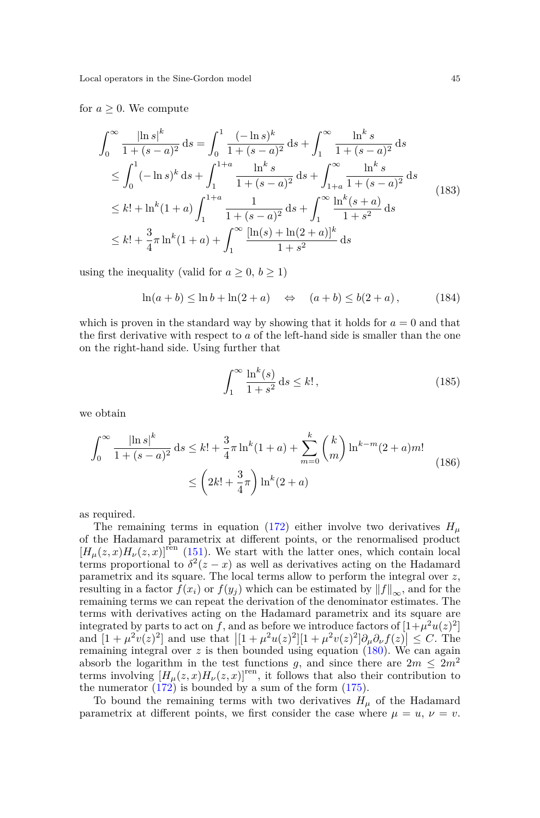#### for  $a \geq 0$ . We compute

$$
\int_0^\infty \frac{|\ln s|^k}{1 + (s - a)^2} ds = \int_0^1 \frac{(-\ln s)^k}{1 + (s - a)^2} ds + \int_1^\infty \frac{\ln^k s}{1 + (s - a)^2} ds
$$
  
\n
$$
\leq \int_0^1 (-\ln s)^k ds + \int_1^{1 + a} \frac{\ln^k s}{1 + (s - a)^2} ds + \int_{1 + a}^\infty \frac{\ln^k s}{1 + (s - a)^2} ds
$$
  
\n
$$
\leq k! + \ln^k (1 + a) \int_1^{1 + a} \frac{1}{1 + (s - a)^2} ds + \int_1^\infty \frac{\ln^k (s + a)}{1 + s^2} ds
$$
  
\n
$$
\leq k! + \frac{3}{4} \pi \ln^k (1 + a) + \int_1^\infty \frac{[\ln(s) + \ln(2 + a)]^k}{1 + s^2} ds
$$
 (183)

using the inequality (valid for  $a \geq 0, b \geq 1$ )

$$
\ln(a+b) \le \ln b + \ln(2+a) \quad \Leftrightarrow \quad (a+b) \le b(2+a), \tag{184}
$$

which is proven in the standard way by showing that it holds for  $a = 0$  and that the first derivative with respect to *a* of the left-hand side is smaller than the one on the right-hand side. Using further that

$$
\int_{1}^{\infty} \frac{\ln^{k}(s)}{1+s^{2}} \, \mathrm{d}s \leq k!,\tag{185}
$$

we obtain

$$
\int_0^\infty \frac{|\ln s|^k}{1 + (s - a)^2} ds \le k! + \frac{3}{4} \pi \ln^k (1 + a) + \sum_{m=0}^k {k \choose m} \ln^{k-m} (2 + a) m! \le \left(2k! + \frac{3}{4} \pi\right) \ln^k (2 + a)
$$
\n(186)

as required.

The remaining terms in equation [\(172\)](#page-41-0) either involve two derivatives  $H_\mu$ of the Hadamard parametrix at different points, or the renormalised product  $[H<sub>\mu</sub>(z,x)H<sub>\nu</sub>(z,x)]$ <sup>ren</sup> [\(151\)](#page-36-3). We start with the latter ones, which contain local terms proportional to  $\delta^2(z-x)$  as well as derivatives acting on the Hadamard parametrix and its square. The local terms allow to perform the integral over *z*, resulting in a factor  $f(x_i)$  or  $f(y_j)$  which can be estimated by  $||f||_{\infty}$ , and for the remaining terms we can repeat the derivation of the denominator estimates. The terms with derivatives acting on the Hadamard parametrix and its square are integrated by parts to act on *f*, and as before we introduce factors of  $[1+\mu^2 u(z)^2]$ and  $[1 + \mu^2 v(z)^2]$  and use that  $\left| [1 + \mu^2 u(z)^2] [1 + \mu^2 v(z)^2] \partial_\mu \partial_\nu f(z) \right| \leq C$ . The remaining integral over  $z$  is then bounded using equation  $(180)$ . We can again absorb the logarithm in the test functions *g*, and since there are  $2m \leq 2m^2$ terms involving  $[H_\mu(z,x)H_\nu(z,x)]^{\text{ren}}$ , it follows that also their contribution to the numerator  $(172)$  is bounded by a sum of the form  $(175)$ .

To bound the remaining terms with two derivatives  $H_{\mu}$  of the Hadamard parametrix at different points, we first consider the case where  $\mu = u$ ,  $\nu = v$ .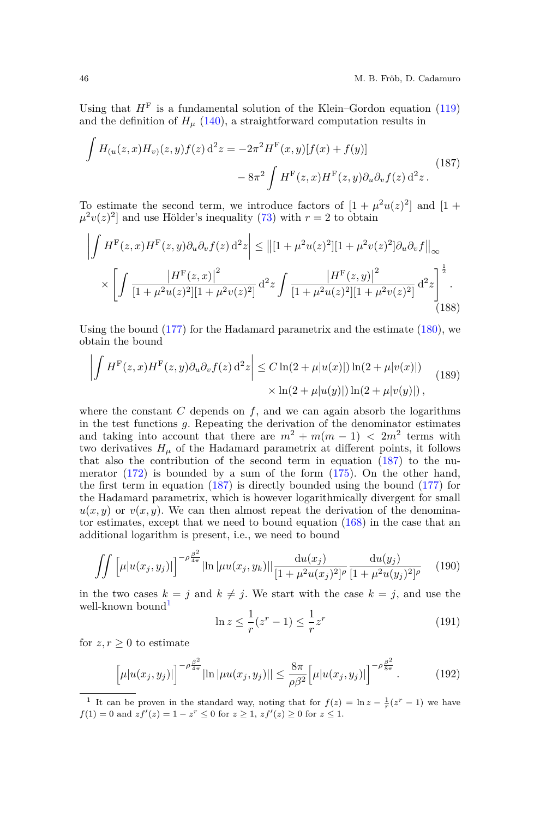Using that  $H<sup>F</sup>$  is a fundamental solution of the Klein–Gordon equation [\(119\)](#page-27-6) and the definition of  $H<sub>\mu</sub>$  [\(140\)](#page-34-0), a straightforward computation results in

<span id="page-45-0"></span>
$$
\int H_{(u}(z,x)H_v)(z,y)f(z) d^2z = -2\pi^2 H^{\mathcal{F}}(x,y)[f(x) + f(y)]
$$
\n
$$
-8\pi^2 \int H^{\mathcal{F}}(z,x)H^{\mathcal{F}}(z,y)\partial_u\partial_v f(z) d^2z.
$$
\n(187)

To estimate the second term, we introduce factors of  $[1 + \mu^2 u(z)^2]$  and  $[1 +$  $\mu^2 v(z)^2$  and use Hölder's inequality [\(73\)](#page-18-0) with  $r = 2$  to obtain

$$
\left| \int H^{\mathcal{F}}(z,x)H^{\mathcal{F}}(z,y)\partial_{u}\partial_{v}f(z) dz \right| \leq ||[1+\mu^{2}u(z)^{2}][1+\mu^{2}v(z)^{2}]\partial_{u}\partial_{v}f||_{\infty}
$$

$$
\times \left[ \int \frac{|H^{\mathcal{F}}(z,x)|^{2}}{[1+\mu^{2}u(z)^{2}][1+\mu^{2}v(z)^{2}]} d^{2}z \int \frac{|H^{\mathcal{F}}(z,y)|^{2}}{[1+\mu^{2}u(z)^{2}][1+\mu^{2}v(z)^{2}]} d^{2}z \right]_{(188)}
$$

Using the bound  $(177)$  for the Hadamard parametrix and the estimate  $(180)$ , we obtain the bound

$$
\left| \int H^{\mathcal{F}}(z,x)H^{\mathcal{F}}(z,y)\partial_u \partial_v f(z) d^2 z \right| \leq C \ln(2 + \mu |u(x)|) \ln(2 + \mu |v(x)|) \times \ln(2 + \mu |u(y)|) \ln(2 + \mu |v(y)|), \tag{189}
$$

where the constant  $C$  depends on  $f$ , and we can again absorb the logarithms in the test functions *g*. Repeating the derivation of the denominator estimates and taking into account that there are  $m^2 + m(m - 1) < 2m^2$  terms with two derivatives  $H_\mu$  of the Hadamard parametrix at different points, it follows that also the contribution of the second term in equation  $(187)$  to the numerator  $(172)$  is bounded by a sum of the form  $(175)$ . On the other hand, the first term in equation [\(187\)](#page-45-0) is directly bounded using the bound [\(177\)](#page-43-0) for the Hadamard parametrix, which is however logarithmically divergent for small  $u(x, y)$  or  $v(x, y)$ . We can then almost repeat the derivation of the denominator estimates, except that we need to bound equation [\(168\)](#page-39-0) in the case that an additional logarithm is present, i.e., we need to bound

<span id="page-45-2"></span>
$$
\int \int \left[ \mu |u(x_j, y_j)| \right]^{-\rho \frac{\beta^2}{4\pi}} |\ln |\mu u(x_j, y_k)| |\frac{\mathrm{d}u(x_j)}{[1 + \mu^2 u(x_j)^2]^{\rho}} \frac{\mathrm{d}u(y_j)}{[1 + \mu^2 u(y_j)^2]^{\rho}} \tag{190}
$$

in the two cases  $k = j$  and  $k \neq j$ . We start with the case  $k = j$ , and use the well-known bound<sup>[1](#page-45-1)</sup>

$$
\ln z \le \frac{1}{r}(z^r - 1) \le \frac{1}{r}z^r \tag{191}
$$

for  $z, r \geq 0$  to estimate

$$
\left[\mu|u(x_j, y_j)|\right]^{-\rho\frac{\beta^2}{4\pi}}\left|\ln|\mu u(x_j, y_j)|\right| \le \frac{8\pi}{\rho\beta^2}\left[\mu|u(x_j, y_j)|\right]^{-\rho\frac{\beta^2}{8\pi}}.\tag{192}
$$

<span id="page-45-1"></span><sup>&</sup>lt;sup>1</sup> It can be proven in the standard way, noting that for  $f(z) = \ln z - \frac{1}{r}(z^r - 1)$  we have  $f(1) = 0$  and  $zf'(z) = 1 - z^r \leq 0$  for  $z \geq 1$ ,  $zf'(z) \geq 0$  for  $z \leq 1$ .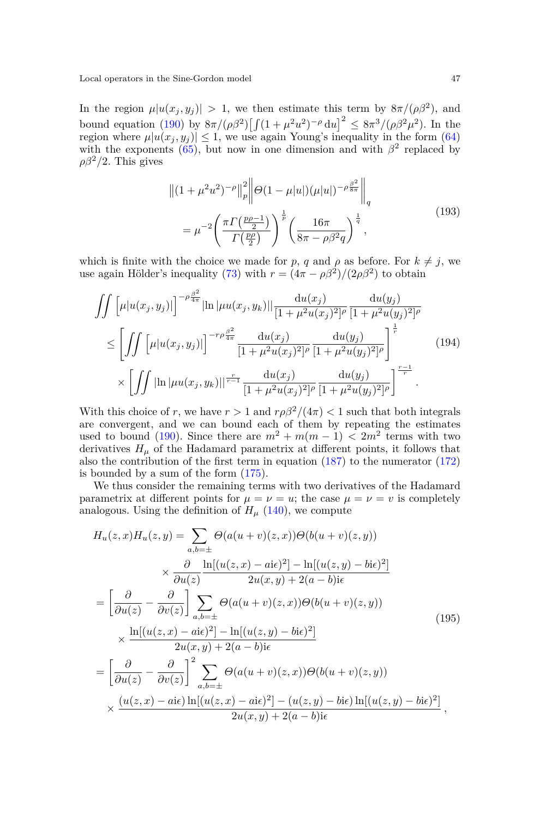In the region  $\mu |u(x_j, y_j)| > 1$ , we then estimate this term by  $8\pi/(\rho\beta^2)$ , and bound equation [\(190\)](#page-45-2) by  $8\pi/(\rho\beta^2)\left[\int (1+\mu^2u^2)^{-\rho} du\right]^2 \leq 8\pi^3/(\rho\beta^2\mu^2)$ . In the region where  $\mu |u(x_j, y_j)| \leq 1$ , we use again Young's inequality in the form [\(64\)](#page-16-3) with the exponents  $(65)$ , but now in one dimension and with  $\beta^2$  replaced by  $\rho\beta^2/2$ . This gives

$$
\left\| (1 + \mu^2 u^2)^{-\rho} \right\|_p^2 \left\| \Theta(1 - \mu |u|) (\mu |u|)^{-\rho \frac{\beta^2}{8\pi}} \right\|_q
$$
  
= 
$$
\mu^{-2} \left( \frac{\pi \Gamma(\frac{p\rho - 1}{2})}{\Gamma(\frac{p\rho}{2})} \right)^{\frac{1}{p}} \left( \frac{16\pi}{8\pi - \rho \beta^2 q} \right)^{\frac{1}{q}},
$$
 (193)

which is finite with the choice we made for *p*, *q* and  $\rho$  as before. For  $k \neq j$ , we use again Hölder's inequality [\(73\)](#page-18-0) with  $r = (4\pi - \rho\beta^2)/(2\rho\beta^2)$  to obtain

$$
\iint \left[ \mu |u(x_j, y_j)| \right]^{-\rho \frac{\beta^2}{4\pi}} |\ln |\mu u(x_j, y_k)| |\frac{du(x_j)}{[1 + \mu^2 u(x_j)^2]^{\rho}} \frac{du(y_j)}{[1 + \mu^2 u(y_j)^2]^{\rho}} \n\leq \left[ \iint \left[ \mu |u(x_j, y_j)| \right]^{-r\rho \frac{\beta^2}{4\pi}} \frac{du(x_j)}{[1 + \mu^2 u(x_j)^2]^{\rho}} \frac{du(y_j)}{[1 + \mu^2 u(y_j)^2]^{\rho}} \right]^{\frac{1}{r}} \n\times \left[ \iint |\ln |\mu u(x_j, y_k)| |^{\frac{r}{r-1}} \frac{du(x_j)}{[1 + \mu^2 u(x_j)^2]^{\rho}} \frac{du(y_j)}{[1 + \mu^2 u(y_j)^2]^{\rho}} \right]^{\frac{r-1}{r}}.
$$
\n(194)

With this choice of *r*, we have  $r > 1$  and  $r \rho \beta^2 / (4\pi) < 1$  such that both integrals are convergent, and we can bound each of them by repeating the estimates used to bound [\(190\)](#page-45-2). Since there are  $m^2 + m(m-1) < 2m^2$  terms with two derivatives  $H_\mu$  of the Hadamard parametrix at different points, it follows that also the contribution of the first term in equation [\(187\)](#page-45-0) to the numerator [\(172\)](#page-41-0) is bounded by a sum of the form [\(175\)](#page-42-2).

We thus consider the remaining terms with two derivatives of the Hadamard parametrix at different points for  $\mu = \nu = u$ ; the case  $\mu = \nu = v$  is completely analogous. Using the definition of  $H<sub>u</sub>$  [\(140\)](#page-34-0), we compute

$$
H_u(z, x)H_u(z, y) = \sum_{a,b=\pm} \Theta(a(u+v)(z, x))\Theta(b(u+v)(z, y))
$$
  
\n
$$
\times \frac{\partial}{\partial u(z)} \frac{\ln[(u(z, x) - ai\epsilon)^2] - \ln[(u(z, y) - bi\epsilon)^2]}{2u(x, y) + 2(a - b)i\epsilon}
$$
  
\n
$$
= \left[\frac{\partial}{\partial u(z)} - \frac{\partial}{\partial v(z)}\right] \sum_{a,b=\pm} \Theta(a(u+v)(z, x))\Theta(b(u+v)(z, y))
$$
  
\n
$$
\times \frac{\ln[(u(z, x) - ai\epsilon)^2] - \ln[(u(z, y) - bi\epsilon)^2]}{2u(x, y) + 2(a - b)i\epsilon}
$$
  
\n
$$
= \left[\frac{\partial}{\partial u(z)} - \frac{\partial}{\partial v(z)}\right]^2 \sum_{a,b=\pm} \Theta(a(u+v)(z, x))\Theta(b(u+v)(z, y))
$$
  
\n
$$
\times \frac{(u(z, x) - ai\epsilon)\ln[(u(z, x) - ai\epsilon)^2] - (u(z, y) - bi\epsilon)\ln[(u(z, y) - bi\epsilon)^2]}{2u(x, y) + 2(a - b)i\epsilon},
$$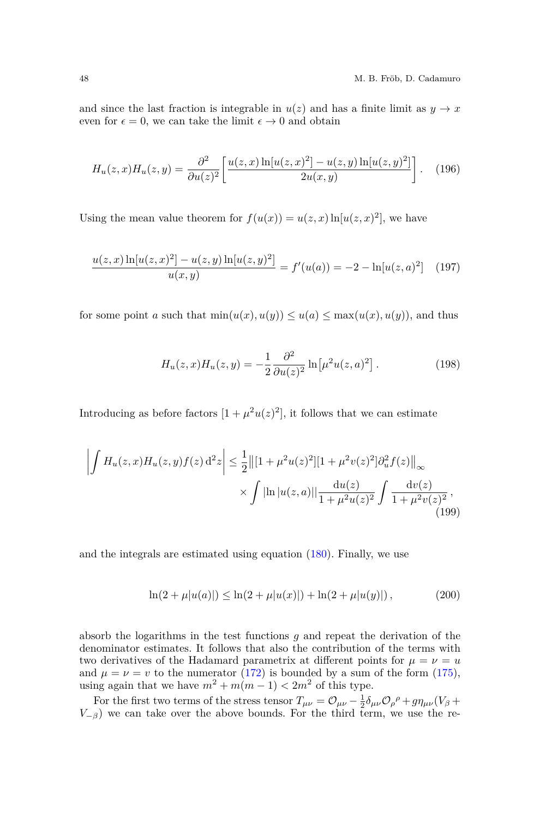and since the last fraction is integrable in  $u(z)$  and has a finite limit as  $y \to x$ even for  $\epsilon = 0$ , we can take the limit  $\epsilon \to 0$  and obtain

$$
H_u(z, x)H_u(z, y) = \frac{\partial^2}{\partial u(z)^2} \left[ \frac{u(z, x) \ln[u(z, x)^2] - u(z, y) \ln[u(z, y)^2]}{2u(x, y)} \right].
$$
 (196)

Using the mean value theorem for  $f(u(x)) = u(z, x) \ln[u(z, x)^2]$ , we have

$$
\frac{u(z,x)\ln[u(z,x)^{2}] - u(z,y)\ln[u(z,y)^{2}]}{u(x,y)} = f'(u(a)) = -2 - \ln[u(z,a)^{2}] \quad (197)
$$

for some point *a* such that  $min(u(x), u(y)) \le u(a) \le max(u(x), u(y))$ , and thus

$$
H_u(z, x)H_u(z, y) = -\frac{1}{2} \frac{\partial^2}{\partial u(z)^2} \ln[\mu^2 u(z, a)^2].
$$
 (198)

Introducing as before factors  $[1 + \mu^2 u(z)^2]$ , it follows that we can estimate

$$
\left| \int H_u(z, x) H_u(z, y) f(z) \, d^2 z \right| \leq \frac{1}{2} ||[1 + \mu^2 u(z)^2][1 + \mu^2 v(z)^2] \partial_u^2 f(z) ||_{\infty} \times \int \left| \ln |u(z, a)| \right| \frac{du(z)}{1 + \mu^2 u(z)^2} \int \frac{dv(z)}{1 + \mu^2 v(z)^2},
$$
\n(199)

and the integrals are estimated using equation  $(180)$ . Finally, we use

$$
\ln(2 + \mu|u(a)|) \le \ln(2 + \mu|u(x)|) + \ln(2 + \mu|u(y)|), \tag{200}
$$

absorb the logarithms in the test functions *g* and repeat the derivation of the denominator estimates. It follows that also the contribution of the terms with two derivatives of the Hadamard parametrix at different points for  $\mu = \nu = u$ and  $\mu = \nu = v$  to the numerator [\(172\)](#page-41-0) is bounded by a sum of the form [\(175\)](#page-42-2), using again that we have  $m^2 + m(m-1) < 2m^2$  of this type.

For the first two terms of the stress tensor  $T_{\mu\nu} = \mathcal{O}_{\mu\nu} - \frac{1}{2}\delta_{\mu\nu}\mathcal{O}_{\rho}{}^{\rho} + g\eta_{\mu\nu}(V_{\beta} + V_{\alpha\beta})$  $V_{-\beta}$ ) we can take over the above bounds. For the third term, we use the re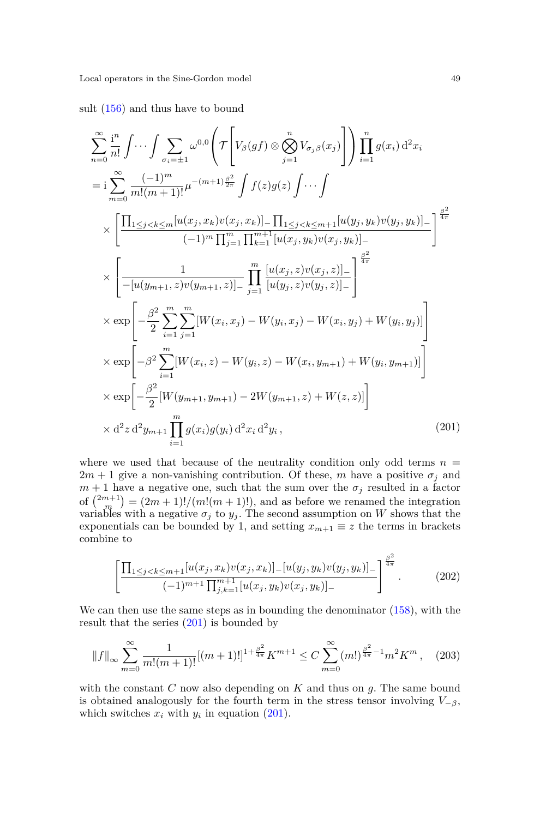sult [\(156\)](#page-37-1) and thus have to bound

<span id="page-48-0"></span>
$$
\sum_{n=0}^{\infty} \frac{1^n}{n!} \int \cdots \int \sum_{\sigma_i = \pm 1} \omega^{0,0} \left( \mathcal{T} \left[ V_{\beta}(gf) \otimes \bigotimes_{j=1}^n V_{\sigma_j \beta}(x_j) \right] \right) \prod_{i=1}^n g(x_i) d^2 x_i
$$
\n
$$
= i \sum_{m=0}^{\infty} \frac{(-1)^m}{m!(m+1)!} \mu^{-(m+1)\frac{\beta^2}{2\pi}} \int f(z)g(z) \int \cdots \int
$$
\n
$$
\times \left[ \frac{\prod_{1 \le j < k \le m} [u(x_j, x_k) v(x_j, x_k)] - \prod_{1 \le j < k \le m+1} [u(y_j, y_k) v(y_j, y_k)] - (-1)^m \prod_{j=1}^m \prod_{k=1}^{m+1} [u(x_j, y_k) v(x_j, y_k)] - \right]^{\frac{\beta^2}{4\pi}}
$$
\n
$$
\times \left[ \frac{1}{- [u(y_{m+1}, z) v(y_{m+1}, z)] - \prod_{j=1}^m \left[ \frac{u(x_j, z) v(x_j, z)}{[u(y_j, z) v(y_j, z)] - \right]^{\frac{\beta^2}{4\pi}}}
$$
\n
$$
\times \exp \left[ -\frac{\beta^2}{2} \sum_{i=1}^m \sum_{j=1}^m [W(x_i, x_j) - W(y_i, x_j) - W(x_i, y_j) + W(y_i, y_j)] \right]
$$
\n
$$
\times \exp \left[ -\beta^2 \sum_{i=1}^m [W(x_i, z) - W(y_i, z) - W(x_i, y_{m+1}) + W(y_i, y_{m+1})] \right]
$$
\n
$$
\times \exp \left[ -\frac{\beta^2}{2} [W(y_{m+1}, y_{m+1}) - 2W(y_{m+1}, z) + W(z, z)] \right]
$$
\n
$$
\times d^2 z d^2 y_{m+1} \prod_{i=1}^m g(x_i) g(y_i) d^2 x_i d^2 y_i, \tag{201}
$$

where we used that because of the neutrality condition only odd terms  $n =$  $2m + 1$  give a non-vanishing contribution. Of these, *m* have a positive  $\sigma_i$  and  $m+1$  have a negative one, such that the sum over the  $\sigma_j$  resulted in a factor of  $\binom{2m+1}{m} = (2m+1)!/(m!(m+1)!)$ , and as before we renamed the integration variables with a negative  $\sigma_j$  to  $y_j$ . The second assumption on *W* shows that the exponentials can be bounded by 1, and setting  $x_{m+1} \equiv z$  the terms in brackets combine to

$$
\left[\frac{\prod_{1\leq j < k \leq m+1} [u(x_j, x_k)v(x_j, x_k)] - [u(y_j, y_k)v(y_j, y_k)]}{(-1)^{m+1} \prod_{j,k=1}^{m+1} [u(x_j, y_k)v(x_j, y_k)] -}\right]^{\frac{\beta^2}{4\pi}}.
$$
\n(202)

We can then use the same steps as in bounding the denominator [\(158\)](#page-38-0), with the result that the series  $(201)$  is bounded by

$$
||f||_{\infty} \sum_{m=0}^{\infty} \frac{1}{m!(m+1)!} [(m+1)!]^{1 + \frac{\beta^2}{4\pi}} K^{m+1} \le C \sum_{m=0}^{\infty} (m!)^{\frac{\beta^2}{4\pi} - 1} m^2 K^m , \quad (203)
$$

with the constant *C* now also depending on *K* and thus on *g*. The same bound is obtained analogously for the fourth term in the stress tensor involving  $V_{-\beta}$ , which switches  $x_i$  with  $y_i$  in equation [\(201\)](#page-48-0).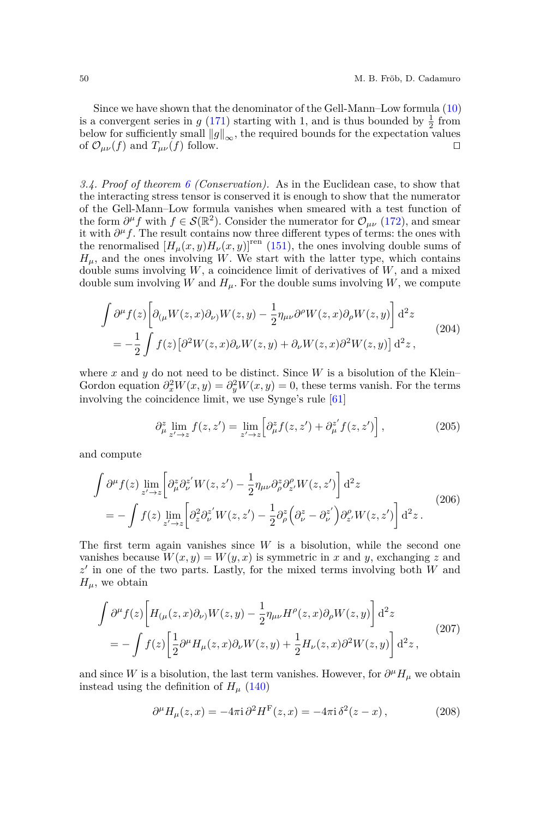Since we have shown that the denominator of the Gell-Mann–Low formula [\(10\)](#page-5-1) is a convergent series in  $g(171)$  $g(171)$  starting with 1, and is thus bounded by  $\frac{1}{2}$  from below for sufficiently small  $||g||_{\infty}$ , the required bounds for the expectation values of  $\mathcal{O}_{\text{out}}(f)$  and  $T_{\text{out}}(f)$  follow. of  $\mathcal{O}_{\mu\nu}(f)$  and  $T_{\mu\nu}(f)$  follow.

*3.4. Proof of theorem [6](#page-6-0) (Conservation).* As in the Euclidean case, to show that the interacting stress tensor is conserved it is enough to show that the numerator of the Gell-Mann–Low formula vanishes when smeared with a test function of the form  $\partial^{\mu} f$  with  $f \in \mathcal{S}(\mathbb{R}^2)$ . Consider the numerator for  $\mathcal{O}_{\mu\nu}$  [\(172\)](#page-41-0), and smear it with  $\partial^{\mu} f$ . The result contains now three different types of terms: the ones with the renormalised  $[H_\mu(x,y)H_\nu(x,y)]^{\text{ren}}$  [\(151\)](#page-36-3), the ones involving double sums of  $H_{\mu}$ , and the ones involving *W*. We start with the latter type, which contains double sums involving *W*, a coincidence limit of derivatives of *W*, and a mixed double sum involving *W* and  $H_\mu$ . For the double sums involving *W*, we compute

$$
\int \partial^{\mu} f(z) \left[ \partial_{(\mu} W(z, x) \partial_{\nu)} W(z, y) - \frac{1}{2} \eta_{\mu \nu} \partial^{\rho} W(z, x) \partial_{\rho} W(z, y) \right] d^{2} z
$$
\n
$$
= -\frac{1}{2} \int f(z) \left[ \partial^{2} W(z, x) \partial_{\nu} W(z, y) + \partial_{\nu} W(z, x) \partial^{2} W(z, y) \right] d^{2} z,
$$
\n(204)

where  $x$  and  $y$  do not need to be distinct. Since  $W$  is a bisolution of the Klein– Gordon equation  $\partial_x^2 W(x, y) = \partial_y^2 W(x, y) = 0$ , these terms vanish. For the terms involving the coincidence limit, we use Synge's rule [\[61\]](#page-56-21)

$$
\partial_{\mu}^{z} \lim_{z' \to z} f(z, z') = \lim_{z' \to z} \left[ \partial_{\mu}^{z} f(z, z') + \partial_{\mu}^{z'} f(z, z') \right],
$$
\n(205)

and compute

$$
\int \partial^{\mu} f(z) \lim_{z' \to z} \left[ \partial_{\mu}^{z} \partial_{\nu}^{z'} W(z, z') - \frac{1}{2} \eta_{\mu\nu} \partial_{\rho}^{z} \partial_{z'}^{\rho} W(z, z') \right] d^{2}z
$$
\n
$$
= - \int f(z) \lim_{z' \to z} \left[ \partial_{z}^{2} \partial_{\nu}^{z'} W(z, z') - \frac{1}{2} \partial_{\rho}^{z} \left( \partial_{\nu}^{z} - \partial_{\nu}^{z'} \right) \partial_{z'}^{\rho} W(z, z') \right] d^{2}z.
$$
\n(206)

The first term again vanishes since *W* is a bisolution, while the second one vanishes because  $W(x, y) = W(y, x)$  is symmetric in *x* and *y*, exchanging *z* and z' in one of the two parts. Lastly, for the mixed terms involving both *W* and  $H_{\mu}$ , we obtain

$$
\int \partial^{\mu} f(z) \left[ H_{(\mu}(z, x) \partial_{\nu)} W(z, y) - \frac{1}{2} \eta_{\mu\nu} H^{\rho}(z, x) \partial_{\rho} W(z, y) \right] d^{2}z
$$
\n
$$
= - \int f(z) \left[ \frac{1}{2} \partial^{\mu} H_{\mu}(z, x) \partial_{\nu} W(z, y) + \frac{1}{2} H_{\nu}(z, x) \partial^{2} W(z, y) \right] d^{2}z , \tag{207}
$$

and since *W* is a bisolution, the last term vanishes. However, for  $\partial^{\mu}H_{\mu}$  we obtain instead using the definition of  $H<sub>\mu</sub>$  [\(140\)](#page-34-0)

$$
\partial^{\mu}H_{\mu}(z,x) = -4\pi i \partial^2 H^{\mathcal{F}}(z,x) = -4\pi i \delta^2(z-x), \qquad (208)
$$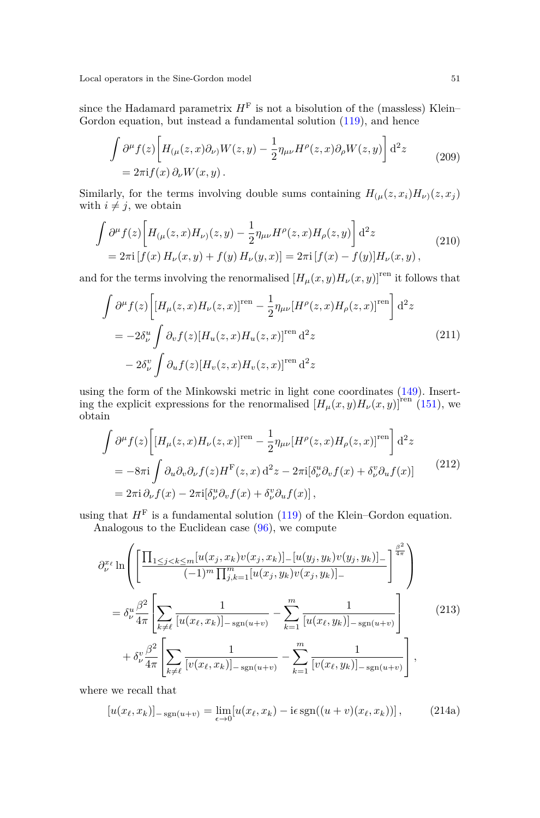since the Hadamard parametrix  $H<sup>F</sup>$  is not a bisolution of the (massless) Klein– Gordon equation, but instead a fundamental solution [\(119\)](#page-27-6), and hence

$$
\int \partial^{\mu} f(z) \left[ H_{(\mu}(z, x) \partial_{\nu)} W(z, y) - \frac{1}{2} \eta_{\mu\nu} H^{\rho}(z, x) \partial_{\rho} W(z, y) \right] d^{2}z
$$
\n
$$
= 2\pi i f(x) \partial_{\nu} W(x, y).
$$
\n(209)

Similarly, for the terms involving double sums containing  $H_{(\mu}(z, x_i)H_{\nu)}(z, x_j)$ with  $i \neq j$ , we obtain

$$
\int \partial^{\mu} f(z) \left[ H_{(\mu}(z, x) H_{\nu)}(z, y) - \frac{1}{2} \eta_{\mu\nu} H^{\rho}(z, x) H_{\rho}(z, y) \right] d^{2}z
$$
\n
$$
= 2\pi i \left[ f(x) H_{\nu}(x, y) + f(y) H_{\nu}(y, x) \right] = 2\pi i \left[ f(x) - f(y) \right] H_{\nu}(x, y), \tag{210}
$$

and for the terms involving the renormalised  $[H_{\mu}(x, y)H_{\nu}(x, y)]^{\text{ren}}$  it follows that

$$
\int \partial^{\mu} f(z) \left[ \left[ H_{\mu}(z, x) H_{\nu}(z, x) \right]^{\text{ren}} - \frac{1}{2} \eta_{\mu\nu} \left[ H^{\rho}(z, x) H_{\rho}(z, x) \right]^{\text{ren}} \right] d^{2}z
$$
\n
$$
= -2\delta_{\nu}^{u} \int \partial_{v} f(z) \left[ H_{u}(z, x) H_{u}(z, x) \right]^{\text{ren}} d^{2}z \tag{211}
$$
\n
$$
-2\delta_{\nu}^{v} \int \partial_{u} f(z) \left[ H_{v}(z, x) H_{v}(z, x) \right]^{\text{ren}} d^{2}z
$$

using the form of the Minkowski metric in light cone coordinates [\(149\)](#page-35-0). Inserting the explicit expressions for the renormalised  $[H_\mu(x,y)H_\nu(x,y)]^{\text{ren}}$  [\(151\)](#page-36-3), we obtain

$$
\int \partial^{\mu} f(z) \left[ \left[ H_{\mu}(z, x) H_{\nu}(z, x) \right]^{\text{ren}} - \frac{1}{2} \eta_{\mu\nu} \left[ H^{\rho}(z, x) H_{\rho}(z, x) \right]^{\text{ren}} \right] d^{2}z
$$
\n
$$
= -8\pi i \int \partial_{u} \partial_{v} \partial_{\nu} f(z) H^{\text{F}}(z, x) d^{2}z - 2\pi i [\delta^{\mu}_{\nu} \partial_{v} f(x) + \delta^{\nu}_{\nu} \partial_{u} f(x)] \tag{212}
$$
\n
$$
= 2\pi i \partial_{\nu} f(x) - 2\pi i [\delta^{\mu}_{\nu} \partial_{v} f(x) + \delta^{\nu}_{\nu} \partial_{u} f(x)],
$$

using that  $H<sup>F</sup>$  is a fundamental solution [\(119\)](#page-27-6) of the Klein–Gordon equation.

Analogous to the Euclidean case [\(96\)](#page-23-1), we compute

$$
\partial_{\nu}^{x_{\ell}} \ln \left( \left[ \frac{\prod_{1 \leq j < k \leq m} [u(x_j, x_k) v(x_j, x_k)] - [u(y_j, y_k) v(y_j, y_k)] -}{(-1)^m \prod_{j,k=1}^m [u(x_j, y_k) v(x_j, y_k)] -} \right]^{\frac{\beta^2}{4\pi}} \right)
$$
\n
$$
= \delta_{\nu}^u \frac{\beta^2}{4\pi} \left[ \sum_{k \neq \ell} \frac{1}{[u(x_{\ell}, x_k)] - s_{\text{SD}}(u+v)} - \sum_{k=1}^m \frac{1}{[u(x_{\ell}, y_k)] - s_{\text{SD}}(u+v)} \right] + \delta_{\nu}^v \frac{\beta^2}{4\pi} \left[ \sum_{k \neq \ell} \frac{1}{[v(x_{\ell}, x_k)] - s_{\text{SD}}(u+v)} - \sum_{k=1}^m \frac{1}{[v(x_{\ell}, y_k)] - s_{\text{SD}}(u+v)} \right], \tag{213}
$$

where we recall that

$$
[u(x_{\ell}, x_k)]_{-\text{sgn}(u+v)} = \lim_{\epsilon \to 0} [u(x_{\ell}, x_k) - i\epsilon \operatorname{sgn}((u+v)(x_{\ell}, x_k))], \qquad (214a)
$$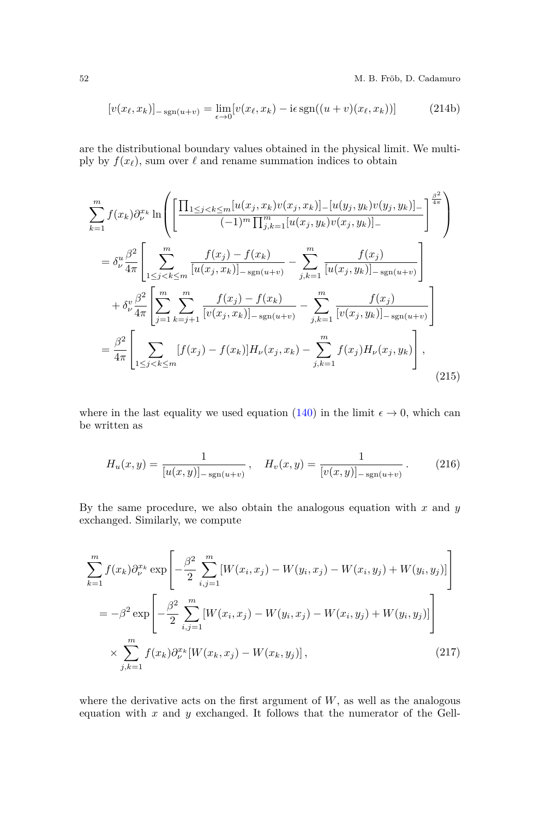52 M. B. Fröb, D. Cadamuro

$$
[v(x_{\ell}, x_k)]_{-\text{sgn}(u+v)} = \lim_{\epsilon \to 0} [v(x_{\ell}, x_k) - i\epsilon \text{sgn}((u+v)(x_{\ell}, x_k))]
$$
(214b)

are the distributional boundary values obtained in the physical limit. We multiply by  $f(x_\ell)$ , sum over  $\ell$  and rename summation indices to obtain

$$
\sum_{k=1}^{m} f(x_k) \partial_{\nu}^{x_k} \ln \left( \left[ \frac{\prod_{1 \leq j < k \leq m} [u(x_j, x_k) v(x_j, x_k)] - [u(y_j, y_k) v(y_j, y_k)] - \prod_{i \neq j} \frac{\beta^2}{4\pi}}{(-1)^m \prod_{j,k=1}^{m} [u(x_j, y_k) v(x_j, y_k)] - \prod_{j \neq j} \frac{\beta^2}{4\pi}} \right) \right)
$$
\n
$$
= \delta_{\nu}^{u} \frac{\beta^2}{4\pi} \left[ \sum_{1 \leq j < k \leq m} \frac{f(x_j) - f(x_k)}{[u(x_j, x_k)] - \text{sgn}(u+v)} - \sum_{j,k=1}^{m} \frac{f(x_j)}{[u(x_j, y_k)] - \text{sgn}(u+v)} \right]
$$
\n
$$
+ \delta_{\nu}^{v} \frac{\beta^2}{4\pi} \left[ \sum_{j=1}^{m} \sum_{k=j+1}^{m} \frac{f(x_j) - f(x_k)}{[v(x_j, x_k)] - \text{sgn}(u+v)} - \sum_{j,k=1}^{m} \frac{f(x_j)}{[v(x_j, y_k)] - \text{sgn}(u+v)} \right]
$$
\n
$$
= \frac{\beta^2}{4\pi} \left[ \sum_{1 \leq j < k \leq m} [f(x_j) - f(x_k)] H_{\nu}(x_j, x_k) - \sum_{j,k=1}^{m} f(x_j) H_{\nu}(x_j, y_k) \right], \tag{215}
$$

where in the last equality we used equation [\(140\)](#page-34-0) in the limit  $\epsilon \to 0$ , which can be written as

$$
H_u(x,y) = \frac{1}{[u(x,y)]_{-\text{sgn}(u+v)}}, \quad H_v(x,y) = \frac{1}{[v(x,y)]_{-\text{sgn}(u+v)}}.
$$
 (216)

By the same procedure, we also obtain the analogous equation with *x* and *y* exchanged. Similarly, we compute

$$
\sum_{k=1}^{m} f(x_k) \partial_{\nu}^{x_k} \exp \left[ -\frac{\beta^2}{2} \sum_{i,j=1}^{m} \left[ W(x_i, x_j) - W(y_i, x_j) - W(x_i, y_j) + W(y_i, y_j) \right] \right]
$$
  
=  $-\beta^2 \exp \left[ -\frac{\beta^2}{2} \sum_{i,j=1}^{m} \left[ W(x_i, x_j) - W(y_i, x_j) - W(x_i, y_j) + W(y_i, y_j) \right] \right]$   
 $\times \sum_{j,k=1}^{m} f(x_k) \partial_{\nu}^{x_k} \left[ W(x_k, x_j) - W(x_k, y_j) \right],$  (217)

where the derivative acts on the first argument of  $W$ , as well as the analogous equation with *x* and *y* exchanged. It follows that the numerator of the Gell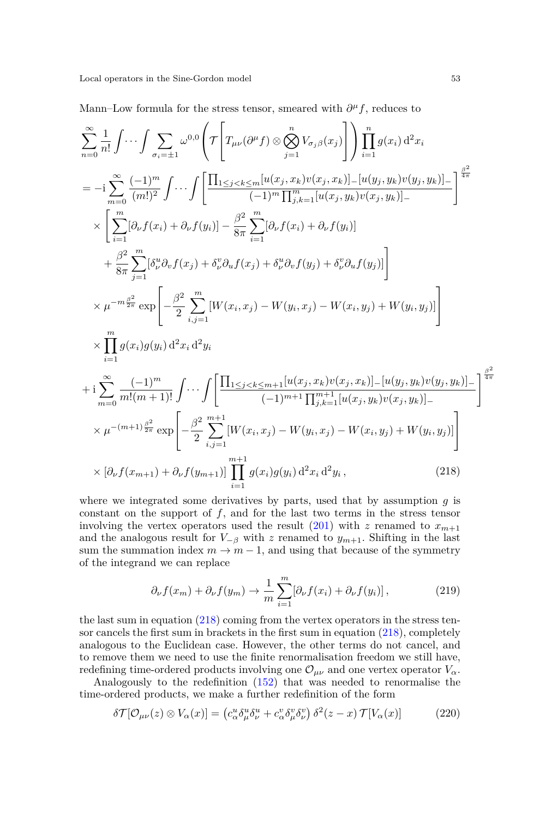Mann–Low formula for the stress tensor, smeared with  $\partial^{\mu} f$ , reduces to

<span id="page-52-0"></span>
$$
\sum_{n=0}^{\infty} \frac{1}{n!} \int \cdots \int \sum_{\sigma_{i}=\pm 1} \omega^{0,0} \left( \mathcal{T} \left[ T_{\mu\nu}(\partial^{\mu} f) \otimes \bigotimes_{j=1}^{n} V_{\sigma_{j}\beta}(x_{j}) \right] \right) \prod_{i=1}^{n} g(x_{i}) d^{2}x_{i}
$$
\n
$$
= -i \sum_{m=0}^{\infty} \frac{(-1)^{m}}{(m!)^{2}} \int \cdots \int \left[ \frac{\prod_{1 \leq j < k \leq m} [u(x_{j}, x_{k})v(x_{j}, x_{k})]_{-} [u(y_{j}, y_{k})v(y_{j}, y_{k})]_{-}}{(-1)^{m} \prod_{j,k=1}^{m} [u(x_{j}, y_{k})v(x_{j}, y_{k})]_{-}} \right]^{\frac{\beta^{2}}{4\pi}}
$$
\n
$$
\times \left[ \sum_{i=1}^{m} [\partial_{\nu} f(x_{i}) + \partial_{\nu} f(y_{i})] - \frac{\beta^{2}}{8\pi} \sum_{i=1}^{m} [\partial_{\nu} f(x_{i}) + \partial_{\nu} f(y_{i})] + \frac{\beta^{2}}{8\pi} \sum_{i=1}^{m} [\partial_{\nu} f(x_{i}) + \partial_{\nu}^{u} \partial_{v} f(y_{j}) + \delta_{\nu}^{v} \partial_{u} f(y_{j})] \right]
$$
\n
$$
\times \mu^{-m\frac{\beta^{2}}{2\pi}} \exp \left[ -\frac{\beta^{2}}{2} \sum_{i,j=1}^{m} [W(x_{i}, x_{j}) - W(y_{i}, x_{j}) - W(x_{i}, y_{j}) + W(y_{i}, y_{j})] \right]
$$
\n
$$
\times \prod_{i=1}^{m} g(x_{i})g(y_{i}) d^{2}x_{i} d^{2}y_{i}
$$
\n
$$
+i \sum_{m=0}^{\infty} \frac{(-1)^{m}}{m!(m+1)!} \int \cdots \int \left[ \frac{\prod_{1 \leq j < k \leq m+1} [u(x_{j}, x_{k})v(x_{j}, x_{k})]_{-} [u(y_{j}, y_{k})v(y_{j}, y_{k})]_{-}}{(-1)^{m+1} \prod_{j,k=1}^{m+1} [u(x_{j},
$$

where we integrated some derivatives by parts, used that by assumption *g* is constant on the support of *f*, and for the last two terms in the stress tensor involving the vertex operators used the result  $(201)$  with *z* renamed to  $x_{m+1}$ and the analogous result for  $V_{-\beta}$  with *z* renamed to  $y_{m+1}$ . Shifting in the last sum the summation index  $m \to m-1$ , and using that because of the symmetry of the integrand we can replace

$$
\partial_{\nu} f(x_m) + \partial_{\nu} f(y_m) \to \frac{1}{m} \sum_{i=1}^{m} [\partial_{\nu} f(x_i) + \partial_{\nu} f(y_i)], \qquad (219)
$$

the last sum in equation  $(218)$  coming from the vertex operators in the stress tensor cancels the first sum in brackets in the first sum in equation [\(218\)](#page-52-0), completely analogous to the Euclidean case. However, the other terms do not cancel, and to remove them we need to use the finite renormalisation freedom we still have, redefining time-ordered products involving one  $\mathcal{O}_{\mu\nu}$  and one vertex operator  $V_\alpha$ .

Analogously to the redefinition [\(152\)](#page-36-4) that was needed to renormalise the time-ordered products, we make a further redefinition of the form

<span id="page-52-1"></span>
$$
\delta \mathcal{T}[\mathcal{O}_{\mu\nu}(z) \otimes V_{\alpha}(x)] = \left( c_{\alpha}^u \delta_{\mu}^u \delta_{\nu}^u + c_{\alpha}^v \delta_{\mu}^v \delta_{\nu}^v \right) \delta^2(z - x) \mathcal{T}[V_{\alpha}(x)] \tag{220}
$$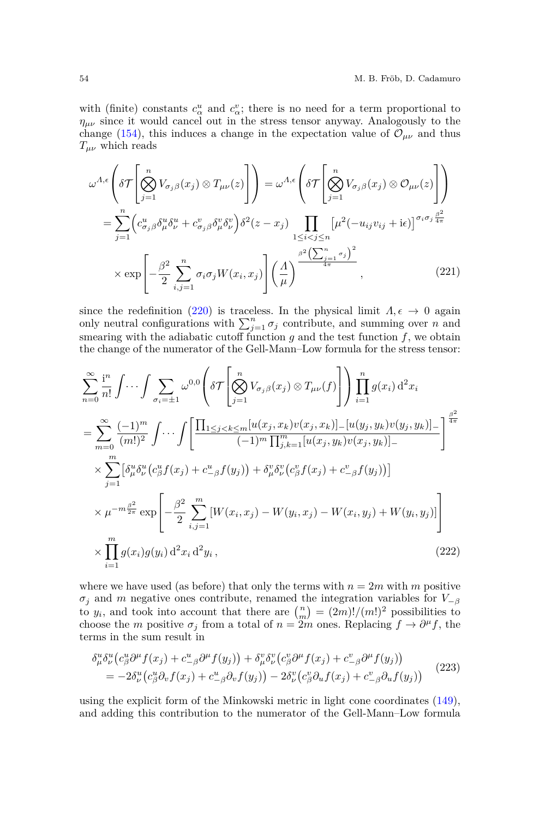with (finite) constants  $c^u_\alpha$  and  $c^v_\alpha$ ; there is no need for a term proportional to  $\eta_{\mu\nu}$  since it would cancel out in the stress tensor anyway. Analogously to the change [\(154\)](#page-36-0), this induces a change in the expectation value of  $\mathcal{O}_{\mu\nu}$  and thus *Tµν* which reads

$$
\omega^{A,\epsilon}\left(\delta\mathcal{T}\left[\bigotimes_{j=1}^{n}V_{\sigma_{j}\beta}(x_{j})\otimes T_{\mu\nu}(z)\right]\right) = \omega^{A,\epsilon}\left(\delta\mathcal{T}\left[\bigotimes_{j=1}^{n}V_{\sigma_{j}\beta}(x_{j})\otimes\mathcal{O}_{\mu\nu}(z)\right]\right)
$$

$$
= \sum_{j=1}^{n}\left(c_{\sigma_{j}\beta}^{u}\delta_{\mu}^{u}\delta_{\nu}^{u} + c_{\sigma_{j}\beta}^{v}\delta_{\mu}^{v}\delta_{\nu}^{v}\right)\delta^{2}(z-x_{j})\prod_{1\leq i
$$
\times \exp\left[-\frac{\beta^{2}}{2}\sum_{i,j=1}^{n}\sigma_{i}\sigma_{j}W(x_{i},x_{j})\right]\left(\frac{A}{\mu}\right)^{\frac{\beta^{2}\left(\sum_{j=1}^{n}\sigma_{j}\right)^{2}}{4\pi}},\qquad (221)
$$
$$

since the redefinition [\(220\)](#page-52-1) is traceless. In the physical limit  $\Lambda, \epsilon \to 0$  again only neutral configurations with  $\sum_{j=1}^{n} \sigma_j$  contribute, and summing over *n* and smearing with the adiabatic cutoff function  $g$  and the test function  $f$ , we obtain the change of the numerator of the Gell-Mann–Low formula for the stress tensor:

$$
\sum_{n=0}^{\infty} \frac{i^n}{n!} \int \cdots \int \sum_{\sigma_i = \pm 1} \omega^{0,0} \left( \delta \mathcal{T} \left[ \bigotimes_{j=1}^n V_{\sigma_j \beta}(x_j) \otimes T_{\mu\nu}(f) \right] \right) \prod_{i=1}^n g(x_i) d^2 x_i
$$
\n
$$
= \sum_{m=0}^{\infty} \frac{(-1)^m}{(m!)^2} \int \cdots \int \left[ \frac{\prod_{1 \leq j < k \leq m} [u(x_j, x_k) v(x_j, x_k)] - [u(y_j, y_k) v(y_j, y_k)] - 1}{(-1)^m \prod_{j,k=1}^m [u(x_j, y_k) v(x_j, y_k)] - 1} \right]^{\frac{\beta^2}{4\pi}}
$$
\n
$$
\times \sum_{j=1}^m \left[ \delta^u_\mu \delta^u_\nu \left( c^u_\beta f(x_j) + c^u_{-\beta} f(y_j) \right) + \delta^v_\mu \delta^v_\nu \left( c^v_\beta f(x_j) + c^v_{-\beta} f(y_j) \right) \right]
$$
\n
$$
\times \mu^{-m\frac{\beta^2}{2\pi}} \exp \left[ -\frac{\beta^2}{2} \sum_{i,j=1}^m [W(x_i, x_j) - W(y_i, x_j) - W(x_i, y_j) + W(y_i, y_j)] \right]
$$
\n
$$
\times \prod_{i=1}^m g(x_i) g(y_i) d^2 x_i d^2 y_i, \qquad (222)
$$

where we have used (as before) that only the terms with  $n = 2m$  with *m* positive  $\sigma_j$  and *m* negative ones contribute, renamed the integration variables for  $V_{-\beta}$ to  $y_i$ , and took into account that there are  $\binom{n}{m} = \frac{(2m)!}{(m!)^2}$  possibilities to choose the *m* positive  $\sigma_j$  from a total of  $n = 2m$  ones. Replacing  $f \to \partial^\mu f$ , the terms in the sum result in

$$
\delta^u_\mu \delta^u_\nu (c^u_\beta \partial^\mu f(x_j) + c^u_{-\beta} \partial^\mu f(y_j)) + \delta^v_\mu \delta^v_\nu (c^v_\beta \partial^\mu f(x_j) + c^v_{-\beta} \partial^\mu f(y_j))
$$
  
= 
$$
-2\delta^u_\nu (c^u_\beta \partial_v f(x_j) + c^u_{-\beta} \partial_v f(y_j)) - 2\delta^v_\nu (c^v_\beta \partial_u f(x_j) + c^v_{-\beta} \partial_u f(y_j))
$$
 (223)

using the explicit form of the Minkowski metric in light cone coordinates [\(149\)](#page-35-0), and adding this contribution to the numerator of the Gell-Mann–Low formula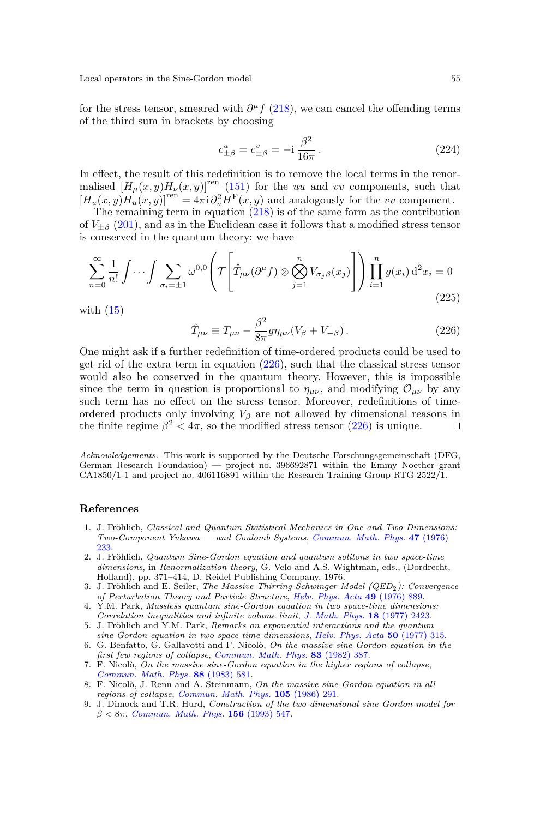for the stress tensor, smeared with  $\partial^{\mu} f$  [\(218\)](#page-52-0), we can cancel the offending terms of the third sum in brackets by choosing

$$
c_{\pm\beta}^u = c_{\pm\beta}^v = -i\,\frac{\beta^2}{16\pi} \,. \tag{224}
$$

In effect, the result of this redefinition is to remove the local terms in the renormalised  $[H_u(x, y)H_v(x, y)]^{\text{ren}}$  [\(151\)](#page-36-3) for the *uu* and *vv* components, such that  $[H_u(x, y)H_u(x, y)]^{\text{ren}} = 4\pi i \partial_u^2 H^{\text{F}}(x, y)$  and analogously for the *vv* component.

The remaining term in equation  $(218)$  is of the same form as the contribution of  $V_{\pm\beta}$  [\(201\)](#page-48-0), and as in the Euclidean case it follows that a modified stress tensor is conserved in the quantum theory: we have

$$
\sum_{n=0}^{\infty} \frac{1}{n!} \int \cdots \int \sum_{\sigma_i = \pm 1} \omega^{0,0} \left( \mathcal{T} \left[ \hat{T}_{\mu\nu} (\partial^{\mu} f) \otimes \bigotimes_{j=1}^{n} V_{\sigma_j \beta}(x_j) \right] \right) \prod_{i=1}^{n} g(x_i) d^2 x_i = 0
$$
\n(225)

with  $(15)$ 

<span id="page-54-7"></span>
$$
\hat{T}_{\mu\nu} \equiv T_{\mu\nu} - \frac{\beta^2}{8\pi} g \eta_{\mu\nu} (V_\beta + V_{-\beta}). \tag{226}
$$

One might ask if a further redefinition of time-ordered products could be used to get rid of the extra term in equation [\(226\)](#page-54-7), such that the classical stress tensor would also be conserved in the quantum theory. However, this is impossible since the term in question is proportional to  $\eta_{\mu\nu}$ , and modifying  $\mathcal{O}_{\mu\nu}$  by any such term has no effect on the stress tensor. Moreover, redefinitions of timeordered products only involving  $V_\beta$  are not allowed by dimensional reasons in the finite regime  $\beta^2 < 4\pi$ , so the modified stress tensor [\(226\)](#page-54-7) is unique.  $\Box$ 

*Acknowledgements.* This work is supported by the Deutsche Forschungsgemeinschaft (DFG, German Research Foundation) — project no. 396692871 within the Emmy Noether grant CA1850/1-1 and project no. 406116891 within the Research Training Group RTG 2522/1.

#### **References**

- <span id="page-54-0"></span>1. J. Fröhlich, *Classical and Quantum Statistical Mechanics in One and Two Dimensions: Two-Component Yukawa — and Coulomb Systems*, *[Commun. Math. Phys.](https://doi.org/10.1007/BF01609843)* **47** (1976) [233.](https://doi.org/10.1007/BF01609843)
- 2. J. Fröhlich, *Quantum Sine-Gordon equation and quantum solitons in two space-time dimensions*, in *Renormalization theory*, G. Velo and A.S. Wightman, eds., (Dordrecht, Holland), pp. 371–414, D. Reidel Publishing Company, 1976.
- <span id="page-54-1"></span>3. J. Fröhlich and E. Seiler, *The Massive Thirring-Schwinger Model (QED*2*): Convergence of Perturbation Theory and Particle Structure*, *[Helv. Phys. Acta](https://doi.org/10.5169/seals-114796)* **49** (1976) 889.
- <span id="page-54-2"></span>4. Y.M. Park, *Massless quantum sine-Gordon equation in two space-time dimensions: Correlation inequalities and infinite volume limit*, *[J. Math. Phys.](https://doi.org/https://doi.org/10.1063/1.523230)* **18** (1977) 2423.
- <span id="page-54-3"></span>5. J. Fröhlich and Y.M. Park, *Remarks on exponential interactions and the quantum sine-Gordon equation in two space-time dimensions*, *[Helv. Phys. Acta](https://doi.org/https://dx.doi.org/10.5169/seals-114859)* **50** (1977) 315.
- <span id="page-54-4"></span>6. G. Benfatto, G. Gallavotti and F. Nicolò, *On the massive sine-Gordon equation in the first few regions of collapse*, *[Commun. Math. Phys.](https://doi.org/10.1007/BF01213609)* **83** (1982) 387.
- 7. F. Nicolò, *On the massive sine-Gordon equation in the higher regions of collapse*, *[Commun. Math. Phys.](https://doi.org/10.1007/BF01211960)* **88** (1983) 581.
- <span id="page-54-5"></span>8. F. Nicolò, J. Renn and A. Steinmann, *On the massive sine-Gordon equation in all regions of collapse*, *[Commun. Math. Phys.](https://doi.org/10.1007/BF01211104)* **105** (1986) 291.
- <span id="page-54-6"></span>9. J. Dimock and T.R. Hurd, *Construction of the two-dimensional sine-Gordon model for β <* 8*π*, *[Commun. Math. Phys.](https://doi.org/10.1007/BF02096863)* **156** (1993) 547.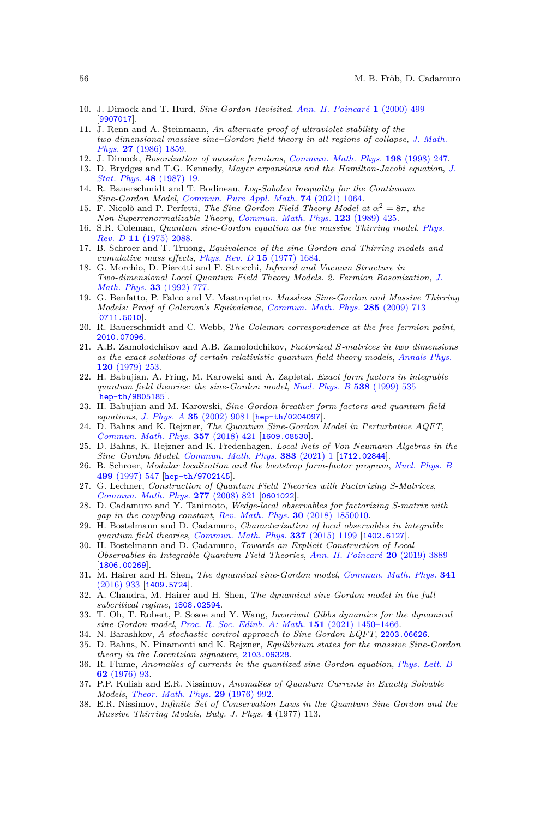- <span id="page-55-0"></span>10. J. Dimock and T. Hurd, *Sine-Gordon Revisited*, *[Ann. H. Poincaré](https://doi.org/10.1007/s000230050005)* **1** (2000) 499 [[9907017](https://arxiv.org/abs/9907017)].
- <span id="page-55-1"></span>11. J. Renn and A. Steinmann, *An alternate proof of ultraviolet stability of the two-dimensional massive sine–Gordon field theory in all regions of collapse*, *[J. Math.](https://doi.org/10.1063/1.527054) Phys.* **27** [\(1986\) 1859.](https://doi.org/10.1063/1.527054)
- <span id="page-55-2"></span>12. J. Dimock, *Bosonization of massive fermions*, *[Commun. Math. Phys.](https://doi.org/10.1007/s002200050478)* **198** (1998) 247.
- <span id="page-55-3"></span>13. D. Brydges and T.G. Kennedy, *Mayer expansions and the Hamilton-Jacobi equation*, *[J.](https://doi.org/10.1007/BF01010398) [Stat. Phys.](https://doi.org/10.1007/BF01010398)* **48** (1987) 19.
- <span id="page-55-4"></span>14. R. Bauerschmidt and T. Bodineau, *Log-Sobolev Inequality for the Continuum Sine-Gordon Model*, *[Commun. Pure Appl. Math.](https://doi.org/10.1002/cpa.21926)* **74** (2021) 1064.
- <span id="page-55-5"></span>15. F. Nicolò and P. Perfetti, *The Sine-Gordon Field Theory Model at*  $\alpha^2 = 8\pi$ *, the Non-Superrenormalizable Theory*, *[Commun. Math. Phys.](https://doi.org/10.1007/BF01238809)* **123** (1989) 425.
- <span id="page-55-6"></span>16. S.R. Coleman, *Quantum sine-Gordon equation as the massive Thirring model*, *[Phys.](https://doi.org/10.1103/PhysRevD.11.2088) Rev. D* **11** [\(1975\) 2088.](https://doi.org/10.1103/PhysRevD.11.2088)
- <span id="page-55-7"></span>17. B. Schroer and T. Truong, *Equivalence of the sine-Gordon and Thirring models and cumulative mass effects*, *[Phys. Rev. D](https://doi.org/10.1103/PhysRevD.15.1684)* **15** (1977) 1684.
- <span id="page-55-8"></span>18. G. Morchio, D. Pierotti and F. Strocchi, *Infrared and Vacuum Structure in Two-dimensional Local Quantum Field Theory Models. 2. Fermion Bosonization*, *[J.](https://doi.org/10.1063/1.529757) [Math. Phys.](https://doi.org/10.1063/1.529757)* **33** (1992) 777.
- <span id="page-55-9"></span>19. G. Benfatto, P. Falco and V. Mastropietro, *Massless Sine-Gordon and Massive Thirring Models: Proof of Coleman's Equivalence*, *[Commun. Math. Phys.](https://doi.org/10.1007/s00220-008-0619-x)* **285** (2009) 713 [[0711.5010](https://arxiv.org/abs/0711.5010)].
- <span id="page-55-10"></span>20. R. Bauerschmidt and C. Webb, *The Coleman correspondence at the free fermion point*, [2010.07096](https://arxiv.org/abs/2010.07096).
- <span id="page-55-11"></span>21. A.B. Zamolodchikov and A.B. Zamolodchikov, *Factorized S-matrices in two dimensions as the exact solutions of certain relativistic quantum field theory models*, *[Annals Phys.](https://doi.org/10.1016/0003-4916(79)90391-9)* **120** [\(1979\) 253.](https://doi.org/10.1016/0003-4916(79)90391-9)
- <span id="page-55-12"></span>22. H. Babujian, A. Fring, M. Karowski and A. Zapletal, *Exact form factors in integrable quantum field theories: the sine-Gordon model*, *[Nucl. Phys. B](https://doi.org/{10.1016/S0550-3213%2898%2900737-8})* **538** (1999) 535 [[hep-th/9805185](https://arxiv.org/abs/hep-th/9805185)].
- <span id="page-55-13"></span>23. H. Babujian and M. Karowski, *Sine-Gordon breather form factors and quantum field equations*, *J. Phys. A* **35** [\(2002\) 9081](https://doi.org/{10.1088/0305-4470/35/43/308}) [[hep-th/0204097](https://arxiv.org/abs/hep-th/0204097)].
- <span id="page-55-14"></span>24. D. Bahns and K. Rejzner, *The Quantum Sine-Gordon Model in Perturbative AQFT*, *[Commun. Math. Phys.](https://doi.org/10.1007/s00220-017-2944-4)* **357** (2018) 421 [[1609.08530](https://arxiv.org/abs/1609.08530)].
- <span id="page-55-15"></span>25. D. Bahns, K. Rejzner and K. Fredenhagen, *Local Nets of Von Neumann Algebras in the Sine–Gordon Model*, *[Commun. Math. Phys.](https://doi.org/10.1007/s00220-021-03961-y)* **383** (2021) 1 [[1712.02844](https://arxiv.org/abs/1712.02844)].
- <span id="page-55-16"></span>26. B. Schroer, *Modular localization and the bootstrap form-factor program*, *[Nucl. Phys. B](https://doi.org/10.1016/S0550-3213(97)00359-3)* **499** [\(1997\) 547](https://doi.org/10.1016/S0550-3213(97)00359-3) [[hep-th/9702145](https://arxiv.org/abs/hep-th/9702145)].
- <span id="page-55-17"></span>27. G. Lechner, *Construction of Quantum Field Theories with Factorizing S-Matrices*, *[Commun. Math. Phys.](https://doi.org/10.1007/s00220-007-0381-5)* **277** (2008) 821 [[0601022](https://arxiv.org/abs/0601022)].
- <span id="page-55-18"></span>28. D. Cadamuro and Y. Tanimoto, *Wedge-local observables for factorizing S-matrix with gap in the coupling constant*, *[Rev. Math. Phys.](https://doi.org/10.1142/S0129055X18500101)* **30** (2018) 1850010.
- <span id="page-55-19"></span>29. H. Bostelmann and D. Cadamuro, *Characterization of local observables in integrable quantum field theories*, *[Commun. Math. Phys.](https://doi.org/10.1007/s00220-015-2294-z)* **337** (2015) 1199 [[1402.6127](https://arxiv.org/abs/1402.6127)].
- <span id="page-55-20"></span>30. H. Bostelmann and D. Cadamuro, *Towards an Explicit Construction of Local Observables in Integrable Quantum Field Theories*, *[Ann. H. Poincaré](https://doi.org/10.1007/s00023-019-00847-7)* **20** (2019) 3889 [[1806.00269](https://arxiv.org/abs/1806.00269)].
- <span id="page-55-21"></span>31. M. Hairer and H. Shen, *The dynamical sine-Gordon model*, *[Commun. Math. Phys.](https://doi.org/10.1007/s00220-015-2525-3)* **341** [\(2016\) 933](https://doi.org/10.1007/s00220-015-2525-3) [[1409.5724](https://arxiv.org/abs/1409.5724)].
- <span id="page-55-22"></span>32. A. Chandra, M. Hairer and H. Shen, *The dynamical sine-Gordon model in the full subcritical regime*, [1808.02594](https://arxiv.org/abs/1808.02594).
- <span id="page-55-23"></span>33. T. Oh, T. Robert, P. Sosoe and Y. Wang, *Invariant Gibbs dynamics for the dynamical sine-Gordon model*, *[Proc. R. Soc. Edinb. A: Math.](https://doi.org/10.1017/prm.2020.68)* **151** (2021) 1450–1466.
- <span id="page-55-24"></span>34. N. Barashkov, *A stochastic control approach to Sine Gordon EQFT*, [2203.06626](https://arxiv.org/abs/2203.06626).
- <span id="page-55-25"></span>35. D. Bahns, N. Pinamonti and K. Rejzner, *Equilibrium states for the massive Sine-Gordon theory in the Lorentzian signature*, [2103.09328](https://arxiv.org/abs/2103.09328).
- <span id="page-55-26"></span>36. R. Flume, *Anomalies of currents in the quantized sine-Gordon equation*, *[Phys. Lett. B](https://doi.org/10.1016/0370-2693(76)90057-5)* **62** [\(1976\) 93.](https://doi.org/10.1016/0370-2693(76)90057-5)
- 37. P.P. Kulish and E.R. Nissimov, *Anomalies of Quantum Currents in Exactly Solvable Models*, *[Theor. Math. Phys.](https://doi.org/10.1007/BF01108501)* **29** (1976) 992.
- <span id="page-55-27"></span>38. E.R. Nissimov, *Infinite Set of Conservation Laws in the Quantum Sine-Gordon and the Massive Thirring Models*, *Bulg. J. Phys.* **4** (1977) 113.